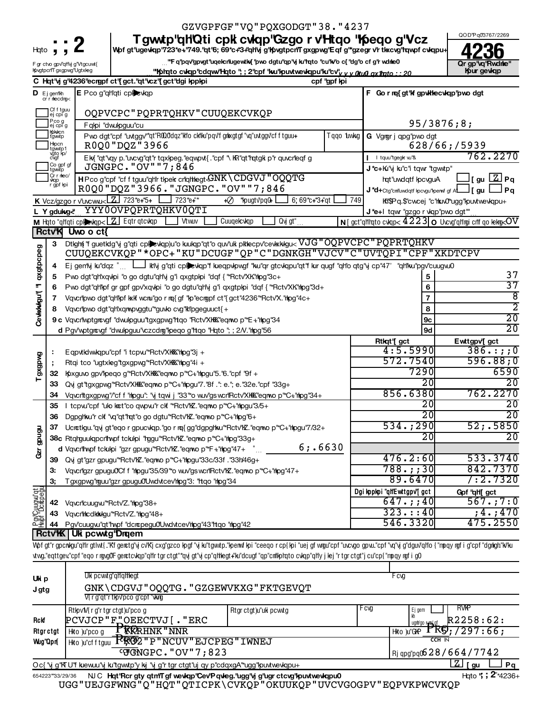|                               |                                        |                             | GZVGPFGF"VQ"PQXGODGT"38."4237                                                                                                                                                          |                               |              |                                                           |                                                                                    |
|-------------------------------|----------------------------------------|-----------------------------|----------------------------------------------------------------------------------------------------------------------------------------------------------------------------------------|-------------------------------|--------------|-----------------------------------------------------------|------------------------------------------------------------------------------------|
|                               |                                        |                             | Tgwtp'qHQti cpk cvkqp'Gzgo r v'Htqo ''foeqo g'Vcz                                                                                                                                      |                               |              |                                                           | QOD'Pq03767/2269                                                                   |
| Hqto                          |                                        |                             | Wpf gt"ugevkqp"723*e+"749."qt'6; 69*c+3+"qllvj g"KpvgtpcrlTgxgpwg"Eqf g"*gzegr v'r tl«cvg"hqwpf cvkqpu+                                                                                |                               |              |                                                           |                                                                                    |
|                               | F gr ctvo gpv'qHvj g'Vtgcuwt{          | Qr gp "vq "Rwdnie"          |                                                                                                                                                                                        |                               |              |                                                           |                                                                                    |
|                               |                                        | lfovgtpcn'T gxgpwg 'Ugtxleg | "Kolnato cvkap "cdqwy" Hato "; ; 2" cpf "kw" kpuwtwew lapu" ku" cv" y y akua ax flato : : 20                                                                                           |                               |              |                                                           | Kpur gevkap                                                                        |
|                               |                                        |                             | C Hqt'vj g'4236'ecrgpf ct'{ gct.'qt'vcz'{ gct'dgi kppkpi                                                                                                                               |                               | cpf "gpf kpi |                                                           |                                                                                    |
|                               | $\mathbf{D}$ Ejgem"Kh<br>crrnlecdng<   |                             | E Pco g"qh"qti cplexiqp                                                                                                                                                                |                               |              | F Go r mq{gt'kfgpwkhecwlqp'pwodgt                         |                                                                                    |
|                               | Cfftguu<br>ej cpi g                    |                             | OQPVCPC"PQPRTQHKV"CUUQEKCVKQP                                                                                                                                                          |                               |              |                                                           |                                                                                    |
|                               | Pcog<br>ej cpi g                       |                             | Fqlpi "dwulpguu"cu                                                                                                                                                                     |                               |              |                                                           | 95/3876;8;                                                                         |
|                               | lfokkcn<br>tgwtp<br>Hopcn<br>tgwtp1    |                             | Pwo dgt"cpf "uvtggv""qt"R000dqz"klo ckiku"pqv'f grkxgtgf "vq"uvtggv'cf f tguu+<br>R0Q0"DQZ"3966                                                                                        |                               | l qqo 1uwkg  | G Vgrar j qpg'pwo dgt                                     | 628/66;/5939                                                                       |
|                               | vğto kp/<br>cvgf<br>Co gpf gf<br>tgwtp |                             | Ek{ "qt"vqy p."uvcvg"qt"r tqxlpeg."eqwpvt{."cpf "\ lR"qt"rqtgk p"r quvcrleqf g<br>JGNGPC. "OV" "7;846                                                                                  |                               |              | I tquu'tgegk w'&<br><b>J *c+Kı</b> "y ku"c"i tqwr "tgwtp" | 762.2270                                                                           |
|                               | Crrnhec/<br>vkap                       |                             | HPco g"cpf "cf f tguu"qH'r tlpelk criqHegt GNK \CDGVJ "OQQTG                                                                                                                           |                               |              | hqt"uwdqtf kpcvguA                                        | J[gu L∑] Pq                                                                        |
|                               | r gpf kpi                              |                             | R0Q0"DQZ"3966."JGNGPC."OV""7;846                                                                                                                                                       |                               |              | J*d+Ctg"cniluvdqtf lpcvgu"lpenvf gf ALLI [gu              | $\Box$ Pq                                                                          |
|                               |                                        |                             | K Vcz/gzgo r v'uvcwu $\leq$ $\boxed{Z}$ 723*e+*5+<br>723*e+"*<br>$\overline{\mathcal{O}}$<br>*kpugtv'pq0+                                                                              | $6,69$ * $\sim$ + $3$ + $q$ t | 749          |                                                           | KIPQ.Scwcej "c"hku0"ugg"lpuvtwevkqpu+                                              |
|                               | L Y gdukge                             |                             | YYY0OVPQPRTQHKV0QTI                                                                                                                                                                    |                               |              | J*e+I tqwr "gzgo r vkqp"pwo dgt""                         |                                                                                    |
|                               |                                        |                             | M Hato "qhati cplotology [Z] Eqtr qtcvqp<br>Vtww<br><b>Cuuqelcviqp</b>                                                                                                                 | Qvj gt"                       |              |                                                           | $\overline{N}$ oct" qiti'iqto cvkqp $< 4223$ o Uvcvg" qitirgi crif qo kekrg $<$ OV |
|                               | <b>RctvK</b>                           | Uwo o ct{                   |                                                                                                                                                                                        |                               |              |                                                           |                                                                                    |
|                               | 3                                      |                             | Dtight "f guetidg"y g"qti cple kqp)u"o kuliqp"qt"o quv'uk piklecpv'ce kkkigu< VJG "OQPVCPC "PQPRTQHKV                                                                                  |                               |              |                                                           |                                                                                    |
| dxapcbea                      |                                        |                             | CUUQEKCVKQP"*OPC+"KU"DCUGF"QP"C"DGNKGH"VJCV"C"UVTQPI"CPF"XKDTCPV                                                                                                                       |                               |              |                                                           |                                                                                    |
|                               | 4                                      |                             | Ej gen'iy ku''dqz "     ki'vj g''qti cpi evkqp''f kueqpvkpwgf "ku''qr gtcvkqpu''qt'f kur qugf "qtl'o qtg''y cp''47' "qtl'lku''pgv''cuugvu0                                             |                               |              |                                                           |                                                                                    |
|                               | 5                                      |                             | Pwo dgt"qHxqwpi "o go dgtu"qHy g"i qxgtplpi "dqf { "*Rctv'XK"hpg"3c+                                                                                                                   |                               |              | 5                                                         | 37                                                                                 |
| F                             |                                        |                             | Pwo dgt"qhlpf gr gpf gpv'xqvlpi "o go dgtu"qhly g'i qxgtplpi "dqf { "*Rctv'XK'hpg"3d+                                                                                                  |                               |              | 6                                                         | 37                                                                                 |
| Cewkwau'l                     | 7                                      |                             | Vqvcripwo dgt"qhilpf kxlf wcru"go r rq{gf "lp"ecrgpf ct"{gct"4236"*Rctv'X."htpg"4c+                                                                                                    |                               |              | 7                                                         | $\overline{8}$                                                                     |
|                               |                                        |                             | Vqvcripwo dgt"qhlxqmpvggtu"*guvlo cvg"klipgeguuct{+                                                                                                                                    |                               |              | 8                                                         | $\overline{2}$                                                                     |
|                               |                                        |                             | 9c Vqvcrlwptgrougf "dwulpguu"tgxgpwg"rtqo "Rctv'XKK"eqnwo p"*E+"rhpg"34                                                                                                                |                               |              | 9с                                                        | $\overline{20}$                                                                    |
|                               |                                        |                             | d Pgv'wptgravgf "dwulpguu"vczcdrag" peqo g"rtqo "Hqto "; ; 2N. "rtpg"56                                                                                                                |                               |              | 9d                                                        | $\overline{20}$                                                                    |
|                               |                                        |                             |                                                                                                                                                                                        |                               |              | Rtkqt'[gct                                                | Ewttgpv[gct                                                                        |
|                               |                                        |                             | Eqpvtkdwwkqpu"cpf "i tcpvu"*Rctv'XKKK"hipg"3j +                                                                                                                                        |                               |              | 4:5.5990                                                  | $386.$ :;;0                                                                        |
|                               |                                        |                             | Rtqi tco "ugtxleg"tgxgpwg"*Rctv'XKKK"hpg"4i +                                                                                                                                          |                               |              | 572.7540                                                  | 596.88;0                                                                           |
| <b>GxdDx6</b>                 | 32                                     |                             | Kpxguvo gpv'lpeqo g"*Rctv'XKKK'eqmo p"*C+'hpgu'5.'6.'cpf '9f +                                                                                                                         |                               |              | 7290                                                      | 6590                                                                               |
|                               | 33                                     |                             | Qvj gt"tgxgpwg"*Rctv'XKKX"eqmo p"*C+"hpgu"7."8f .": e."; e."32e."cpf "33g+                                                                                                             |                               |              | $\overline{20}$                                           | $\overline{20}$                                                                    |
|                               | 34                                     |                             | Vqvcritgxgpwg"/"cf f "hipgu": "y tqwi j "33" o wuv'gswcri'Rctv'XHKK"eqnwo p" "C+"hipg"34+                                                                                              |                               |              | 856.6380                                                  | 762.2270                                                                           |
|                               | 35                                     |                             | I tcpw"cpf "ulo kat"co qwpw"r clf "*Rctv"kZ."eqmo p"*C+"hpgu"3/5+                                                                                                                      |                               |              | $\overline{20}$                                           | $\overline{20}$                                                                    |
|                               | 36                                     |                             | Dgpghku'r clf "vq"qt"rqt"o go dgtu"*Rctv"kZ."eqnvo p"*C+"rhpg"6+                                                                                                                       |                               |              | $\overline{20}$                                           | $\overline{20}$                                                                    |
|                               | 37                                     |                             | Ucrctigu."qvj gt"eqo r gpucviqp."go r rq{gg"dgpghku"*Rctv"hZ."eqnwo p"*C+"hipgu"7/32+                                                                                                  |                               |              | 534.;290                                                  | 52; .5850                                                                          |
| cist gpugu                    |                                        |                             | 38c Rtqrguukqpcrihvpf tckulpi "rggu"*Rctv'KZ."eqnvo p"*C+"rlpg"33g+                                                                                                                    |                               |              | $\overline{20}$                                           | $\overline{20}$                                                                    |
|                               |                                        |                             | d Vqvcrihvpf tckulpi "gzr gpugu"*Rctv'IZ."eqnvo p"*F+"hpg"47+                                                                                                                          | 6; .6630                      |              |                                                           |                                                                                    |
|                               |                                        |                             | 39 Qvj gt"gzr gpugu"*Rctv'KZ."eqmo p"*C+"hpgu"33c/33f ."33h/46g+                                                                                                                       |                               |              | 476.2:60                                                  | 533.3740                                                                           |
|                               | з.                                     |                             | Vqvcrligzr gpugu0Cf f "hipgu"35/39" o wuv'gs wcrliRctv'hZ. "eqnwo p" "C+"hipg"47+                                                                                                      |                               |              | $788.$ ; ; 30                                             | 842.7370                                                                           |
|                               | З,                                     |                             | Tgxgpwg"rguu"gzr gpugu0'Uwdvtcev'rhpg"3: "ttqo "rhpg"34                                                                                                                                |                               |              | 89.6470                                                   | $/$ :2.7320                                                                        |
|                               |                                        |                             |                                                                                                                                                                                        |                               |              | Dgi kopkoi "ql'Ewttgpv"[gct                               | Gpf "qH[gct                                                                        |
| PovCuugw"qt<br> Hvpf"Dcippegu | 42                                     |                             | Vqvcrlcuugvu <sup>th</sup> Rctv'Z.'htpg'38+                                                                                                                                            |                               |              | 647.; 40                                                  | 567.77:0                                                                           |
|                               | 43                                     |                             | Vqvcriiticdkinkigu <sup>14</sup> Rctv'Z.'thpg'48+                                                                                                                                      |                               |              | 323:::40                                                  | ;4.;470                                                                            |
|                               | 44                                     |                             | Pgv'cuugwi'qt''hypf "dcrcpegu0'Uwdvtcev'rhpg"43"rtqo "rhpg"42                                                                                                                          |                               |              | 546.3320                                                  | 475.2550                                                                           |
|                               |                                        | Rctv'K Uk pcwtg'Drqem       |                                                                                                                                                                                        |                               |              |                                                           |                                                                                    |
|                               |                                        |                             | Wpf gt"r gpcnkgu"qlir gtlwt{."Kf gerctg"vj cvKj cxg"gzco lpgf "vj ku"tgwtp."kperwf lpi "ceeqorcp{ lpi "uej gfwrgu"cpf "ucvgo gpvu."cpf "vq"vj g"dguv"qlio{"mpqyrgfi g"cpf "dgrlgh"kVku |                               |              |                                                           |                                                                                    |
|                               |                                        |                             | ktvg."eqttgev."cpf "eqorggolfgenctcvkqp"qlirtgrctgt"*qvjgt"yicp"qltkegt+"ku"dcugf"qp"cnikphqtocvkqp"qliyjkej"rtgrctgt"jcu"cp{"npqyngfig0                                               |                               |              |                                                           |                                                                                    |
|                               |                                        |                             |                                                                                                                                                                                        |                               |              |                                                           |                                                                                    |
| <b>Ilin</b>                   |                                        |                             | Uk pcwtg"qhqhlegt                                                                                                                                                                      |                               |              | Fcvg                                                      |                                                                                    |

| <b>Ukip</b>     | ON DUWLY YIIYIINGYL                                                                                                                                                                                                                                                                                                                                                                  |                       | г uw        |                               |  |  |  |  |  |
|-----------------|--------------------------------------------------------------------------------------------------------------------------------------------------------------------------------------------------------------------------------------------------------------------------------------------------------------------------------------------------------------------------------------|-----------------------|-------------|-------------------------------|--|--|--|--|--|
| J gtg           | GNK\CDGVJ"OQQTG. "GZGEWVKXG"FKTGEVQT                                                                                                                                                                                                                                                                                                                                                 |                       |             |                               |  |  |  |  |  |
|                 | V{rg"qt"rtkpv"pcog"cpf"\kwg                                                                                                                                                                                                                                                                                                                                                          |                       |             |                               |  |  |  |  |  |
|                 | RtlpvM{rg"rtgrctgt)u"pcog                                                                                                                                                                                                                                                                                                                                                            | Rtgr ctgt)u"uki pcwtg | t cvg       | <b>RVMP</b><br>Ej gem         |  |  |  |  |  |
| Rckf            | $PCVJCP"F''$ , OEECTVJ $[$ . "ERC                                                                                                                                                                                                                                                                                                                                                    |                       |             | R2258:62:<br>ugitigo r-rel gf |  |  |  |  |  |
| <b>Rtgrctgt</b> | PRRRHNK"NNR<br>Hito )u"pco a                                                                                                                                                                                                                                                                                                                                                         |                       | Hkto )u"GKP | TR9, /297.66;                 |  |  |  |  |  |
| Wug"Opr(        | Hto utcfftguu FCRO2"P"NCUV"EJCPEG"IWNEJ                                                                                                                                                                                                                                                                                                                                              |                       |             | $CCH$ IN                      |  |  |  |  |  |
|                 | $\overline{C}$ $\overline{C}$ $\overline{C}$ $\overline{C}$ $\overline{C}$ $\overline{C}$ $\overline{C}$ $\overline{C}$ $\overline{C}$ $\overline{C}$ $\overline{C}$ $\overline{C}$ $\overline{C}$ $\overline{C}$ $\overline{C}$ $\overline{C}$ $\overline{C}$ $\overline{C}$ $\overline{C}$ $\overline{C}$ $\overline{C}$ $\overline{C}$ $\overline{C}$ $\overline{C}$ $\overline{$ |                       |             | $R$ j qpg'pq0628/664/7742     |  |  |  |  |  |
|                 | $\boxed{\mathbf{Z}}$ [gu<br>Pq<br>Oc{ 'vj g"KTU"f kiewuu"vj ku"tgwtp"y kij "vj g"r tgr ctgt"uj qy p"cdqxgA"*ugg"kpuvtwevkqpu+                                                                                                                                                                                                                                                        |                       |             |                               |  |  |  |  |  |
| 654223"33/29/36 | NJ C Hat'Rcr gty atm'T gf wevkap'Cev'P avleg.'ugg'vj g'ugr ctcvg'l puvtwevkapu0                                                                                                                                                                                                                                                                                                      |                       |             | Hgto "; ; 2"*4236+            |  |  |  |  |  |

UGG "UEJGFWNG "Q"HQT "QTICPK\CVKQP "OKUUKQP "UVCVGOGPV "EQPVKPWCVKQP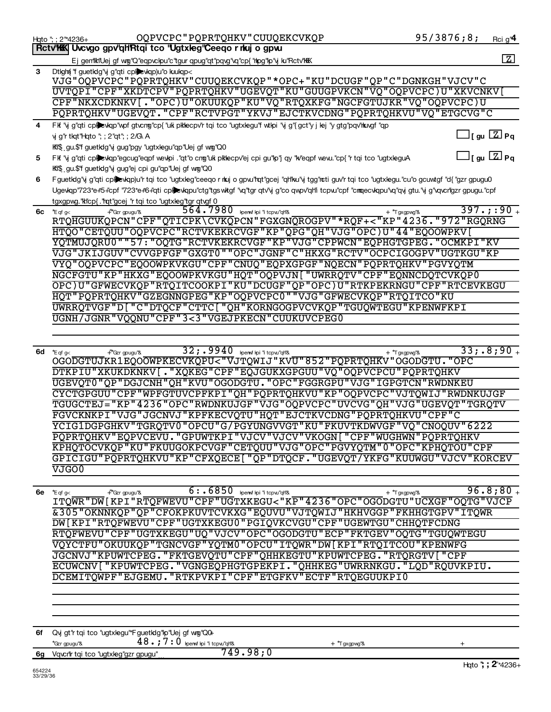|          | OQPVCPC"PQPRTQHKV"CUUQEKCVKQP<br>Hqto "; ; 2"*4236+                                                                                                           | 95/3876;8;                     | Rci g' <sup>4</sup> |
|----------|---------------------------------------------------------------------------------------------------------------------------------------------------------------|--------------------------------|---------------------|
|          | Rctv'KK Uvcvgo gpv'qHRtqi tco 'Ugtxleg'Ceeqo r nkuj o gpvu                                                                                                    |                                |                     |
|          | Ej gen'iki'Uej gf wig''Q'eqpvckpu'c'tgur qpug''qt'pqvg''vq''cp{ 'hipg''lp''y ku''Rctv'hikk                                                                    |                                | $\boxed{Z}$         |
| 3        | Dtight "f guetidg"y g"qti cplexiqp)u"o kuulqp<                                                                                                                |                                |                     |
|          | VJG"OQPVCPC"PQPRTQHKV"CUUQEKCVKQP"*OPC+"KU"DCUGF"QP"C"DGNKGH"VJCV"C                                                                                           |                                |                     |
|          |                                                                                                                                                               |                                |                     |
|          | UVTQPI"CPF"XKDTCPV"PQPRTQHKV"UGEVQT"KU"GUUGPVKCN"VQ"OQPVCPC)U"XKVCNKV[                                                                                        |                                |                     |
|          | CPF"NKXCDKNKV[."OPC)U"OKUUKQP"KU"VQ"RTQXKFG"NGCFGTUJKR"VQ"OQPVCPC)U                                                                                           |                                |                     |
|          | PQPRTQHKV"UGEVQT. "CPF"RCTVPGT"YKVJ"EJCTKVCDNG"PQPRTQHKVU"VQ"ETGCVG"C                                                                                         |                                |                     |
| 4        | FK "y g"qti cpibewqp"wpf gtvcng"cp{ "uk plklecpv'r tqi tco "ugtxlegu"f wtlpi "y g"{ gct"y j lej "y gtg"pqv'huvgf "qp                                          |                                |                     |
|          | y g'r tkqt"Hqto "; ; 2"qt"; ; 2/G\ A                                                                                                                          | $\bigsqcup$ [ gu $\fbox{Z}$ Pq |                     |
|          |                                                                                                                                                               |                                |                     |
|          | KI\$. gu.\$'f guetkig'\j gug'pgy 'ugtxlegu''qp''Uej gf wg''Q0                                                                                                 |                                |                     |
| 5        | FK "y g"qti cplewqp"egcug"eqpf wewpi ."qt"o cng"uk pklecpv'ej cpi gu"p"j qy "k/'eqpf wew."cp{ "r tqi tco "ugtxleguA                                           | $\Box$ [ gu $\Box$ ] Pq        |                     |
|          | Ki\$ gu.\$'f guetkig'\j gug''ej cpi gu''qp''Uej gf wg''Q0                                                                                                     |                                |                     |
| 6        | Fguetkig"vj g"qti cplickiqp)u"r tqi tco "ugtxleg"ceeqo r nkuj o gpvu"rqt"gcej "qh'ku"vj tgg"ncti guv'r tqi tco "ugtxlegu. "cu"o gcuwtgf "d{ "gzr gpugu0       |                                |                     |
|          | Ugevkqp"723*e+5+"cpf "723*e+6+"qti cplevkqpu"ctg"tgswitgf "vq"tgr qtv'y g"co qwpv"qh'i tcpvu"cpf "cmqecvkqpu"vq"qvj gtu."yj g"vqvcn"gzr gpugu."cpf            |                                |                     |
|          | tgxgpwg."klcp{.'hqt"gcej "r tqi tco "ugtxleg"tgr qtvgf 0                                                                                                      |                                |                     |
|          | 564.7980                                                                                                                                                      |                                | $397.$ ;:90 $_{+}$  |
|          | kpenwf kpi 'i tcpw"qh"&<br>$6c$ *Eqf g<<br><del>√</del> *Gzrgpugu"&<br>+ *Tgxgpwg"&<br>RTQHGUUKQPCN"CPF"QTICPK\CVKQPCN"FGXGNQROGPV"*RQF+<"KP"4236."972"RGQRNG |                                |                     |
|          |                                                                                                                                                               |                                |                     |
|          | HTQO"CETQUU"OQPVCPC"RCTVKEKRCVGF"KP"QPG"QH"VJG"OPC)U"44"EQOOWPKV[                                                                                             |                                |                     |
|          | YQTMUJQRU0""57: "OQTG"RCTVKEKRCVGF"KP"VJG"CPPWCN"EQPHGTGPEG. "OCMKPI"KV                                                                                       |                                |                     |
|          | VJG"JKIJGUV"CVVGPFGF"GXGT0""OPC"JGNF"C"HKXG"RCTV"OCPCIGOGPV"UGTKGU"KP                                                                                         |                                |                     |
|          | VYQ"OQPVCPC"EQOOWPKVKGU"CPF"CNUQ"EQPXGPGF"NQECN"PQPRTQHKV"PGVYQTM                                                                                             |                                |                     |
|          | NGCFGTU"KP"HKXG"EQOOWPKVKGU"HQT"OQPVJN["UWRRQTV"CPF"EQNNCDQTCVKQP0                                                                                            |                                |                     |
|          | OPC)U"GFWECVKQP"RTQITCOOKPI"KU"DCUGF"QP"OPC)U"RTKPEKRNGU"CPF"RTCEVKEGU                                                                                        |                                |                     |
|          |                                                                                                                                                               |                                |                     |
|          | HQT"PQPRTQHKV"GZEGNNGPEG"KP"OQPVCPC0""VJG"GFWECVKQP"RTQITCO"KU                                                                                                |                                |                     |
|          | UWRRQTVGF"D["C"DTQCF"CTTC["QH"KORNGOGPVCVKQP"TGUQWTEGU"KPENWFKPI                                                                                              |                                |                     |
|          | UGNH/JGNR"VQQNU"CPF"3<3"VGEJPKECN"CUUKUVCPEG0                                                                                                                 |                                |                     |
|          |                                                                                                                                                               |                                |                     |
|          |                                                                                                                                                               |                                |                     |
|          | 32; . 9940 benwf lpi 'i tcpw"qh'&                                                                                                                             |                                | $33; .8; 90+$       |
|          | $6d$ *Eqf g<<br>+™Gzrgpugu"&<br>+ *Tgxgpwg"&<br>OGODGTUJKR1EQOOWPKECVKQPU<"VJTQWIJ"KVU"852"PQPRTQHKV"OGODGTU."OPC                                             |                                |                     |
|          |                                                                                                                                                               |                                |                     |
|          | DTKPIU"XKUKDKNKV[."XQKEG"CPF"EQJGUKXGPGUU"VQ"OQPVCPCU"PQPRTQHKV                                                                                               |                                |                     |
|          | UGEVQT0"QP"DGJCNH"QH"KVU"OGODGTU. "OPC"FGGRGPU"VJG"IGPGTCN"RWDNKEU                                                                                            |                                |                     |
|          | CYCTGPGUU"CPF"WPFGTUVCPFKPI"QH"PQPRTQHKVU"KP"OQPVCPC"VJTQWIJ"RWDNKUJGF                                                                                        |                                |                     |
|          | TGUGCTEJ="KP"4236"OPC"RWDNKUJGF"VJG"OQPVCPC"UVCVG"QH"VJG"UGEVQT"TGRQTV                                                                                        |                                |                     |
|          | FGVCKNKPI"VJG"JGCNVJ"KPFKECVQTU"HQT"EJCTKVCDNG"PQPRTQHKVU"CPF"C                                                                                               |                                |                     |
|          | YCIG1DGPGHKV"TGRQTV0"OPCU"G/PGYUNGVVGT"KU"FKUVTKDWVGF"VQ"CNOQUV"6222                                                                                          |                                |                     |
|          | PQPRTQHKV"EQPVCEVU. "GPUWTKPI"VJCV"VJCV"VKOGN["CPF"WUGHWN"PQPRTQHKV                                                                                           |                                |                     |
|          |                                                                                                                                                               |                                |                     |
|          | KPHQTOCVKQP"KU"FKUUGOKPCVGF"CETQUU"VJG"OPC"PGVYQTM"0"OPC"KPHQTOU"CPF                                                                                          |                                |                     |
|          | GPICIGU"PQPRTQHKVU"KP"CFXQECE["QP"DTQCF."UGEVQT/YKFG"KUUWGU"VJCV"KORCEV                                                                                       |                                |                     |
|          | <b>VJGO0</b>                                                                                                                                                  |                                |                     |
|          |                                                                                                                                                               |                                |                     |
|          | 6 : . 6850 kpenuf kpi 'i tcpw"qH&<br>6e $*_{Eqf g < }$<br>+ *Tgxgpwg"&<br>+"Gzr gpugu"&                                                                       |                                | 96.8;80.            |
|          | ITQWR"DW [KPI"RTQFWEVU"CPF"UGTXKEGU<"KP"4236"OPC"OGODGTU"UCXGF"OQTG"VJCP                                                                                      |                                |                     |
|          | &305"OKNNKQP"QP"CFOKPKUVTCVKXG"EQUVU"VJTQWIJ"HKHVGGP"FKHHGTGPV"ITQWR                                                                                          |                                |                     |
|          | DW [KPI"RTQFWEVU"CPF"UGTXKEGU0"PGIQVKCVGU"CPF"UGEWTGU"CHHQTFCDNG                                                                                              |                                |                     |
|          |                                                                                                                                                               |                                |                     |
|          | RTQFWEVU"CPF"UGTXKEGU"UQ"VJCV"OPC"OGODGTU"ECP"FKTGEV"OQTG"TGUQWTEGU                                                                                           |                                |                     |
|          | VOYCTFU"OKUUKOP"TGNCVGF"YOTM0"OPCU"ITOWR"DW[KPI"RTOITCOU"KPENWFG                                                                                              |                                |                     |
|          | JGCNVJ "KPUWTCPEG. "FKTGEVQTU "CPF "QHHKEGTU "KPUWTCPEG. "RTQRGTV [ "CPF                                                                                      |                                |                     |
|          | ECUWCNV["KPUWTCPEG."VGNGEQPHGTGPEKPI."QHHKEG"UWRRNKGU."LQD"RQUVKPIU.                                                                                          |                                |                     |
|          | DCEMITQWPF"EJGEMU. "RTKPVKPI"CPF"ETGFKV"ECTF"RTQEGUUKPI0                                                                                                      |                                |                     |
|          |                                                                                                                                                               |                                |                     |
|          |                                                                                                                                                               |                                |                     |
|          |                                                                                                                                                               |                                |                     |
|          |                                                                                                                                                               |                                |                     |
|          |                                                                                                                                                               |                                |                     |
|          | 6f Qvj gt"r tqi tco "ugtxlegu"*FguetIdg"lp"Uej gf wrg"Q0+                                                                                                     |                                |                     |
|          | $48.77:0$ kperwf kpi 'i tcpvu"qh'&<br>*Gzr gpugu''&                                                                                                           |                                |                     |
|          | + "T gxgpwg"&<br>749.98;0                                                                                                                                     |                                |                     |
|          | 6g Vqvcrir tqi tco "ugtxleg"gzr gpugu"                                                                                                                        |                                |                     |
| 654224   |                                                                                                                                                               |                                | Hgto "; ; 2"*4236+  |
| 33/29/36 |                                                                                                                                                               |                                |                     |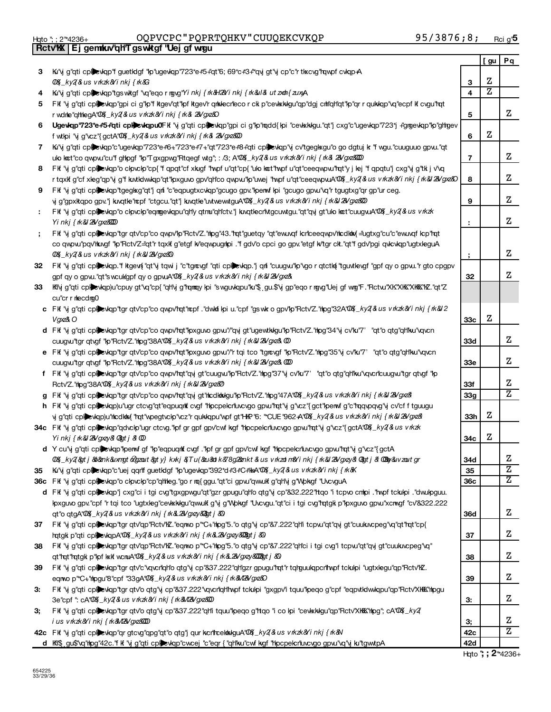|  | Hgto "; ; 2"*4236+ |
|--|--------------------|
|  |                    |

## Hqto "; ; 2"\*4236+ OQPVCPC " PQPRTQHKV " CUUQEKCVKQP 95/3876 ; 8 ; <sub>Rcig'</sub>

|    | Rctv'K Ej gemku 'qh'T gswktgf "Uej gf wrgu                                                                                               |                |     |    |
|----|------------------------------------------------------------------------------------------------------------------------------------------|----------------|-----|----|
|    |                                                                                                                                          |                | [gu | Pq |
| 3  | Ki'\j g"qti cplexkqp"f guetklgf "lp"ugevkqp"723*e+5+'qt"6; 69*c+3+"qvj gt"y cp"c"r tlxcvg"rqwpf cvkqp+A                                  |                |     |    |
|    | 00%_ky2{&usvrkzk&Yinkj{rk&G                                                                                                              | 3              | Ζ   |    |
| 4  | Ki'ij g''qti cplexkqp''tgswktgf ''vq''eqor mgvg''Yi nkj { m'&H2Yi nkj { m'&il& ut zob{ zuxyA                                             | 4              | Ζ   |    |
| 5. | Fif "y g"qti cpicylop"gpi ci g"ip"f kgev"qt"lpf kgev"r qrkkecrlecor ck p"cevkkkgu"qp"dgj critiqh"qt"p"qr r qukkqp"vq"ecpf k cvgu"rqt     |                |     |    |
|    | r wdnhe"qhthegA"00%[ky2(&us vrkzk&Yinkj{rk&l 2&Vgxz&O                                                                                    | 5              |     | z  |
| 6  | Ugewqp'723*e+5+'qti cplewqpu0Fk 'vj g''qti cplewqp''gpi ci g''p''mqdd{ kpi "cevkkkgu.''qt'j cxg''c'ugevqp''723*j +'gmgevkqp''kp''ghgev   |                |     |    |
|    |                                                                                                                                          | 6              | Ζ   |    |
|    | f wtkpi "vj g"vcz"{gctA"00%_ky2{&us v rkzk&Yi nkj {rk& 2&/gxz&00                                                                         |                |     |    |
| 7  | Kı"y g"qti cplevkqp"c"ugevkqp"723*e#6+"723*e#7+"qt"723*e#8+"qti cplevkqp"y cv"tgegkxgu"o go dgtuj k "f wgu."cuuguuo gpvu."qt             |                |     | Ζ  |
|    | ulo kat"co qwpw."cu"f ghlpgf "lp"Tgxgpwg"Rtqegf wtg"; : /3; A"00%_ky2 & us v rkzk&/i nkj { rk& 28/gyz&000                                | $\overline{7}$ |     |    |
| 8  | Fif "y g"qti cpicylgp"o clpvclp"cp{ "f qpqt"cf xkugf "twpf u"qt"cp{ "ulo lact"twpf u"qt"ceeqwpw"tqt"y j lej "f qpqtu"j cxg"y g"tk j v'vq |                |     |    |
|    | r tqxlf g"cf xleg"qp"y g"f kutklwkqp"qt"kpxguvo gpv"qh"co qwpw"kp"uwej "hwpf u"qt"ceeqwpwA"0&Lky2&us vkzk&i nkj { k&l2&/gxz&             | 8              |     | Ζ  |
| 9  | FK "y g"qti cplexkqp"tgegkxg"qt"j qnf "c"eqpugtxcvkqp"gcugo gpv."lperwf lpi "gcugo gpvu"vq"r tgugtxg"qr gp"ur ceg.                       |                |     |    |
|    | y g"gpxkqpo gpv."j kwqtle"ncpf "ctgcu."qt"j kwqtle"uvtwewvtguA"00%_ky2 & us v rkzk&i nkj { rk&l 2&/gxz&00                                | 9              |     | Ζ  |
|    | FK "y g"qti cplexiqp"o clovclo"eqmgeviqpu"qh"y qtmu"qh"ctv."j knqtlecrivtgcuwtgu."qt"qvjgt"ulo kat"cuugvuA"Q\$_ky2&us vkzk               |                |     |    |
|    | Yinkj{nk&J2&Vgxz&000                                                                                                                     |                |     | Ζ  |
| ÷  | FK "y g"qti cplexkqp"tgr qtv"cp"co qwpv"lp"Rctv"Z."nog"43."rqt"guetqy "qt"ewuxqf kriceeqwpv'ncdkm(="ugtxg"cu"c"ewuxqf kcp"rqt            |                |     |    |
|    | co qwpw"pqv'tkngf "łp"Rctv'Z=qt"r tqxlf g"etgf k/'eqwpugitpi ."f gdv'o cpci go gpv."etgf k/'tgr ck."qt"f gdv'pgi qwcwqp"ugtxleguA        |                |     |    |
|    | 00%_ky2{&usvrkzk&Yinkj{rk&J2&Vgxz&O                                                                                                      |                |     | Ζ  |
| 32 | FK "y g"qti cplexiqp." Kgevn "qt"y tqwi j "c"tgrcvgf "qti cplexiqp." jqni "cuugw"p" gor qtctkn "tguvtlevgf "gpf qy o gpw. "r gto cpgpv   |                |     |    |
|    | gpf qy o gpw."qt"swcukgpf qy o gpwA"00%_ky2 & us v rkzk&i nkj { rk&l 2&/gxz&                                                             | 32             |     | Ζ  |
| 33 | Kfly g"qti cplickyap)u"cpuy gt"vq"cp{ "qHly g"ramay lpi "swguvkqpu"ku"\$ gu.\$"y gp"eqo r ngvg"Uej gf wng"F ."Rctw"XK"XKK"XKKK"KZ."qt"Z  |                |     |    |
|    | cu"cr r mlecdrg0                                                                                                                         |                |     |    |
|    | c FK "y g"qti cplexkqp"tgr qtv"cp"co qwpv"rqt"repf ."dwkfi kpi u."cpf "gswk o gpv"kp"Rctv"Z."rhpg"32A"08 _ky2&us vkxk&i nkj {k&22        |                |     |    |
|    | Vgxz&O                                                                                                                                   | 33c            | z   |    |
|    | d FK "y g"qti cplevkqp"tgr qtv"cp"co qwpv"rqt"koxguvo gpvu"/"qyj gt"ugewtkkgu"kp"Rctv"Z."htpg"34"y cv'ku"7' "qt"o qtg"qh'ku"vqvcn        |                |     |    |
|    |                                                                                                                                          | 33d            |     | Ζ  |
|    | cuugwitgr qtvgf "lp"Rctv'Z. "lipg"38A"00%_ky2 & us v rkzk&ri nkj { rk& 2& gxz& 00                                                        |                |     |    |
|    | e FK "y g"qti cplevkqp"tgr qtv"cp"co qwpv"rqt"koxguvo gpw"/"r tqi tco "tgrevgf "kp"Rctv"Z."nlog"35"y cv'ku"7' "qt"o qtg"qhlku"vqvcn      |                |     | Ζ  |
|    | cuugwitgr qtvgf "lp"Rctv'Z. "htpg"38A"00%_ky2&us vikzk&inkj {ik&l2&/gxz&000                                                              | <b>33e</b>     |     |    |
|    | f FK "y g"qti cplevkqp"tgr qtv"cp"co qwpv'tqt"qy gt"cuugw"lp"Rctv'Z."hpg"37"y cv'ku"7' "qt"o qtg"qh"ku"vqvcncuugw"tgr qtvgf "lp          |                |     |    |
|    | Rctv'Z."htpg"38A"00{{Lky2{&us vrkzk&Yinkj{rk&J2&/gxz&D                                                                                   | 33f            |     | Ζ  |
|    | g FK "y g"qti cplexkqp"tgr qtv'cp"co qwpv'rqt"qy gt'hcdkhkkgu"lp"Rctv'Z."htpg"47A"QQ _ky2 & us vkxx&'i nkj {k&l28/gxz&                   | 33g            |     | Z  |
|    | h Fit "y g"qti cplewqp)u"ugr ctcvg"qt"eqpuqit cvgf "hipcpelcrluvcvgo gpw"rqt"y g"vcz"{gct"perwf g"c"rqqvpqvg"y cv"cf ftguugu             |                |     |    |
|    | vjg"qti cplicologyu"hicdkhi("hqt"wpegtvckp"vcz"rqukkqpu"wpfgt"HKP"6: ""CUE"962+A"Q&Lky2{&usvkzk&Yinkj{rk&l2&Vgxz&                        | 33h            | z   |    |
|    | 34c FK '\j g"qti cplexkqp"qdvckp"ugr ctcvg."kpf gr gpf gpv"cwf kgf "Hpcpelcrluvcvgo gpvu"hqt'\j g"vcz"{gctA'02{Lky2{&us vktzk            |                |     |    |
|    | Yinkj{rk&J2&Vgxzy&iQ&gtj&iOD                                                                                                             | 34с            | z   |    |
|    | d Y cu'vj g''qti cpl evkqp''hoenvf gf ''hp''eqpuqnk cvgf .''hpf gr gpf gpv''cwf kgf ''hpcpekcri'uvcvgo gpvu''mqt'vj g''vcz''{gctA        |                |     |    |
|    | 004_ky2(&gtj&b&ank&uxmgt&gzout&gty}kxkj&,Tu(&au&otk&78g2&ankt&usvrkzotm&Yinkj{rk&J2&Ygxzy&Q&gtj&0Bby&uvzoutgr                            | 34d            |     | z  |
| 35 | Ku''y g"qti cplexkqp"c"uej qqrtf guetklgf "lp"ugevkqp"392*d+3+C+1kkA"0&Lky2&us v rkzk&ri nkj { rk&                                       | 35             |     | Ζ  |
|    | 36c FK "vj g"qti cplexkqp"o ckpvckp"cp"qltheg."go r mq{ggu."qt"ci gpw."qwwlkig"qltlvj g"Wpkgf "UvcvguA                                   | 36c            |     | Ζ  |
|    | d FK "y g"qti cplewqp" cxg"ci i tgi cvg"tgxgpwgu"qt"gzr gpugu"qtho qtg"y cp"&32.222"ttqo "i tcpvo cmlpi ."twef tckulpi ."dwulpguu.       |                |     |    |
|    | lpxguvo gpv."cpf "r tqi tco "ugtxleg"cevlixlidgu"qwulf g"vj g"Wplkgf "Uvcvgu."qt"ci i tgi cvg"rqtglk p"lpxguvo gpvu"xcnvgf "cv"&322.222  |                |     |    |
|    | qt"oqtgA"00%[ky2(&lusvkzk&Yinkj{k&L2&Ygxzy&2@tj&Q                                                                                        | <b>36d</b>     |     | z  |
| 37 | FK "y g"qti cplexkqp"tgr qtv"qp"Rctv"kZ."eqmo p" C+"hog"5."o qtg"y cp"&7.222"qh'i tcpw"qt"qyj gt"cuukucpeg"vq"qt"rqt"cp{                 |                |     |    |
|    | hotgkip"qticplexkqpA"00%_ky2 & us vkzk&/inkj{k&2&/gxzy&00gtj&                                                                            | 37             |     | Ζ  |
| 38 | FK "y g"qti cplevkqp"tgr qtv"qp"Rctv"kZ."eqmo p" C+"hog"5."o qtg"y cp"&7.222"qh"ci i tgi cvg"i tcpvu"qt"qvj gt"cuukuvcpeg"vq"            |                |     |    |
|    | qt" hqt" hqtglk p" lof lax k wcnuA" 00% _ ky 2 & us v rkzk& i nkj { rk& 2& gxzy&000gt j & 0                                              | 38             |     | Ζ  |
| 39 | Fif "y g"qti cpicwap"tgr qtv'c"vqvcriqho qtg"y cp"&37.222"qh'gzr gpugu"rqt"r tqhguukqpcrihvpf tckulpi "ugtxlegu"qp"Rctv'hZ.              |                |     |    |
|    | eqnwo p <sup>"*</sup> C+"hpgu"8"cpf "33gA"00%_ky2&us vikzk&inkj{ik&M2&Vgxz&O                                                             | 39             |     | Ζ  |
| з. | FK "y g"qti cplexkqp"tgr qtv"o qtg"y cp"&37.222"xqvcrlqhhvpf tckulpi "gxgpv"i tquu"lpeqo g"cpf "eqpvtklww.qpu"qp"Rctv"XKK"hpgu           |                |     |    |
|    |                                                                                                                                          | 3.             |     | z  |
|    | 3e"cpf": cA"00%_ky2{&us vrkzk&Yinkj{rk&M2&Vgxz&00                                                                                        |                |     |    |
| З, | FK "y g"qti cplevkqp"tgr qtv'o qtg"y cp"&37.222"qHi tquu"lpeqo g'ttqo "i co lpi "cevkkkgu"qp"Rctv'XHK\"lipg"; cA"Q{{_ky2}                |                |     | z  |
|    | iusvrkzk&Yinkj{rk&M2&Vgxz&000                                                                                                            | 3,             |     | Ζ  |
|    | 42c FK "y g"qti cplexkqp"qr gtcvg"qpg"qt"o qtg"j qur kcritcektkkguA"00%_ky2(&us vkxk&Yinkj{k&N                                           | 42c            |     |    |
|    | d Ki\$ gu\$'\q''ripg"42c."f k '\j g"qti cplexkqp"cwcej "c"eqr { "qh'lku"cwf kgf "hipcpelcriuvcygo gpw."\q'\j ku"tgwtpA                   | 42d            |     |    |

 **H**qto "; ; **2** \*4236-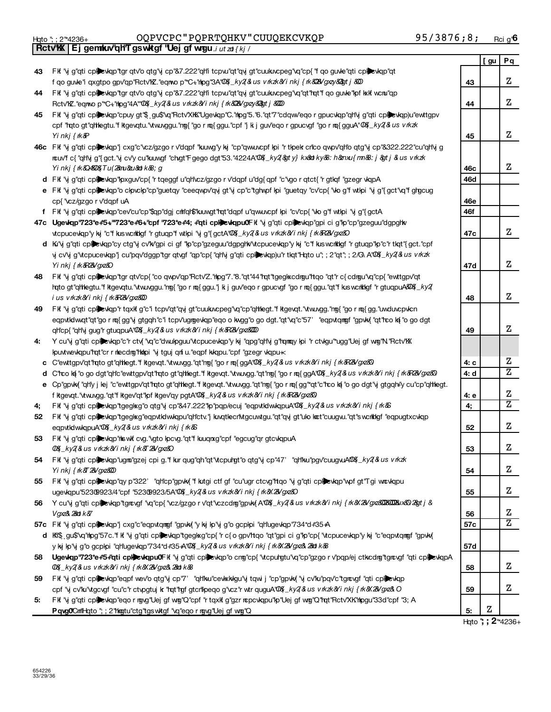|    | Rctv'KX Ej gemkuv'qHT gswktgf "Uej gf wrgu i ut zot { kj /                                                                                  |      |     |                     |
|----|---------------------------------------------------------------------------------------------------------------------------------------------|------|-----|---------------------|
|    |                                                                                                                                             |      | [gu | Pq                  |
| 43 | FK "y g"qti cplexkqp"tgr qtv'o qtg"y cp"&7.222"qHi tcpw"qt"qy gt"cuukucpeg"vq"cp{"f qo guvle"qti cplexkqp"qt                                |      |     |                     |
|    | f qo guvle'i qxgtpo gpv'qp''Rctv'KZ. "eqmo p""C+"hpg"3A"QQK_ky2&us vkzk&Yi nkj {k&2&Ygxzy&2gt j &20                                         | 43   |     | Ζ                   |
| 44 | FK "y g"qti cplexkqp"tgr qtv'o qtg"y cp"&7.222"qHi tcpw"qt"qy gt"cuukucpeg"vq"qt"rqt"f qo guve"lof kxk wcru"qp                              |      |     |                     |
|    | Rctv"KZ."eqnwop" "C+"hipg"4A"" 00% _ ky2(&us v rkzk&Yinkj{rk&28Vgxzy&2gtj&000                                                               | 44   |     | Z                   |
| 45 |                                                                                                                                             |      |     |                     |
|    | FK "y g"qti cpicwqp"cpuy gt"\$ gu\$"xq"Rctv"XK "Ugevkqp"C."mog"5."6."qt"7"cdqw"eqo r gpucvkqp"qh'y g"qti cpicwkqp)u"ewttgpv                 |      |     |                     |
|    | cpf "rato gt"qhlegtu." fkgevqtu." twuvggu." ng{ "go r nq{ ggu." cpf "j k j guv" eqo r gpucvgf "go r nq{ gguA" 0\$ _ky2 & us v rkzk          |      |     | Z                   |
|    | Yi nkj { rk&P                                                                                                                               | 45   |     |                     |
|    | 46c Fit "y g"qti cplewqp"j cxg"c"vcz/gzgorv"dqpf "kuwg"y ky "cp"qwuvcpf lpi "r tlpek crico qwpv"qho qtg"y cp"&322.222"cu"qh'y g             |      |     |                     |
|    | ncuv'fc{"qh'\jg"{gct."\jcv'ycu"kuwgf"chgt"Fgegodgt"53."4224A"00{_ky2{&ty}kx&ndky&8:h&mxu{mn&8:j&gtj&usvrkzk                                 |      |     |                     |
|    | Yinkj{rk&Q4&D&{Tu(2μ&zu&dok&8;g                                                                                                             | 46с  |     | Ζ                   |
|    | d FK "vj g"qti cplexkqp"lpxguv"cp{ "r tqeggf u"qh'vcz/gzgo r v"dqpf u"dg{ qpf "c"vgo r qtct{ "r gtkqf "gzegr wqpA                           | 46d  |     |                     |
|    | e FK "y g"qti cplexkqp"o ckpvckp"cp"guetqy "ceeqwpv"qy gt"y cp"c"tghwpf kpi "guetqy "cv"cp{ "wo g"f wtkpi "y g"{gct"vq"f ghgcug             |      |     |                     |
|    | cp{ "vcz/gzgo r v"dqpf uA                                                                                                                   | 46e  |     |                     |
|    | f FK "y g"qti cplexkqp"cev"cu"cp"\$qp"dgj crhlqf\$"kuwgt"rqt"dqpf u"qwuwcpf kpi "cv"cp{ "wo g"f wtkpi "y g"{gctA                            | 46f  |     |                     |
|    | 47c Ugewqp"723*e+5+"723*e+6+"cpf "723*e+4; +'qti cplexkqpu0Fk "y g"qti cplexkqp"gpi ci g"lp"cp"gzeguu"dgpgltv                               |      |     |                     |
|    | vtcpucevkqp'y kj "c"f kus wcrktkgf "r gtuqp"f wtkpi "vj g"{ gctA"00 k ky2 & us v rk zk & i nkj { rk & R & G x & D                           | 47c  |     | z                   |
|    | d Kı"y g"qti cplexkqp"cy ctg"y cv"k/"gpi ci gf "kp"cp"gzeguu"dgpgltk'\tcpucevkqp"y kj "c"f kuswcrkklgf "r gtuqp"kp"c"r tkqt"{gct."cpf       |      |     |                     |
|    | y cv'y g"vtcpucevkqp"j cu"pqv"dggp"tgr qtvgf "qp"cp{ "qh'y g"qti cplietyap)u"r tkqt"Hqto u"; ; 2"qt"; ; 2/G\ A"Q\$_ky2{&us v rkzk           |      |     |                     |
|    | Yinkj{rk&R2&Vgxz&O                                                                                                                          | 47d  |     | Ζ                   |
| 48 | FK "y g"qti cplexkqp"tgr qtv'cp{ "co qwpv'qp"Rctv'Z."hpg"7."8."qt"44"rqt"tgegkxcdrgu"ttqo "qt"r c{cdrgu"vq"cp{ "ewttgpv'qt                  |      |     |                     |
|    | hqto gt"qhtegtu."fkgevqtu."vtwuvggu."ng{ "go r rq{ggu."j ki j guv"eqo r gpucvgf "go r rq{ggu."qt"fkuswcrktligf "r gtuqpuA&Q&_ky2            |      |     |                     |
|    | ius vrkzk&Yinkj{rk&R2&Vgxz&00                                                                                                               | 48   |     | Ζ                   |
| 49 | FK "y g"qti cplexkqp" tqxk g"c"i tcpv"qt"qy gt"cuukwcpeg"vq"cp"qltlegt."fkgevqt."vtww.gg."mg{"gormq{gg."uwduvcpvkcn                         |      |     |                     |
|    | eqpvtkdwqt"qt"gormq{gg"yigtgqh"c"itcpv"ugmgevkqp"eqookwgg"ogodgt."qt"vq"c"57' "eqpvtqmgf"gpvkx{"qt"rcokx{"ogodgt                            |      |     |                     |
|    | qhcp{"qhy gug" gtuqpuA"00%_ky2{&us vkzk&inkj{k&R2&yz&000                                                                                    | 49   |     | Ζ                   |
| 4: | Y cu'\j g"qti cplexkqp"c"r ctv{ "\q"c"dwulpguu"vtcpucevkqp"y kj "qpg"qh\j g"rqmqy kpi "r ctvkgu"ugg"Uej gf wng"N "Rctv"KX                   |      |     |                     |
|    | kpuvtwevkqpu"rqt"cr r necdrg"hknpi "vj tguj qnf u."eqpf kvkqpu."cpf "gzegr vkqpu-                                                           |      |     |                     |
|    | c C"ewttgpv"qt"rqto gt"qthegt."f kgevqt."vtw.vgg."qt"ng{"gormq{ggA"02{Lky2{&usvkzk&Yinkj{rk&R2&Ygxz&D                                       | 4: с |     | z                   |
|    | d C'rco ką "o go dgt"qrlc"ewttgpv'qt 'rqto gt"qrliegt. "f kgevqt. "vtw.vgg. "qt"ng{ "go r mq{ggA'00 k _ky2 & us v rkzk&i nkj { rk&R2&/gxz&D | 4: d |     | $\overline{z}$      |
|    | e Cp"gpvk{ "qhly j lej "c"ewttgpv"qt"rqto gt"qhlegt."f kgevqt."vtwuvgg."qt"ng{ "go r mq{gg"*qt"c"rco k{ "o go dgt"vj gtgqh#y cu"cp"qhlegt.  |      |     |                     |
|    | f ktgevqt. "vtw.v.v.gg."qt"f ktgev"qt"kpf ktgev"qy pgtA"Q\$(_ky2{&us vkxk&Yinkj{k&R2&/gxz&)                                                 | 4: e |     | Ζ                   |
| 4; | FK "vj g"qti cplinety englished of the "s47.222" p"pqp/ecuj "eqpvtklww.kqpuA"Q& Lky2 & us v rkzk&Yi nkj { rk &                              | 4,   |     | $\overline{z}$      |
| 52 | FK "y g"qti cpicwap"tgegkg"eqpvtklwkqpu"qHctv."j knqtlecrivtgcuwtgu."qt"qyj gt"ulo kot"cuugw."qt"swcrklgf "eqpugtxcvkqp                     |      |     |                     |
|    | eqpvtkdwkqpuA"00%_ky2(&us vrkzk&Yinkj{rk&S                                                                                                  | 52   |     | Z                   |
| 53 | FK "y g"qti cplewqp"ts wk cvg. "vgto lpcvg."qt"f kuuqnxg"cpf "egcug"qr gtcvkqpuA                                                            |      |     |                     |
|    | 0% ky2 & us vrkzk&/inkj{rk&T2&/gxz&O                                                                                                        | 53   |     | Z                   |
| 54 | FK "y g"qti cplexkqp"ugm"gzej cpi g."f kur qug"qh"qt"vtcpulgt"o qtg"y cp"47' "qh"ku"pgv"cuugvuAQ&Lky2&us vkzk                               |      |     |                     |
|    | Yinkj{rk&T2&Vgxz&20                                                                                                                         | 54   |     | z                   |
| 55 | FK "y g"qti cpickyqp"qy p"322' "qh"cp"gpvk{ "f kutgi ctf gf "cu"ugr ctcvg"ttqo "y g"qti cpickqp"wpf gt"Tgi www.                             |      |     |                     |
|    | ugevkqpu"52309923/4"cpf "52309923/5A"00%_ky2 & us v rkzk&/i nkj {rk&28/gxz&O                                                                | 55   |     | Ζ                   |
| 56 | Y cu'\j g''qti cpl evkqp''tgrevgf '\q''cp{ '\cz/gzgor v'qt'\czcdrg'gpvk{A'\D\${_ky2 & us vkxk&i nkj { kx 28/gx23D2300221x20 23gt j &        |      |     |                     |
|    | Vgxz&l 28atrk&7                                                                                                                             | 56   |     | z                   |
|    | 57c FK 'vj g''qti cplexkqp''j cxg''c''eqpvtqmgf ''gpvkv{ 'y kj kp''vj g''o gcpkpi ''qh'ugevkqp''734*d#35+A                                  | 57c  |     | Z                   |
|    | d Ki\$ gu\$"vq"hpg"57c."f K "y g"qti cplexkqp"tgeglxg"cp{"r c{o gpv"tqo "qt"gpi ci g"lp"cp{"vtcpucevlqp"y ky "c"eqpvtqmgf "gpvky            |      |     |                     |
|    | y kj kp"vj g"o gcpkpi "qh"ugevkqp"734*d#35+A"Q& _ky2& us v rkzk&/i nkj { rk&2&/gxz&2&d k&                                                   | 57d  |     |                     |
| 58 | Ugewqp'723*e+5+'qti cplevkqpu0Fk 'vj g''qti cplevkqp'o cng''cp{ 'vtcpulgtu'vq''cp''gzgor v'pqp/ej ctkcdmg'tgmogf ''qti cplevkqpA            |      |     |                     |
|    | 004 _ky2(&lusvrkzk&Yinkj{rk&X2&Vgxz&l2&ndik&B                                                                                               | 58   |     | Ζ                   |
| 59 | FK "y g"qti cpleckqp"eqpf wev"o qtg"y cp"7' "qh'ku"cevkkkgu"y tqwi j "cp"gpvk{ "y cv'ku"pqv"c"tgrevgf "qti cpleckqp"                        |      |     |                     |
|    | cpf "y cv'ku"vtgcvgf "cu"c"r ctvpgtuj k "rqt"rgf gtcrilpeqo g"vcz"r wtr quguA"0\$(_ky2 & us vkxk&/i nkj {k&28/gx&O                          | 59   |     | Ζ                   |
| 5: | FK "y g"qti cplevkqp"eqormgyg"Uej gf wg"Q"cpf "r tqxkf g"gzr ncpcvkqpu"lp"Uej gf wg"Q"mqt"Rctv"Xk"hipgu"33d"cpf "3; A                       |      |     |                     |
|    | Pqvg0Cmll-lqto "; ; 2"hkgtu"ctg"tgswktgf "vq"eqorrgyg"Uej gfwrg"Q                                                                           | 5.   | Ζ   |                     |
|    |                                                                                                                                             |      |     | Hqto "; ; 2 * 4236+ |

654226<br>33/29/36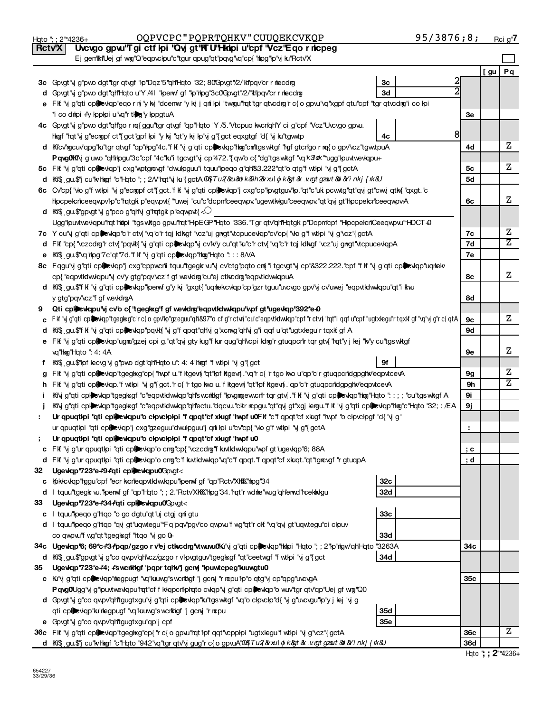|        | 95/3876;8;<br>OQPVCPC"PQPRTQHKV"CUUQEKCVKQP<br>Hqto "; ; 2"*4236+                                                                                         |              |     | <u>Rci g</u> " <b>7</b> |
|--------|-----------------------------------------------------------------------------------------------------------------------------------------------------------|--------------|-----|-------------------------|
| Rctv'X | Uvcvgo gpvu"Tgi ctf lpi "Qvj gt"KTU"Hkilpi u"cpf "Vcz"Eqo r ricpeg                                                                                        |              |     |                         |
|        | Ej gen'iki'Uej gf wg''Q''eqpvckpu''c''tgur qpug''qt''pqvg''vq''cp{ "hipg"kp''y ku''Rctv'X                                                                 |              |     |                         |
|        |                                                                                                                                                           |              | [gu | Pq                      |
|        | 3c Govgt"y g"pwo dgt"tgr qtvgf "lp"Dqz"5"qh"Hqto "32; 80'Govgt"/2/"klipqv"cr r rilecdrig<br>3c                                                            | $\mathbf{c}$ |     |                         |
|        | d Govgt"vj g"pwo dgt"qh"Hqto u"Y /41 "kperwf gf "kp"rkpg"3c0"Govgt"/2/"ktlpqv"cr r rkecdrg<br>3d                                                          |              |     |                         |
|        | e Fif "y g"qti cpibeviqp"eqorn{ "y ky "dcenwr"y ky j qni lpi "twogu"mqt"tgr qtvcdng"rc{o gpvu"vq"xgpf qtu"cpf "tgr qtvcdng"i co lpi                       |              |     |                         |
|        | *i co dripi +'y lpplpi u'\q'r tlog'y lppgtuA                                                                                                              | Зе           |     |                         |
|        | 4c Govgt'ij g'pwo dgt"qh'go r nq{ggu''tgr qtvgf "qp"Hqto "Y /5. "Vtcpuo kwcn'qh'Y ci g"cpf "Vcz"Uvcvgo gpw.                                               |              |     |                         |
|        | 4с                                                                                                                                                        | 8            |     |                         |
|        | hkogf "hqt"y g"ecropf ct"{gct"gpf kpi "y ky "qt"y ky kp"y g"{gct"eqxgtgf "d{"y ku"tgw.tp                                                                  |              |     | Ζ                       |
|        | d Kilcv'ngcuv'qpg'lku'tgr qtvgf "qp'hipg"4c."f kf 'vj g''qti cplibevkqp''hing''cm'ttgswitgf "rgf gtcr'lgor nq{o gpv'vcz''tgwutpuA                         | 4d           |     |                         |
|        | Pqvg0lklivj g'uwo "qhltipgu"3c"cpf "4c"ku"i tgcvgt"vj cp"472."{qw'o c{ "dg"tgswkgf "vq"k3ak ""ugg"kpuvtwevkqpu+                                           |              |     | Z                       |
|        | 5c FK "y g"qti cplexkqp"j cxg"wptgrevgf "dwulpguu"i tquu"peqo g"qh'&3.222"qt"o qtg"f wtlpi "y g"{gctA                                                     | 5с           |     |                         |
|        | d Kh\$ gu.\$"jcu"k/thogf"c"Hoto";; 2/\"hot'y ku"{gctA"00{Tu2{&u&otk&9h2&vulojk>&k.vrgtgzout&dXYinkj{rk&U                                                  | <b>5d</b>    |     |                         |
|        | 6c Cv'cp{ "Wo g"f wtlpi "y g"ecropf ct"{ gct."f kf "y g"qti cplexkqp"j cxg"cp"lpvgtguv"lp."qt"c"uki pcwtg"qt"qy gt"cwy qtk{ "qxgt."c                      |              |     | z                       |
|        | Hpcpelcriceeqwpv'lp"c'tatgk p"eqwpvt{ "*uwej "cu"c"dcpriceeqwpv."ugewtkigu"ceeqwpv."qt"qvj gt'hpcpelcriceeqwpv4A                                          | 6с           |     |                         |
|        | d Ki\$ gu.\$"gpvgt" y g"pco g"qh' y g"rqtgk p" eqwpvt $\{\ll\}$                                                                                           |              |     |                         |
|        | Ugg"tpuvtwevkqpu"rqt"httpi "tgswkgo gpvu"rqt"HpEGP"Hqto "336."Tgr qtv"qh"Hqtgk p"Dcpm"cpf "Hpcpelcr"Ceeqwpvu"HDCT +9                                      |              |     |                         |
|        | 7c Y cu"vj g"qti cplicevkqp"c"r ctv{ "vq"c"r tqj kdkgf "vcz"uj gngt"vtcpucevkqp"cv"cp{ "vlo g"f wtlpi "vj g"vcz"{gctA                                     | 7c           |     | Ζ                       |
|        | d Fk "cp{ "czcdmg"r ctv{ "pqvkt{ "y g"qti cpl exkqp"y cv"kv'y cu"qt"ku"c"r ctv{ "vq"c"r tqj kdkgf "vcz"uj gngt"vtcpucevkqpA                               | 7d           |     | $\overline{z}$          |
|        | e KIS: gu.\$"vq"hpg"7c"qt"7d."f kf "vj g"qti cplexkqp"hkg"Hqto "::: 8/VA                                                                                  | 7e           |     |                         |
|        | 8c Fagu"y g"qti cplexkqp"j cxg"cppwcr'li tquu"tgegk wi'y cv'ctg"pqto cm i tgcvgt"y cp"&322.222."cpf "f kf "y g"qti cplexkqp"uqmekv                        |              |     |                         |
|        | cp{ "eqpvtkdwwkqpu"vj cv'y gtg"pqv'vcz"f gf wevkdrg"cu"ej ctkcdrg"eqpvtkdwwkqpuA                                                                          | 8c           |     | Ζ                       |
|        | d KK\$ gu.\$'f K "y g"qti cplic tollewing" y kj "gxgt{ "uqmekcvkqp" cp"gzr tguu"uvcvgo gpv'y cv'uwej "eqpvtklwkqpu"qt"i kwu                               |              |     |                         |
|        | y gtg"pqv'vcz"f gf wevkdrgA                                                                                                                               | 8d           |     |                         |
| 9      | Qti cplexkqpu"vj cv'o c{ "tgegkxg"f gf wevkdrg"eqpvtkdwwkqpu"wpf gt"ugevkqp"392*e40                                                                       |              |     |                         |
|        | c Fik "vj g"qti cplinkgp"tgeglxg"c"rc{o gpv"kp"gzeguu"qlt&97"o cf g"rctvi{"cu"c"eqpvtklwkqp"cpf"rctvi{"lqt"i qqf u"cpf "ugtxlegu"rtqxkfgf "vq"vj g"rc{qtA | 9с           |     | z                       |
|        | d Kil\$ gu.\$'f k "vj g"qti cplicxkqp"pqvkt{ "vj g"f qpqt"qh'vj g"xcnvg"qh'vj g"i qqf u"qt"ugtxlegu"r tqxkf gf A                                          | 9d           |     |                         |
|        | e FK "vj g"qti cplexkqp"ugm"gzej cpi g."qt"qvj gty kug"f kur qug"qh'vcpi kdraj"r gtuqpcn"r tqr gtv( "rqt"y j lej "kv'y cu"tgs witgf                       |              |     |                         |
|        | vq"hkog"Hqto": 4:4A                                                                                                                                       | 9е           |     | z                       |
|        | 9f<br><b>f</b> $K\$ , gu.\$" pf lecvg" y g" pwo dgt" q ht Hqto u": 4: 4" http: "f wt lpi "y g" { gct                                                      |              |     |                         |
|        | g FK "y g"qti cplewqp"tgeglxg"cp{ "hvpf u."f kgev{ "qt"lpf kgev{."q"r c{ "r tgo kvo u"qp"c"r gtuqpcrldgpgltv"eqpvtcevA                                    | 9g           |     | Ζ                       |
|        | h FK "y g"qti cplexyqp."f wtlpi "y g"{gct."r c{ "r tgo kwo u."f ktgew{ "qt"kpf ktgew{."qp"c"r gtuqpcr"dgpghk"eqpvtcevA                                    | 9h           |     | $\overline{\mathrm{z}}$ |
|        | Kivj g"qti cplexkqp"tgeglxgf "c"eqpvtklwkqp"qh's vcrkkigf "lpvgrmgewcn"r tqr gtv{."fkf 'vj g"qti cplexkqp"htmg"Hqto ": : ; "cu"tgswktgf A                 | 9i           |     |                         |
|        | Kily g"qti cplicwap"tgegl«gf "c"eqpvtklwwap"qhlectu."dqcvu."cktrncpgu."qt"qyj gt"xgj lengu."fk "yjg"qti cplicwap"hag"c"Hato "32; : /EA                    | 9ј           |     |                         |
|        | Ur qpuqtipi "qti cpliculqpu"o cipvcipipi "f qpqt"cf xlugf "twpf u0Fk" "c"f qpqt"cf xkugf "twpf "o cipvcipgf "d{"yj g"                                     |              |     |                         |
|        | ur qpuqtlpi "qti cplewqp" cxg"gzeguu"dwulpguu" qni lpi u"cv"cp{ "wo g"f wtlpi "vj g"{ gctA                                                                |              |     |                         |
|        | Ur qpuqtipi "qti cpi eviqpu"o cipvcipipi "f qpqt"cf xlugf "hypf u0                                                                                        |              |     |                         |
|        | c FK "y g"ur qpuqtlpi "qti cplexkqp"o cng"cp{ "vczcdng" kutklwkqpu" wpf gt"ugevkqp"6; 88A                                                                 | ; c          |     |                         |
|        | d FK "y g"ur qpuqtipi "qti cplexiqp"o cng"c"f kwtklwilap"vq"c"f qpqt."f qpqt"cf xkuqt."qt"tgrevgf "r gtuqpA                                               | ; d          |     |                         |
| 32     | Ugewqp'723*e+9+'qti cplewqpu0Govgt<                                                                                                                       |              |     |                         |
|        | 32 <sub>c</sub><br>c Kpikkcvkqp"rggu"cpf "ecr kcrileqpvtkdwwkqpu"kperwf gf "qp"Rctv'XKKK"hipg"34                                                          |              |     |                         |
|        | 32d<br>d   tquu"tgegk w. "lperwf gf "qp"Hqto "; ; 2. "Rctv"XHKK"hpg"34. "rqt"r wdnhe wug"qh"erwd "rcekhkigu                                               |              |     |                         |
| 33     | Ugewgp"723*e+34+"qti cplewgpu0Gpvgt<                                                                                                                      |              |     |                         |
|        | 33c<br>c I tquu"peqo g"rtqo "o go dgtu"qt"uj ctgj qnf gtu                                                                                                 |              |     |                         |
|        | d I tquu"peqo g'htqo "qvj gt"uqwtegu"*Fq"pqv'pgv'co qwpvu"f wg"qt"r ckf "vq"qvj gt"uqwtegu"ci clpuv                                                       |              |     |                         |
|        | <b>33d</b><br>co qwpw"f wg"qt"tgeglxgf "ttqo "y go 0+                                                                                                     |              |     |                         |
|        | 34c Ugewqp'6; 69*c#3+pqp/gzgo r v'ej ctwcdrg'\twuw0Ki'\j g"qti cplexkqp'hkipi "Hqto"; ; 2"lp"higw'qh'l-bto "3263A                                         | 34с          |     |                         |
|        | 34d                                                                                                                                                       |              |     |                         |
| 35     | d Kf\$ gu.\$"gpvgt"vj g"co qwpv"qh'vcz/gzgo r v"lpvgtguv"tgegl $k$ gf "qt"ceetwgf "f wtlpi "vj g"{ gct                                                    |              |     |                         |
|        | Ugewkqp'723*e+4; +'swcrild typertqlw'j gcnj 'lpuwtcpeg'luuwgtu0                                                                                           |              |     |                         |
|        | c Ki'vj g''qti cplexkqp''hegpugf ''vq''kuwg''s wcrkkgf 'j gcny 'r repu''kp''o qtg''y cp''qpg'uvcvgA                                                       | 35c          |     |                         |
|        | P qvg0Ugg"vj g"lpuvtwevkqpu"rqt"cf f kikqpcrillphqto cvkqp"vj g"qti cplieetyqp"o wuv"tgr qtv"qp"Uej gf wmg"Q0                                             |              |     |                         |
|        | d Govgt"vj g"co qwpv"qh'tgugtxgu"vj g"qti cplievkqp"ku"tgswktgf "vq"o clpvclp"d{ "vj g"uvcvgu"lp"y j lej "vj g                                            |              |     |                         |
|        | 35d<br>qti cplexkqp"ku" hegpugf "vq" kuwg" swcht kgf "j gcnyj" r ncpu                                                                                     |              |     |                         |
|        | <b>35e</b><br>e Govgt"y g"co qwpv"qh"tgugtxgu"qp"j cpf                                                                                                    |              |     |                         |
|        | 36c Fk 'vj g''qti cplexkqp''tgeglxg''cp{ 'r c{ o gpw'l'nqt''lpf qqt''vcpplpi ''ugtxlegu''f wtlpi 'vj g''vcz''{ gctA                                       | 36c          |     | Ζ                       |
|        | d KffS gu.\$'j cu"k/thogf "c"Hoto "942" vq"tgr qtv'y gug" rc{ogpvuA" 02{Tu2{&xulojk&tr&.v.rgtgzout&b&Yinkj{k&U                                            | 36d          |     |                         |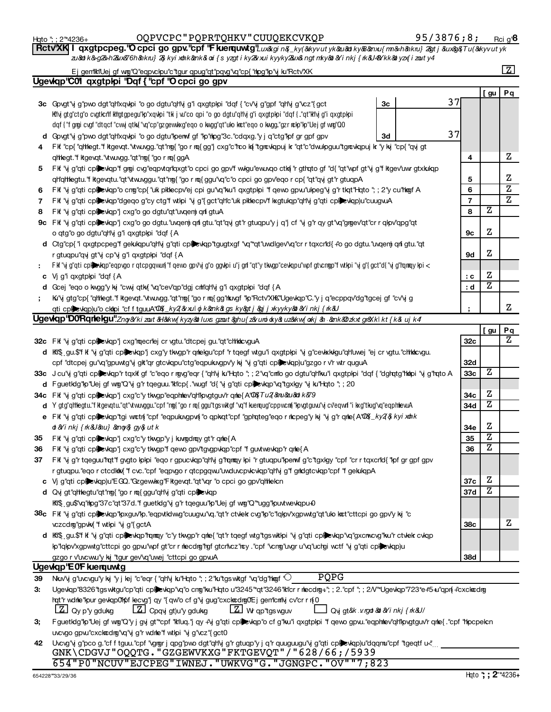|    | OQPVCPC"PQPRTQHKV"CUUQEKCVKQP<br>Hgto "; ; 2"*4236+                                                                                                                                         |    | 95/3876;8; |                 |            | Rci g' <sup>8</sup>     |
|----|---------------------------------------------------------------------------------------------------------------------------------------------------------------------------------------------|----|------------|-----------------|------------|-------------------------|
|    | qxgtpcpeg."O cpci go gpv."cpf 'F kuerquwtg"Luxkgi n&_ky(&kyvutyk&u&tky&&mxu{m&h&kru} 2gt j &ux&&Tu(&kyvutyk<br><b>RctvXKI</b>                                                               |    |            |                 |            |                         |
|    | zu8atk&g2&h2&ux276h8akru}2&kyixohk8ank&oxi{s yzgtiky2&vuikyyky2&ux&ngtmky&t&Yinkj{nk&U4&Ykk&byzx{izouty4                                                                                    |    |            |                 |            |                         |
|    | Ej gemiktiUej gf wig"Q"eqpvckpu"c"tgur qpug"qt"pqvg"vq"cp{"thpg"kp"yj ku"Rctv"XK                                                                                                            |    |            |                 |            | $\boxed{Z}$             |
|    | Ugewqp'C01 qxgtplpi 'Dqf { 'cpf 'O cpci go gpv                                                                                                                                              |    |            |                 |            |                         |
|    |                                                                                                                                                                                             |    |            |                 | [ gu       | Pq                      |
|    | 3c Govgt'vj g'pwo dgt''qHxqwpi "o go dgtu''qHy g'i qxgtplpi "dqf { "cv'vj g"gpf "qHy g"vcz"{gct                                                                                             | Зс | 37         |                 |            |                         |
|    | Ki'vj gtg"ctg"o cvgtkrif kltgtgpegu"kp"xqvkpi "tki j vu"co qpi "o go dgtu"ql'ivj g"i qxgtpkpi "dqf{."qt"ki'vj g"i qxgtpkpi                                                                  |    |            |                 |            |                         |
|    | dqf{"fgrgi cvgf"dtqcf"cvwjqtk{"vq"cp"gzgew.kxg"eqo o kvgg"qt"uko krct"eqo o kvgg."gzr rckp"kp"Uej gf wrg"Q0                                                                                 |    |            |                 |            |                         |
|    | d Govgt'vj g''pwo dgt''qHxqwpi "o go dgtu"lperwf gf "lp''nlipg''3c.''cdqxg.'y j q''ctg''lpf gr gpf gpv                                                                                      | 3d | 37         |                 |            |                         |
| 4  | FK "cp{ "qhlegt."f kgevqt."vtw.vgg."qt"ng{ "go r rq{gg"j cxg"c"rco k{ "tgrcvkqpuj k "qt"c"dwulpguu"tgrcvkqpuj k "y kj "cp{ "qvj gt                                                          |    |            |                 |            |                         |
|    | qhlegt."f kgevqt."vtwuvgg."qt"ng{"go r mq{ggA                                                                                                                                               |    |            | 4               |            | z                       |
| 5. | Fif "y g"qti cpicwiqp"f grai cyg"eqpvtqr'iqxgt"o cpci go gpv'f wilgu"ewuxqo ctiki "r gthqto gf "d{ "qt"wpf gt"y g"f itgev'uwr gtxkulqp                                                      |    |            |                 |            |                         |
|    | qh'qhtegtu."f kgevqtu."qt"vtwuvggu."qt"nng{ "go r mq{ ggu"vq"c"o cpci go gpv"eqo r cp{ "qt"qvj gt"r gtuqpA                                                                                  |    |            | 5               |            | z                       |
| 6  | FK "y g"qti cplewap"o cng"cp{ "uk pklecpv"ej cpi gu"vq"ku"i qxgtplpi "f qewo gpw"ulpeg"y g"r tlat"Hato "; ; 2"y cu"high A                                                                   |    |            | 6               |            | $\overline{\mathbf{z}}$ |
| 7  | FK "y g"qti cplictip" dgeqo g"cy ctg"f wtipi "y g"{gct"qh"c"uk plklecpv"f kxgtulqp"qh"y g"qti cplictiplo" cuugwA                                                                            |    |            | 7               |            | $\overline{z}$          |
| 8  | Fit "vj g"qti cplexiqp" cxg"o go dgtu"qt"uvqem qnf gtuA                                                                                                                                     |    |            | 8               | Ζ          |                         |
|    | 9c Fk "y g"qti cplewqp"j cxg"o go dgtu."uvqenj qri gtu."qt"qy gt"r gtuqpu"y j q"j cf "y g"r qy gt"vq"grigev"qt"cr r qlpv"qpg"qt                                                             |    |            |                 |            |                         |
|    | o qtg"o go dgtu"qh'y g"i qxgtplpi "dqf {A                                                                                                                                                   |    |            | 9с              | Ζ          |                         |
|    | d Ctg"cp{ "i qxgtpcpeg"f gekıkqpu"qH\j g"qti cplevkqp"tgugtxgf "\q"*qt"uwdlgev'\q"crrtqxcrld{ +"o go dgtu."uvqenj qri gtu."qt                                                               |    |            |                 |            |                         |
|    | r gtuqpu"qvi gt"vi cp"vi g"i qxgtploi "dqf {A                                                                                                                                               |    |            | 9d              | Ζ          |                         |
|    | Fkf "vj g"qti cplinkqp"eqpvgorqtcpgqwun{"fqevvogpv"vjg"oggvkpi u"jgnf"qt"ytkvgp"cevkqpu"vpfgtvcngp"fwtkpi "vjg"{gct"d{"vjg"lqmqykpi <                                                       |    |            |                 |            |                         |
|    | c Vj g'i qxgtplpi "dqf {A                                                                                                                                                                   |    |            | : c             | Ζ          |                         |
|    | d Gcej "eqo o kwgg"y kij "cwij qtki("vq"cev"qp"dgj critiqh'i g'i qxgtplipi "dqf {A                                                                                                          |    |            | : d             | Ζ          |                         |
|    | Kı"y gtg"cp{ "qhtegt."f kgevqt."vtw.vgg."qt"ng{ "go r m{ gg"nk.vgf "p"Rctv"XKK"Ugevkqp"C."y j q"ecppqv"dg"tgcej gf "cv"y g                                                                  |    |            |                 |            |                         |
|    | qti cplexkqp)u"o ck topi "cfftguuA"004{_ky2{&vxul oj k&ank&t gs ky&gtj&gjjxkyyky&b&Yinkj{nk&U                                                                                               |    |            |                 |            | z                       |
|    | <b>Ugeviqp"D0Rqrielgu</b> ".Zng&kizout&H&kw{kyzy&tluxsgzout&phu{z&uroidky&uz&kw{okj&&mk&dzkxtgr&klkt{k&ujk4                                                                                 |    |            |                 |            |                         |
|    |                                                                                                                                                                                             |    |            |                 | <u>[gu</u> | Pq                      |
|    | 32c Fkf "y g"qti cplexiqp"j cxg"maecriej cr vgtu."dtcpej gu."qt"chikkcvguA                                                                                                                  |    |            | 32 <sub>c</sub> |            | z                       |
|    | d Ki\$ gu.\$'f k "y g"qti cplewqp"j cxg"y tkwgp"r qnelgu"cpf "r tqegf wtgu"i qxgtplpi "y g"cewkkigu"qhluwej "ej cr vgtu."chlidicvgu.                                                        |    |            |                 |            |                         |
|    | cpf "dtcpej gu"vq"gpuwtg"yj glt"qr gtcvkqpu"ctg"eqpukngpv'y kj "vj g"qti cplexkqp)u"gzgo r v'r wtr quguA                                                                                    |    |            | 32d             | Ζ          |                         |
|    | 33c J cu'vj g"qti cplewqp"rtqxkfgf "c"eqorngyg"eqr{"qHvj ku"Hqto";; 2"vq"cmlogodgtu"qh"ku"i qxgtplpi "dqf{"dghqtg"hkhpi "yjg"hqtoA                                                          |    |            | 33c             |            |                         |
|    | d FguetIdg"lp"Uej gf wng"Q"vj g"r tqeguu." kl cp{."wugf "d{"vj g"qti cp bev qp"vq"tgxlgy "vj ku" Hqto"; ; 20                                                                                |    |            |                 | Ζ          |                         |
|    | 34c Fit "y g"qti cplexiqp"j cxg"c"y tkvgp"eqphiev"qh"pvgtguv'r qnle{A"02%Tu2 ν&u&d k&9                                                                                                      |    |            | 34c             | Ζ          |                         |
|    | d Ygtg"qlflegtu."fkgevqtu."qt"vtw.vggu."cpf"ng{"gornq{ggu"tgsvktgf"vq"fkuenqug"cppvcnf"lpvgtguvu"vjcv"eqwnf"ikxg"tkug"vq"eqphlevuA                                                          |    |            | 34d             |            |                         |
|    | e FK "y g"qti cplexkqp"tgi wortn{ "cpf "eqpukugpun{ "o qpkqt"cpf "gphqteg"eqo r nlcpeg"y ky "y g"r qnle{A"0\${_ky2} kyi xolik                                                               |    |            |                 | Z          |                         |
|    | ot&Yinkj{rk&Uν}&enoy&}gy&utk                                                                                                                                                                |    |            | 34e             | z          |                         |
| 35 | Fit "y g"qti cplexiqp" cxg"c"y tiwgp"y j kungdray gt"r qrile { A                                                                                                                            |    |            | 35<br>36        | z          |                         |
| 36 | FK "y g"qti cplexkqp"j cxg"c"y tkvgp"f qevo gpv"tgvgpvkqp"cpf "f guvtwevkqp"r qmle{A                                                                                                        |    |            |                 |            |                         |
| 37 | FK "y g"r tqeguu"rqt"f gvgto lplpi "eqo r gpucvlqp"qH'y g"rqmqy lpi "r gtuqpu"lperwf g"c"tgxlgy "cpf "cr r tqxcrld{"lpf gr gpf gpv                                                          |    |            |                 |            |                         |
|    | r gtuqpu."eqo r ctcdktw("f cvc."cpf "eqpvgo r qtcpgqwu"uwduvcpvkcvkqp"qHVj g"f grildgtcvkqp"cpf "f gekukqpA<br>c Vj g"qti cplexkqp)u"EGQ."Gzgewkxg"Fktgevqt."qt"vqr "o cpci go gpv"qhtlekcn |    |            | 37c             | z          |                         |
|    |                                                                                                                                                                                             |    |            | 37d             | z          |                         |
|    | d Qvj gt"qhlegtu"qt"ng{"go r mq{ggu"qh'vj g"qti cplexiqp<br>Kil\$ gu\$'\q''hpg''37c''qt''37d.''f guetkig'\j g''r tqeguu''lp''Uej gf wng''Q''*ugg''lpuvtwevkqpu+0                            |    |            |                 |            |                         |
|    | 38c FK "vjg"qti cpliction" kyquv'lo "eqpvtidwg"cuugvu"vq "qt"r ctvlek cyg"lo"c"lqlov'xgpwtg"qt"ulo kat"cttcpi go gpv'y kij "c                                                               |    |            |                 |            |                         |
|    | vczcdmg"gpvky "f wtlpi "vi g" gctA                                                                                                                                                          |    |            | 38c             |            | z                       |
|    | d Ki\$ gu.\$" k "y g"qti cpibevkqp" amay "c"y tkvgp" qmle{ "qt" tqegf wtg" tgs wklipi "y g"qti cpibevkqp" vq" gxcnvcvg" ku "r ctvlek cvkqp                                                  |    |            |                 |            |                         |
|    | lp"lqlpv'xgpwtg"cttcpi go gpvu'lvpf gt"cr r nlecdng"rgf gtcrllucz"ncy ."cpf "vcng"uvgr u"vq"uchgi wctf "vj g"qti cplicvlap)u                                                                |    |            |                 |            |                         |
|    | gzgo r v'uvcwu'y kj "tgur gev'vq"uwej "cttcpi go gpvuA                                                                                                                                      |    |            | <b>38d</b>      |            |                         |
|    | Ugevkqp'E0F kuerquwtg                                                                                                                                                                       |    |            |                 |            |                         |
| 39 | PQPG<br>Nku'ij g'uvcvgu'y kij 'y j lej 'c'eqr { 'qh'ij ku''Hqto '; ; 2 "ku'tgs witgf 'vq'dg'hlogf ' $\bigcirc$                                                                              |    |            |                 |            |                         |
| З. | Ugevkqp"8326"tgswkgu"cp"qti cplevkqp"vq"o cng"ku"Hqto u"3245"*qt"3246"klcrrnlecdng+"; ; 2."cpf "; ; 2/\"*Ugevkqp"723*e#5+u"qpn{+cxckncdng                                                   |    |            |                 |            |                         |
|    | hqt''r wdnle"hpur gevkqp0'h6f lecvg'j qy "{ qw'o cf g'vj gug"cxckncdng0'Ej genn'cnn'iy cv'cr r n{0                                                                                          |    |            |                 |            |                         |
|    | $\lfloor 2 \rfloor$ Qy p'y gdukg<br>$\lfloor 2 \rfloor$ Cpqy gt)u'y gdukg<br>$\lfloor 2 \rfloor$ W qp'tgs wguv<br>Qvjgt&k.v.rgot&ot&Yinkj{rk&U/                                             |    |            |                 |            |                         |
| З, | FguetIdg"lp"Uej gf wg"Q"y j gvj gt"*cpf "kluq."j qy +"y g"qti cplevkqp"o cf g"ku"i qxgtplpi "f qewo gpvu."eqphlev"qh"lpvgtguv'r qrle{."cpf "hipcpelcn                                       |    |            |                 |            |                         |
|    | uvcvgo gpvu"cxcktcdrg"vq"yj g"r wdrke"f wtkpi "yj g"vcz"{gct0                                                                                                                               |    |            |                 |            |                         |
| 42 | Uvcvg'y g'pco g. cf f tguu. cpf 'vgrgr j qpg'pwo dgt''qh'y g'r gtuqp'y j q''r quuguugu''y g''qti cplexlqp)u''dqqmu''cpf ''tgeqtf u<                                                         |    |            |                 |            |                         |
|    | GNK\CDGVJ"OQQTG."GZGEWVKXG"FKTGEVQT"/"628/66;/5939                                                                                                                                          |    |            |                 |            |                         |
|    | 654"P0"NCUV"EJCPEG"IWNEJ."UWKVG"G."JGNGPC."OV""7;823                                                                                                                                        |    |            |                 |            |                         |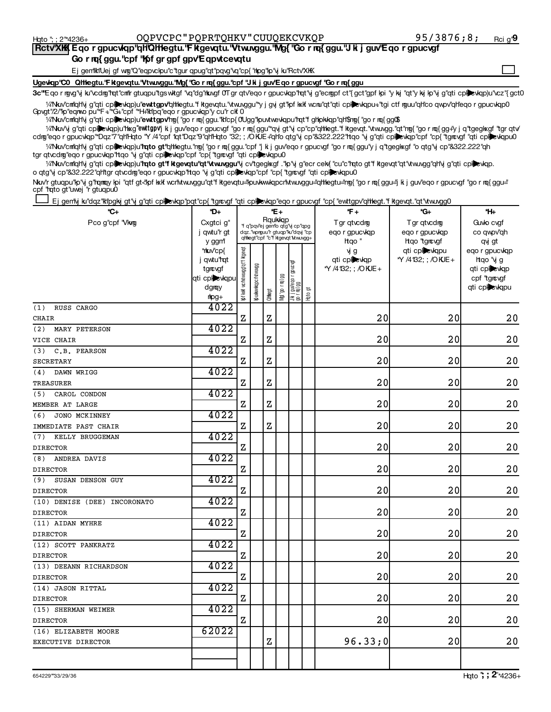$\overline{f}$ 

## **Rctv'XKK Eqo r gpucvkqp"qHQHegtu."F kgevqtu."Vtwuvggu."Mg{ "Go r rq{ ggu."J k j guv'Eqo r gpucvgf** Go r rq{ ggu. "cpf "**K**pf gr gpf gpv'Eqpvtcevqtu

Ej gemiktiUej gf wg"Q"eqpvclpu"c"tgur qpug"qt"pqvg"vq"cp{"hipg"lp"vj ku"Rctv'XIK

Ugevigp'C0 Qittegtu.'Fikgevqtu.'Vtw.vggu.'Mg{ 'Go r mq{ ggu.'cpf "J ki j guv'E qo r gpucvgf 'Go r mq{ ggu

3c"Eqo r ngvg"y ku"vcdng"rqt"cnn"r gtuqpu"tgswitgf "vq"dg"hkwgf 0T gr qtv"eqo r gpucvlqp"rqt"y g"ecngpf ct"{gct"gof lpi "y kj "qt"y kj lp"y g"qti cplicvlqp)u"vcz"{gct( <sup>1</sup>/iNkw'cm"qh'\j g"qti cplizvkqp)u"ewtt**gpv'**qhtlegtu."f kgevqtu."vtw.vggu"\*y j gy gt"kpf lekt wcru"qt"qti cplizvkqpu+"tgi ctf rguu"qh'co qwpv'qh'leqo r gpucvkqp0

%"Nkw"cnilighty g"qti cpl**le**vkqp)u"**ewttgpv'**ng{"gornq{ggu."kilcp{0'Ugg"kpuvtwevkqpu"nqt"fghlpkkqp"qhl\$ng{"gornq{ggQ\$ Govgt"/2/"lp"eqnvo pu"\*F+"\*G+"cpf "\*H+"klpq"eqo r gpucvlqp"y cu"r clf 0

1/2Nku/vj g"qti cpl**)e**vkqp)u"hkg"ewttgpv"jik j guv"eqorgpucvgf "gornq{ggu"\*qvjgt"yj cp"cp"qHhegt."fkgevqt."vtwuvgg."qt"ng{"gornq{gg+"yjq"tgeglkgf"tgrqtv" ¼Nkw'cniqh'\j g"qti cpli≫\qp)u"**rqto gt'**qhhegtu."ng{ "go r nq{ggu."cpf "j ki j guv'eqo r gpuc\gf "go r nq{ggu'y j q"tgegl⋇gf "o qtg"\j cp"&322.222"qh cdig"eqo r gpucvlqp"\*Dqz"7"qHl+lqto "Y /4"cpf 1qt"Dqz"9"qHl+lqto "32; ; /OKUE +"qHo qtg"y cp"&322.222"ttqo "y g"qti cplievlqp"cpf "cp{ "tgrevgf "qti cplievlqpu0

arkuv'cmqrl\i g"qti cplievlap)u"**rqto gt"f kigevqtu"qt"vtwuvggu"**y cv"tgeglikgf ."p"y g"ecr celx{ "cu"c"rqto gt"f kigevqt"qt"vtwuvgg"qhl\j g"qti cpli tgr qtvcdrg"eqo r gpucviqp" tqo "vj g"qti cpleviqp" cpf "cp{"tgrcvgf "qti cpleviqpu0 o qtg'y cp"&32.222"qhtgr qtvcdrg"eqo r gpucvqp"rtqo 'y g"qti cplevqp"cpf "cp{"tgrevgf "qti cplevkqpu0

Nav'r gtuqpu"lp"y g"rqmay lpi "qtf gt<"lpf kkf wcr'lttwuvggu"qt"f kgevqtu="puvkwwkqpcr'lttwuvggu="qthegtu="ng{"gor nq{ggu="qt" is j guv"eqor gpucvgf "gor nq{ggu=" cpf "rato gt"uwej "r gtuqpu0

Ej gentij ku'dqz 'kthogki gt''i g''qti cpibevkqp''pqt''cp{ "tgrevgf "qti cpibevkqp''eqo r gpucvgf "cp{ "ewttgpv'qthlegt."f ktgevqt."qtt"vtw.vgg

| *C+                          | *D+                                                                           |                                    |                                                                                                    |         | *E+            |                          |         | *F +                                      | *G+                                                  | *H⊦                                                                          |
|------------------------------|-------------------------------------------------------------------------------|------------------------------------|----------------------------------------------------------------------------------------------------|---------|----------------|--------------------------|---------|-------------------------------------------|------------------------------------------------------|------------------------------------------------------------------------------|
| Pco g"cpf "Vkrg              | Cxgtci g"<br>j qwtu"r gt<br>y ggm                                             |                                    | *f q"pqv'ej gen"o qtg"y cp"qpg<br>dqz."wprguu"r gtuqp"ku"dqy "cp<br>qhlegt"cpf "c"f kgevqt Mwuvgg+ | Rqukkqp |                |                          |         | Tgr qtvcdmg<br>ego r gpucvigp<br>Hgo"     | Tgr qtvcdmg<br>ego r gpucvigp<br><b>Hgo</b> "tarcvaf | Guvlo cvgf<br>co qwpv"qh<br>qvj gt                                           |
|                              | *tkuv'cp{<br>j gwtu" <b>rgt</b><br>tarcvaf<br>qti cplewqpu<br>dgray<br>$mpq+$ | Kof kxk vc hut wungg' qt'f ktgevat | Кримммиарсти                                                                                       | Olthegt | Ng("go r m{ gg | ön Ludi 88<br>11 Ludi 88 | Htto gt | vj g<br>qti cplewqp<br>*Y /4132; ; /OKJE+ | qti cplevkqpu<br>*Y /4132; ; /OKJE+                  | eqo r gpucviqp<br>htgo "vi g<br>qti cplewqp<br>cpf "tgrougf<br>qti cplevkqpu |
| RUSS CARGO<br>(1)            | 4022                                                                          |                                    |                                                                                                    |         |                |                          |         |                                           |                                                      |                                                                              |
| <b>CHAIR</b>                 |                                                                               | $\mathbf z$                        |                                                                                                    | Ζ       |                |                          |         | 20                                        | 20                                                   | 20                                                                           |
| (2)<br>MARY PETERSON         | 4022                                                                          |                                    |                                                                                                    |         |                |                          |         |                                           |                                                      |                                                                              |
| VICE CHAIR                   |                                                                               | $\mathbf z$                        |                                                                                                    | Ζ       |                |                          |         | 20                                        | 20                                                   | 20                                                                           |
| (3)<br>C.B. PEARSON          | 4022                                                                          |                                    |                                                                                                    |         |                |                          |         |                                           |                                                      |                                                                              |
| <b>SECRETARY</b>             |                                                                               | $\mathbf z$                        |                                                                                                    | Ζ       |                |                          |         | 20                                        | 20                                                   | 20                                                                           |
| (4)<br>DAWN WRIGG            | 4022                                                                          |                                    |                                                                                                    |         |                |                          |         |                                           |                                                      |                                                                              |
| TREASURER                    |                                                                               | Ζ                                  |                                                                                                    | Ζ       |                |                          |         | 20                                        | 20                                                   | 20                                                                           |
| CAROL CONDON<br>(5)          | 4022                                                                          |                                    |                                                                                                    |         |                |                          |         |                                           |                                                      |                                                                              |
| MEMBER AT LARGE              |                                                                               | Ζ                                  |                                                                                                    | Ζ       |                |                          |         | 20                                        | 20                                                   | 20                                                                           |
| <b>JONO MCKINNEY</b><br>(6)  | 4022                                                                          |                                    |                                                                                                    |         |                |                          |         |                                           |                                                      |                                                                              |
| IMMEDIATE PAST CHAIR         |                                                                               | Ζ                                  |                                                                                                    | Ζ       |                |                          |         | 20                                        | 20                                                   | 20                                                                           |
| KELLY BRUGGEMAN<br>(7)       | 4022                                                                          |                                    |                                                                                                    |         |                |                          |         |                                           |                                                      |                                                                              |
| <b>DIRECTOR</b>              |                                                                               | z                                  |                                                                                                    |         |                |                          |         | 20                                        | 20                                                   | 20                                                                           |
| ANDREA DAVIS<br>(8)          | 4022                                                                          |                                    |                                                                                                    |         |                |                          |         |                                           |                                                      |                                                                              |
| <b>DIRECTOR</b>              |                                                                               | z                                  |                                                                                                    |         |                |                          |         | 20                                        | 20                                                   | 20                                                                           |
| (9)<br>SUSAN DENSON GUY      | 4022                                                                          |                                    |                                                                                                    |         |                |                          |         |                                           |                                                      |                                                                              |
| <b>DIRECTOR</b>              |                                                                               | $\mathbf z$                        |                                                                                                    |         |                |                          |         | 20                                        | 20                                                   | 20                                                                           |
| (10) DENISE (DEE) INCORONATO | 4022                                                                          |                                    |                                                                                                    |         |                |                          |         |                                           |                                                      |                                                                              |
| <b>DIRECTOR</b>              |                                                                               | Ζ                                  |                                                                                                    |         |                |                          |         | 20                                        | 20                                                   | 20                                                                           |
| (11) AIDAN MYHRE             | 4022                                                                          |                                    |                                                                                                    |         |                |                          |         |                                           |                                                      |                                                                              |
| <b>DIRECTOR</b>              |                                                                               | $\mathbf{Z}$                       |                                                                                                    |         |                |                          |         | 20                                        | 20                                                   | 20                                                                           |
| (12) SCOTT PANKRATZ          | 4022                                                                          |                                    |                                                                                                    |         |                |                          |         |                                           |                                                      |                                                                              |
| <b>DIRECTOR</b>              |                                                                               | Ζ                                  |                                                                                                    |         |                |                          |         | 20                                        | 20                                                   | 20                                                                           |
| (13) DEEANN RICHARDSON       | 4022                                                                          |                                    |                                                                                                    |         |                |                          |         |                                           |                                                      |                                                                              |
| <b>DIRECTOR</b>              |                                                                               | $\mathbf z$                        |                                                                                                    |         |                |                          |         | 20                                        | 20                                                   | 20                                                                           |
| (14) JASON RITTAL            | 4022                                                                          |                                    |                                                                                                    |         |                |                          |         |                                           |                                                      |                                                                              |
| <b>DIRECTOR</b>              |                                                                               | $\mathbf z$                        |                                                                                                    |         |                |                          |         | 20                                        | 20                                                   | 20                                                                           |
| (15) SHERMAN WEIMER          | 4022                                                                          |                                    |                                                                                                    |         |                |                          |         |                                           |                                                      |                                                                              |
| <b>DIRECTOR</b>              |                                                                               | $\mathbf z$                        |                                                                                                    |         |                |                          |         | 20                                        | 20                                                   | 20                                                                           |
| (16) ELIZABETH MOORE         | 62022                                                                         |                                    |                                                                                                    |         |                |                          |         |                                           |                                                      |                                                                              |
| EXECUTIVE DIRECTOR           |                                                                               |                                    |                                                                                                    | Ζ       |                |                          |         | 96.33;0                                   | 20                                                   | 20                                                                           |
|                              |                                                                               |                                    |                                                                                                    |         |                |                          |         |                                           |                                                      |                                                                              |
|                              |                                                                               |                                    |                                                                                                    |         |                |                          |         |                                           |                                                      |                                                                              |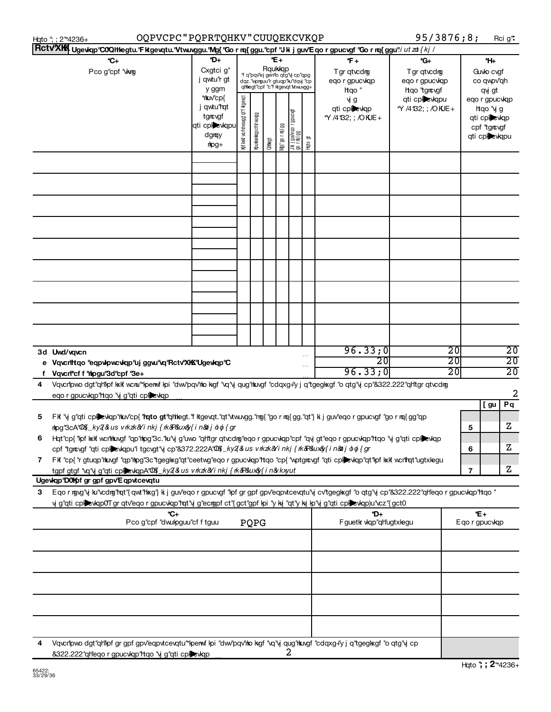| RctVXK Ugewap "COQHegtu."Fikgevatu."Vtw.vggu."Ng{"Go r nq{ggu."cpf "Jkijguv'Eqorgpucvgf "Gornq{ggu"/ ut zd {kj /<br>*D+<br>*E+<br>*C+<br>*F +<br>*G+<br>Rqukkqp<br>Cxgtci g"<br>Pco g"cpf "Wwg<br>Tgr qtvcdrg<br>Tgr qtvcdrg<br>*f q'pqv'ej gemo qtg'y cp''qpg<br>j qwtu"r gt<br>dqz. 'wprguu'r gtuqp'lu'dqy ''cp<br>eqo r gpucvkqp<br>eqo r gpucviqp<br>qhlegt"cpf "c"f ktgevqt Mwuvgg+<br>y ggm<br>Hqo "<br>Hgo "tgrougf<br>*rkuv'cp{<br>qti cplewqpu<br>иј д |                                    | *H⊦                                                                         |                                    |
|-----------------------------------------------------------------------------------------------------------------------------------------------------------------------------------------------------------------------------------------------------------------------------------------------------------------------------------------------------------------------------------------------------------------------------------------------------------------|------------------------------------|-----------------------------------------------------------------------------|------------------------------------|
|                                                                                                                                                                                                                                                                                                                                                                                                                                                                 |                                    |                                                                             |                                    |
|                                                                                                                                                                                                                                                                                                                                                                                                                                                                 |                                    |                                                                             |                                    |
|                                                                                                                                                                                                                                                                                                                                                                                                                                                                 |                                    | Guvlo cvgf<br>co qwpv"qh<br>qvj gt                                          |                                    |
| Kof kxkf vicintu wungg' qt'f kigevat<br>j qwtu" <b>rq</b> t<br>qti cplewqp<br>*Y /4132; ; /OKJE+<br>jukijgu∀eqorgpucvgf<br> gorm({gg<br>Криммикарсти милдд<br>tgrougf<br>*Y /4132; ; /OKJE+<br>qti cpl <b>e</b> vkqpu<br>66   bi 1 oß, JQN<br>dgray<br>$_{5}$<br>Olthegt<br>$\frac{dp}{dt}$                                                                                                                                                                     |                                    | eqo r gpucviqp<br>htqo "vj g<br>qti cplewqp<br>cpf "tgrougf<br>qti cplewqpu |                                    |
| $\frac{6}{11}$                                                                                                                                                                                                                                                                                                                                                                                                                                                  |                                    |                                                                             |                                    |
|                                                                                                                                                                                                                                                                                                                                                                                                                                                                 |                                    |                                                                             |                                    |
|                                                                                                                                                                                                                                                                                                                                                                                                                                                                 |                                    |                                                                             |                                    |
|                                                                                                                                                                                                                                                                                                                                                                                                                                                                 |                                    |                                                                             |                                    |
|                                                                                                                                                                                                                                                                                                                                                                                                                                                                 |                                    |                                                                             |                                    |
|                                                                                                                                                                                                                                                                                                                                                                                                                                                                 |                                    |                                                                             |                                    |
|                                                                                                                                                                                                                                                                                                                                                                                                                                                                 |                                    |                                                                             |                                    |
|                                                                                                                                                                                                                                                                                                                                                                                                                                                                 |                                    |                                                                             |                                    |
|                                                                                                                                                                                                                                                                                                                                                                                                                                                                 |                                    |                                                                             |                                    |
| 96.33;0<br>3d Uwd/vqvcn                                                                                                                                                                                                                                                                                                                                                                                                                                         | $\overline{20}$                    |                                                                             | $\overline{20}$                    |
| $\overline{20}$<br>e Vqvcnittqo "eqpvipwcviqp"uj ggvu"vq"Rctv"XKK"Ugeviqp"C<br>96.33;0<br>Vqvcnrcf f "hipgu"3d"cpf "3e+                                                                                                                                                                                                                                                                                                                                         | $\overline{20}$<br>$\overline{20}$ |                                                                             | $\overline{20}$<br>$\overline{20}$ |
| Vqvcripwo dgt"qh'lpf kkk wcru""perwi lpi "dw/pqv'ho kgf "vq"y qug'hkngf "cdqxg+'y j q"tgeglkgf "o qtg"y cp"&322.222"qh'tgr qtvcdrog<br>4<br>eqo r gpucvkqp'ltqo 'vj g''qti cplevkqp                                                                                                                                                                                                                                                                             |                                    |                                                                             | 2                                  |
| 5<br>Fif "y g"qti cpicwap" kuv"cp{ "rato gt"qhilegt."fitgevat."qt" www.gg."mg{"gorma{gg."qt"jkijguv"eqorgpucygf"gorma{gg"qp                                                                                                                                                                                                                                                                                                                                     |                                    | [gu                                                                         | Pq                                 |
| nlpg"3cA"00\${_ky2{&lusvrkzk&Yinkj{rk&P&lux&y{in&otjoloj{gr<br>Hat"cp{"fpf kxlf wcrihkwgf "qp"rhpg"3c."ku"y g"uwo "qh'tgr qtvcdng"eqor gpucvkqp"cpf "qvj gt"eqor gpucvkqp"ttqo "yj g"qti cplexkqp                                                                                                                                                                                                                                                               | 5                                  | Ζ<br>z                                                                      |                                    |
| cpf "tgrowgf" qti cplexkqpu"i tgcwgt" y cp"&372.222A" 004_ky 2&us v rk zk&' i nkj { rk & R&ux & f i n&bi o o { gr<br>Fik "cp{ "r gtuqp"rkngf "qp"rhog"3c"tgeglxg"qt"ceetwg"eqo r gpucvlqp"rtqo "cp{ "wptgr¢vgf "qti cpi█evlqp"qt"hof kxik wcrltqt"ugtxlegu<br>7<br>tgpf gtgf "vq"yj g"qti cplexkqpA"QQ{_ky2{&us vkzk&Yinkj{k&P&ux&y{in&kxyut                                                                                                                    | 6<br>$\overline{\phantom{a}}$      | z                                                                           |                                    |
| Ugewap'D01 for gpf gpv'Eqpvtcevatu                                                                                                                                                                                                                                                                                                                                                                                                                              |                                    |                                                                             |                                    |
| Eqo r rgyg"y ku"vcdrg"rqt"{qwt"hxg"j k j guv"eqo r gpucygf "kpf gr gpf gpv"eqpvtcevqtu"y cv"tgeglxgf "o qtg"y cp"&322.222"qh"eqo r gpucykqp"htqo "<br>З<br>y g"qti cplickqp0Tgr qtv"eqo r gpucvlqp"tqt"y g"ecropf ct"{gct"gpf lpi "y kj "qt"y kj lp"y g"qti cplicvlqp)u"vcz"{gct0                                                                                                                                                                               |                                    |                                                                             |                                    |
| *C+<br>*D+<br>PQPG<br>Fguetk vkp"qHugtxlegu<br>Pco g"cpf "dwulpguu"cf f tguu                                                                                                                                                                                                                                                                                                                                                                                    |                                    | *E+<br>Eqo r gpucvkqp                                                       |                                    |
|                                                                                                                                                                                                                                                                                                                                                                                                                                                                 |                                    |                                                                             |                                    |
|                                                                                                                                                                                                                                                                                                                                                                                                                                                                 |                                    |                                                                             |                                    |
|                                                                                                                                                                                                                                                                                                                                                                                                                                                                 |                                    |                                                                             |                                    |
|                                                                                                                                                                                                                                                                                                                                                                                                                                                                 |                                    |                                                                             |                                    |
| Vqvcripwo dgt"qhlipf gr gpf gpv"eqpvtcevqtu"*lperwf ipi "dwv"pqv'hio kgf "vq"y qug"htrvgf "cdqxg+"y j q"tgeglxgf "o qtg"y cp<br>4<br>2<br>&322.222"qheqo r gpucvkqp"htqo "y g"qti cplevkqp"                                                                                                                                                                                                                                                                     |                                    |                                                                             |                                    |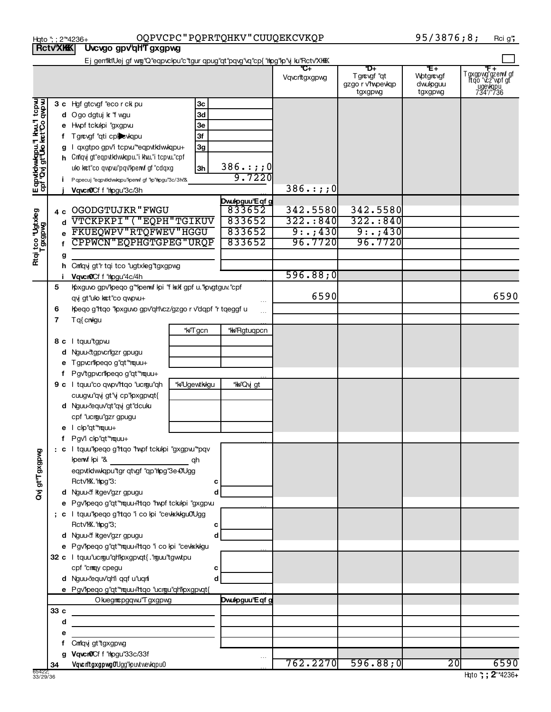|                                                          | <b>IQLY ATEN</b> | ๛๛๚๛ ลิ้น สนน ลิ้งสินเคิ                                                                                                                                                                                                                                                                                                      |                                  |                          |                      |                                                   |                                        |                                                                      |
|----------------------------------------------------------|------------------|-------------------------------------------------------------------------------------------------------------------------------------------------------------------------------------------------------------------------------------------------------------------------------------------------------------------------------|----------------------------------|--------------------------|----------------------|---------------------------------------------------|----------------------------------------|----------------------------------------------------------------------|
|                                                          |                  | Ej gen'lki'Uej gf wg''Q''eqpvckpu''c''tgur qpug''qt''pqvg''vq''cp{''rhpg''kp''y ku''Rctv'XKKK                                                                                                                                                                                                                                 |                                  |                          | *C+<br>Vqvcrttgxgpwg | ð+<br>Tgrougf "qt<br>gzgo r v'hypevkqp<br>tgxgpwg | *E+<br>Wptgrougf<br>dwipguu<br>tgxgpwg | <del>F +</del><br>Tgxgpwg"gzerwf gf<br>ftqo "vcz"wpf gt<br>T34"/"736 |
| Εqpvtdwvqpu."  kw."  tcpw<br> cpf 'Qvj gt'Uo ket'Co qwpw |                  | 3 c Hgf gtcvgf "eco r ck pu<br>d Ogo dgtuj k "f wgu<br>e Hwpf tckulpi "gxgpvu<br>f Tgrcvgf "qti cplex kqpu<br>g I qxgtpo gpv'i tcpw"*eqpvtkdwkqpu+<br>h Criqvj gt"eqpvtkdwkqpu."i khu."i tcpvu."cpf<br>ulo kct"co qwpw"pqv"kperwf gf "cdqxg<br>P qpecuj "eqpvtkdwkqpu" perwf gf "kp" hpgu" 3c/3h "&<br>Vqvcr0Cf f "hpgu"3c/3h | Зс<br>3d<br>Зе<br>3f<br>3g<br>3h | $386.$ : ; ; 0<br>9.7220 | $386.$ : ; ; 0       |                                                   |                                        |                                                                      |
|                                                          |                  |                                                                                                                                                                                                                                                                                                                               |                                  | Dwulpguu'E qf g          |                      |                                                   |                                        |                                                                      |
|                                                          | 4 c              | OGODGTUJKR"FWGU                                                                                                                                                                                                                                                                                                               |                                  | 833652                   | 342.5580             | 342.5580                                          |                                        |                                                                      |
| Rtqi tco "Ugtxleg<br>Tgxgpwg                             | d                | VTCKPKPI" ("EQPH"TGIKUV                                                                                                                                                                                                                                                                                                       |                                  | 833652                   | $322 \cdot 840$      | $322 \cdot 840$                                   |                                        |                                                                      |
|                                                          |                  | FKUEQWPV "RTQFWEV "HGGU                                                                                                                                                                                                                                                                                                       |                                  | 833652                   | 9: .7430             | 9: . ; 430                                        |                                        |                                                                      |
|                                                          |                  | CPPWCN"EQPHGTGPEG"URQP                                                                                                                                                                                                                                                                                                        |                                  | 833652                   | 96.7720              | 96.7720                                           |                                        |                                                                      |
|                                                          | g                |                                                                                                                                                                                                                                                                                                                               |                                  |                          |                      |                                                   |                                        |                                                                      |
|                                                          |                  | h Cm'qy gt''r tqi tco "ugtxleg"tgxgpwg                                                                                                                                                                                                                                                                                        |                                  |                          |                      |                                                   |                                        |                                                                      |
|                                                          |                  | Vqvcr0Cf f "hpgu"4c/4h                                                                                                                                                                                                                                                                                                        |                                  |                          | 596.88;0             |                                                   |                                        |                                                                      |
|                                                          | 5<br>6<br>7      | Koxguvo gpv'lpeqo g"*lpenwf lpi "f kxlf gpf u. "lpvgtguv."cpf<br>qvj gt"ulo kat"co qwpvu+<br>Kpeqo g"rtqo "kpxguvo gpv"qh"vcz/gzgo r v"dqpf "r tqeggf u<br>Tq{cnwgu                                                                                                                                                           |                                  |                          | 6590                 |                                                   |                                        | 6590                                                                 |
|                                                          |                  |                                                                                                                                                                                                                                                                                                                               | *k <del>√</del> "Tgcn            | *k+"Rgtuqpcn             |                      |                                                   |                                        |                                                                      |
|                                                          |                  | 8 c I tquutgpw                                                                                                                                                                                                                                                                                                                |                                  |                          |                      |                                                   |                                        |                                                                      |
|                                                          | d                | Nguu tgpvcngzr gpugu                                                                                                                                                                                                                                                                                                          |                                  |                          |                      |                                                   |                                        |                                                                      |
|                                                          |                  | Tgpvcrilipeqo g"qt"*rquu+                                                                                                                                                                                                                                                                                                     |                                  |                          |                      |                                                   |                                        |                                                                      |
|                                                          |                  |                                                                                                                                                                                                                                                                                                                               |                                  |                          |                      |                                                   |                                        |                                                                      |
|                                                          |                  | f Pgv'tgpvcrilpeqo g"qt"*mquu+                                                                                                                                                                                                                                                                                                |                                  |                          |                      |                                                   |                                        |                                                                      |
|                                                          |                  | 9 c I tquu"co qwpv'htqo "ucrgu"qh                                                                                                                                                                                                                                                                                             | *k+"Ugewtkkgu                    | *kk+"Qvjgt               |                      |                                                   |                                        |                                                                      |
|                                                          |                  | cuugw"qy gt"y cp"lpxgpvqt{                                                                                                                                                                                                                                                                                                    |                                  |                          |                      |                                                   |                                        |                                                                      |
|                                                          |                  | d Nguu-dequv'qt''qvj gt''dcuku                                                                                                                                                                                                                                                                                                |                                  |                          |                      |                                                   |                                        |                                                                      |
|                                                          |                  | cpf "ucrgu"gzr gpugu                                                                                                                                                                                                                                                                                                          |                                  |                          |                      |                                                   |                                        |                                                                      |
|                                                          |                  | e I clp"qt"*rquu+                                                                                                                                                                                                                                                                                                             |                                  |                          |                      |                                                   |                                        |                                                                      |
|                                                          |                  | f Pgv'i clp"qt"*rquu+                                                                                                                                                                                                                                                                                                         |                                  |                          |                      |                                                   |                                        |                                                                      |
| gt"T gxgpvg                                              |                  | : c I tquu"peqo g"ttqo "twpf tckulpi "gxgpvu" pqv                                                                                                                                                                                                                                                                             |                                  |                          |                      |                                                   |                                        |                                                                      |
|                                                          |                  | kpenwf kpi "&                                                                                                                                                                                                                                                                                                                 | qh                               |                          |                      |                                                   |                                        |                                                                      |
|                                                          |                  | eqpvtklwkqpu"tgr qtvgf "qp"hpg"3e-0Ugg                                                                                                                                                                                                                                                                                        |                                  |                          |                      |                                                   |                                        |                                                                      |
|                                                          |                  | Rctv'K. "hpg"3:                                                                                                                                                                                                                                                                                                               | с                                |                          |                      |                                                   |                                        |                                                                      |
| ξ                                                        |                  | d Nguu<'f kgev'gzr gpugu                                                                                                                                                                                                                                                                                                      | d                                |                          |                      |                                                   |                                        |                                                                      |
|                                                          |                  | e Pgv'lpeqo g"qt" rquu+'ltqo 'lwpf tckulpi "gxgpw                                                                                                                                                                                                                                                                             |                                  |                          |                      |                                                   |                                        |                                                                      |
|                                                          |                  | ; c I tquu"peqo g"ttqo "i co lpi "cevkkkgu0Ugg                                                                                                                                                                                                                                                                                |                                  |                          |                      |                                                   |                                        |                                                                      |
|                                                          |                  | Rctv'K. "hpg"3;                                                                                                                                                                                                                                                                                                               | с                                |                          |                      |                                                   |                                        |                                                                      |
|                                                          |                  | d Nguu<'f kgev'gzr gpugu                                                                                                                                                                                                                                                                                                      | d                                |                          |                      |                                                   |                                        |                                                                      |
|                                                          |                  | e Pgv'lpeqo g"qt" "rquu+"rtqo "i co lpi "cevkkligu                                                                                                                                                                                                                                                                            |                                  |                          |                      |                                                   |                                        |                                                                      |
|                                                          |                  | 32 c I tquu"ucrgu"qh"pxgpvqt{."rguu"tgwtpu                                                                                                                                                                                                                                                                                    |                                  |                          |                      |                                                   |                                        |                                                                      |
|                                                          |                  | cpf "cmmgy cpegu                                                                                                                                                                                                                                                                                                              | с                                |                          |                      |                                                   |                                        |                                                                      |
|                                                          |                  | d Nguu-lequv'qh'i qqf u'uqni                                                                                                                                                                                                                                                                                                  | d                                |                          |                      |                                                   |                                        |                                                                      |
|                                                          |                  | e Pgv'lpeqo g"qt"*rquu+"rtqo "ucrgu"qh"lpxgpvqt{                                                                                                                                                                                                                                                                              |                                  |                          |                      |                                                   |                                        |                                                                      |
|                                                          | 33 c             | O kuegmcpgqwu"T gxgpwg                                                                                                                                                                                                                                                                                                        |                                  | Dwulpguu'E qf g          |                      |                                                   |                                        |                                                                      |
|                                                          |                  |                                                                                                                                                                                                                                                                                                                               |                                  |                          |                      |                                                   |                                        |                                                                      |
|                                                          | d                |                                                                                                                                                                                                                                                                                                                               |                                  |                          |                      |                                                   |                                        |                                                                      |
|                                                          | е                |                                                                                                                                                                                                                                                                                                                               |                                  |                          |                      |                                                   |                                        |                                                                      |
|                                                          |                  | Cmlqvj gt"tgxgpwg<br>g Vqvcr0Cf f "hpgu"33c/33f                                                                                                                                                                                                                                                                               |                                  |                          |                      |                                                   |                                        |                                                                      |
|                                                          | 34               | Vqvc ritgxgpwgOUgg"lpuxtwevkqpu0                                                                                                                                                                                                                                                                                              |                                  |                          | 762.2270             | 596.88;0                                          | 20                                     | 6590                                                                 |
|                                                          |                  |                                                                                                                                                                                                                                                                                                                               |                                  |                          |                      |                                                   |                                        |                                                                      |

Hqto "; ; 2"4236+ OQPVCPC " PQPR'I'QHKV " CUUQEKCVKQP 9573876 ; 8 ; Rci g' MONTANA NONPROFIT ASSOCIATION 73-1654969

**Rctv'XKK** Uvcvgo gpv'qHT gxgpwg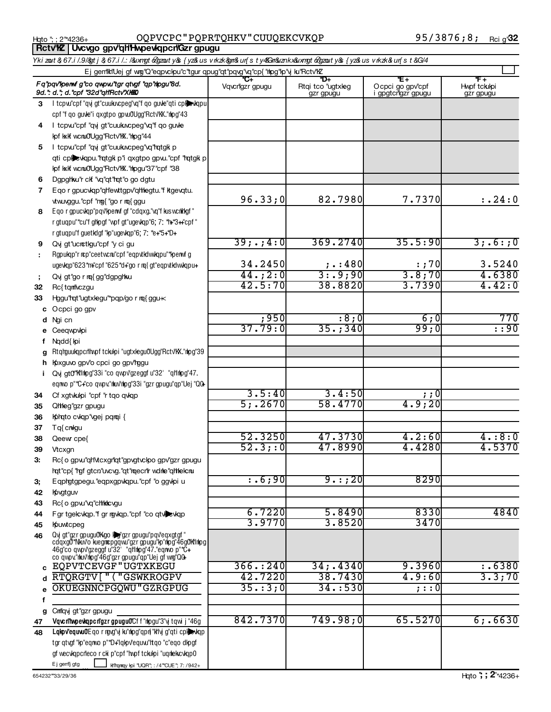Hqto "; ; 2"\*4236+ OQPVCPC " PQPRTQHKV " CUUQEKCVKQP 95 / 3876 **;** 8 **;** <sub>Rci g''</sub> Part IX **Part IX CONCEC** POPRTY<br> **Part IX CONCEPT CONCEPT OF FUNCTION**<br> **Part IX CONCEPT OF FUNCTION** 

|                                                                                  | Ykizout & 67.i /.9/&gtj& 67.i /.: /&uxngt&gzouty&{yz&usvrkzk&gm&ur{sty4&n&uxngt&gzouty&{yz&usvrkzk&ur{st&G/4                                                                                                      |                       |                                       |                                               |                                  |  |  |  |  |  |
|----------------------------------------------------------------------------------|-------------------------------------------------------------------------------------------------------------------------------------------------------------------------------------------------------------------|-----------------------|---------------------------------------|-----------------------------------------------|----------------------------------|--|--|--|--|--|
| Ej gemiktiUej gf wmg"Q"eqpvckpu"c"tgur qpug"qt"pqvg"vq"cp{"thpg"kp"vj ku"Rctv"kZ |                                                                                                                                                                                                                   |                       |                                       |                                               |                                  |  |  |  |  |  |
|                                                                                  | Fq"pqv"hem fg"co qupw"tgr qtvgf "qp"nlpgu"8d.<br>9d.": d."; d."cpf "32d"qH'Rctv"XHKO                                                                                                                              | C+<br>Vqvcrigzr gpugu | *D+<br>Rtqi tco "ugtxleg<br>gzr gpugu | *E+<br>Ocpci go gpv'cpf<br>i gpgtcrigzr gpugu | *F+<br>Hypf tckulpi<br>gzr gpugu |  |  |  |  |  |
| 3                                                                                | I tcpw"cpf "qvj gt"cuukucpeg"vq"f qo guve"qti cplovalgpu                                                                                                                                                          |                       |                                       |                                               |                                  |  |  |  |  |  |
|                                                                                  | cpf"f qo guve"i qxgtpo gpvu0Ugg"Rctv"KX."nlpg"43                                                                                                                                                                  |                       |                                       |                                               |                                  |  |  |  |  |  |
| 4                                                                                | I tcpw"cpf "qvj gt"cuukivcpeg"vq"f qo guvle                                                                                                                                                                       |                       |                                       |                                               |                                  |  |  |  |  |  |
|                                                                                  | Ipf kxlf wcru0Ugg"Rctv"K. "hpg"44                                                                                                                                                                                 |                       |                                       |                                               |                                  |  |  |  |  |  |
|                                                                                  | 5 I tcpw"cpf "qvj gt"cuukivcpeg"vq"rqtgk p                                                                                                                                                                        |                       |                                       |                                               |                                  |  |  |  |  |  |
|                                                                                  | qti cplevkqpu."hqtgk p"i qxgtpo gpvu."cpf "hqtgk p                                                                                                                                                                |                       |                                       |                                               |                                  |  |  |  |  |  |
|                                                                                  | lpf kxlf wcru0'Ugg"Rctv"KX."hpgu"37"cpf "38                                                                                                                                                                       |                       |                                       |                                               |                                  |  |  |  |  |  |
| 6                                                                                | Dgpghku'r clf "vq"qt"rqt"o go dgtu                                                                                                                                                                                |                       |                                       |                                               |                                  |  |  |  |  |  |
| 7                                                                                | Eqo r gpucvkqp"qh"ewttgpv"qhhegtu."f ktgevqtu.                                                                                                                                                                    |                       |                                       |                                               |                                  |  |  |  |  |  |
|                                                                                  | vtw.vggu."cpf "mg{ "go r mq{ ggu                                                                                                                                                                                  | 96.33;0               | 82.7980                               | 7.7370                                        | : .24:0                          |  |  |  |  |  |
| 8                                                                                | Eqo r gpucyqp"pqv"kperwf gf "cdqxg."vq"f kuswcrktkgf"                                                                                                                                                             |                       |                                       |                                               |                                  |  |  |  |  |  |
|                                                                                  | r gtuqpu"*cu"f gltpgf "wpf gt"ugevkqp"6; 7: *h**3++"cpf"                                                                                                                                                          |                       |                                       |                                               |                                  |  |  |  |  |  |
|                                                                                  | r gtuqpu"f guetkdgf "kp"ugevkqp"6; 7: *e+*5+*D+                                                                                                                                                                   |                       |                                       |                                               |                                  |  |  |  |  |  |
| 9                                                                                | Qvj gt"ucrctlgu"cpf "y ci gu                                                                                                                                                                                      | 39; .; 4:0            | 369.2740                              | 35.5:90                                       | 3; .6: ; 0                       |  |  |  |  |  |
|                                                                                  | Rgpukqp"r rcp"ceetwcru"cpf "eqpvtkdwkqpu"*kperwf g                                                                                                                                                                |                       |                                       |                                               |                                  |  |  |  |  |  |
|                                                                                  | ugevkqp"623*m+"cpf "625*d+"go r m{ gt"eqpvtkdwkqpu+                                                                                                                                                               | 34.2450               | $\frac{\cdot}{2}$ : 480               | : ; 7이                                        | 3.5240                           |  |  |  |  |  |
| ÷                                                                                | Qvj gt"go r mq{gg"dgpghku                                                                                                                                                                                         | 44.72:0               | 3: .9; 90                             | 3.8;70                                        | 4.6380<br>4.42:0                 |  |  |  |  |  |
| 32                                                                               | Rc{tqmtczgu                                                                                                                                                                                                       | 42.5:70               | 38.8820                               | 3.7390                                        |                                  |  |  |  |  |  |
| 33                                                                               | Hggu"rqt"ugtxlegu" pqp/go r rq{ggu k                                                                                                                                                                              |                       |                                       |                                               |                                  |  |  |  |  |  |
| с                                                                                | Ocpci go gpv                                                                                                                                                                                                      |                       |                                       |                                               |                                  |  |  |  |  |  |
|                                                                                  | Ngi cn                                                                                                                                                                                                            | : 950<br>37.79:0      | :8:0<br>35.;340                       | 6;0<br>99;0                                   | 770<br>$\overline{.}$ :90        |  |  |  |  |  |
|                                                                                  | Ceeqwpwpi                                                                                                                                                                                                         |                       |                                       |                                               |                                  |  |  |  |  |  |
|                                                                                  | Ngdd{ kpi                                                                                                                                                                                                         |                       |                                       |                                               |                                  |  |  |  |  |  |
|                                                                                  | Rtqlguulqpcriltwpftckulpi "ugtxlegu0Ugg"Rctv"KX."nlpg"39                                                                                                                                                          |                       |                                       |                                               |                                  |  |  |  |  |  |
|                                                                                  | h Koxguvo gpv'o cpci go gpv'rggu                                                                                                                                                                                  |                       |                                       |                                               |                                  |  |  |  |  |  |
|                                                                                  | Qvj gt0"Kfintpg"33i "co qwpv"gzeggf u"32' "qlfintpg"47.                                                                                                                                                           |                       |                                       |                                               |                                  |  |  |  |  |  |
|                                                                                  | eqnwo p"*C+"co qwpv."nkuv'nlpg"33i "gzrgpugu"qp"Uej "QQ-                                                                                                                                                          | 3.5:40                | 3.4:50                                | <u>;</u> ; 0                                  |                                  |  |  |  |  |  |
| 34                                                                               | Cf xgtvkulpi "cpf "r tqo qvkqp                                                                                                                                                                                    | 5; .2670              | 58.4770                               | 4.9;20                                        |                                  |  |  |  |  |  |
| 35<br>36                                                                         | Qheg"gzr gpugu<br>Kohato cvkap"vgej parai {                                                                                                                                                                       |                       |                                       |                                               |                                  |  |  |  |  |  |
| 37                                                                               | Tq{cnwigu                                                                                                                                                                                                         |                       |                                       |                                               |                                  |  |  |  |  |  |
| 38                                                                               | Qeew cpe{                                                                                                                                                                                                         | 52.3250               | 47.3730                               | 4.2:60                                        | 4. : 8:0                         |  |  |  |  |  |
| 39                                                                               | Vtcxgn                                                                                                                                                                                                            | 52.3;:0               | 47.8990                               | 4.4280                                        | 4.5370                           |  |  |  |  |  |
| З.                                                                               | Rc{ o gpw"qh'vtcxgr'lqt"gpvgtvckpo gpv"gzr gpugu                                                                                                                                                                  |                       |                                       |                                               |                                  |  |  |  |  |  |
|                                                                                  | hqt"cp{"hgfgtcn"uvcvg."qt"maecn"r wdnle"qhhlekcnu                                                                                                                                                                 |                       |                                       |                                               |                                  |  |  |  |  |  |
| 3,                                                                               | E aphatapegu. "eapxapylapu. "cpf "o gaylpi u                                                                                                                                                                      | : .6, 90              | $9 \cdot : 20$                        | 8290                                          |                                  |  |  |  |  |  |
| 42                                                                               | Kovgtguv                                                                                                                                                                                                          |                       |                                       |                                               |                                  |  |  |  |  |  |
| 43                                                                               | Rc{ o gpw"vq"chikkcvgu                                                                                                                                                                                            |                       |                                       |                                               |                                  |  |  |  |  |  |
| 44                                                                               | Fgr tgelcvlqp." fgr rigvlqp." cpf "co qtvl                                                                                                                                                                        | 6.7220                | 5.8490                                | 8330                                          | 4840                             |  |  |  |  |  |
| 45                                                                               | Kpuwtcpeg                                                                                                                                                                                                         | 3.9770                | 3.8520                                | 3470                                          |                                  |  |  |  |  |  |
| 46                                                                               | Qvj gt"gzr gpugu0Kgo lef'gzr gpugu"pqveqxgtgf "<br>cdqxg0*Nkuvo kuegncpgqvu"gzr gpugu"lp"hipg"46g0Kfinlpg<br>46g"co qwpv"gzeggf u"32' "ql'thpg"47."eqnvo p"*C+<br>co qwpv"nku/'nog"46g"gzrgpugu"qp"Uej gf wng"QQ+ |                       |                                       |                                               |                                  |  |  |  |  |  |
| C                                                                                | EQPVTCEVGF "UGTXKEGU                                                                                                                                                                                              | 366. : 240            | 34; .4340                             | 9.3960                                        | : .6380                          |  |  |  |  |  |
|                                                                                  | RTQRGTV["("GSWKROGPV                                                                                                                                                                                              | 42.7220               | 38.7430                               | 4.9:60                                        | 3.3;70                           |  |  |  |  |  |
|                                                                                  | OKUEGNNCPGQWU "GZRGPUG                                                                                                                                                                                            | 35. : 3; 0            | 34. : 530                             | ; : : 이                                       |                                  |  |  |  |  |  |
| f                                                                                |                                                                                                                                                                                                                   |                       |                                       |                                               |                                  |  |  |  |  |  |
| g                                                                                | Crm"qvj gt"gzr gpugu                                                                                                                                                                                              |                       |                                       |                                               |                                  |  |  |  |  |  |
| 47                                                                               | Vq c n'hypews pc n'gzr gpuguO'Cf f "nb gu"3" yj t q wi j "46g                                                                                                                                                     | 842.7370              | 749.98;0                              | 65.5270                                       | 6; .6630                         |  |  |  |  |  |
| 48                                                                               | Lqkpv"equvu0'Eqormgvg"vjku"nhog"qpn{"kt"vjg"qticpheevkqp                                                                                                                                                          |                       |                                       |                                               |                                  |  |  |  |  |  |
|                                                                                  | tgr qtvgf "kp"eqnvo p"*D+"lqkpv"equvu"ltqo "c"eqo dkpgf                                                                                                                                                           |                       |                                       |                                               |                                  |  |  |  |  |  |
|                                                                                  | gf weckqpcrieco r cki p"cpf "hwpf tckulpi "uqnlekcvlqp0                                                                                                                                                           |                       |                                       |                                               |                                  |  |  |  |  |  |
|                                                                                  | E j gem"j gtg<br>Kingmay kpi "UQR"; : /4""CUE"; 7: /942+                                                                                                                                                          |                       |                                       |                                               |                                  |  |  |  |  |  |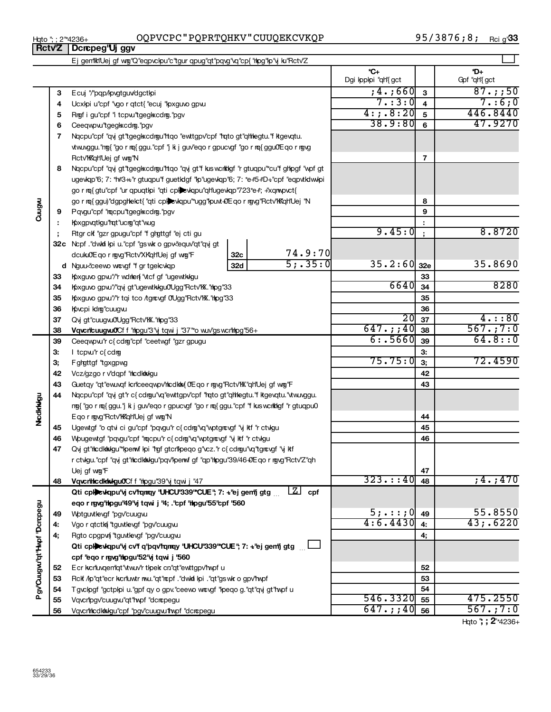## Hqto "; ; 2"\*4236+ OQPVCPC " PQPRTQHKV " CUUQEKCVKQP 95 / 3876 **;** 8 **;** <sub>Rci g''</sub>

95/3876;8; Rci g'33

|                             |    | Ej gemiktiUej gf wig"Q"eqpvckpu"c"tgur qpug"qt"pqvg"vq"cp{"hipg"kp"vj ku"Rctv'Z         |            |                 |                                      |            |                      |
|-----------------------------|----|-----------------------------------------------------------------------------------------|------------|-----------------|--------------------------------------|------------|----------------------|
|                             |    |                                                                                         |            |                 | $^{\star}$ C+<br>Dgi Ipplpi "qh"{gct |            | *D+<br>Gpf "qH'{ gct |
|                             | 3  | Ecuj "/"pqp/kpvgtguv/dgctkpi                                                            |            |                 | $,4.$ ;660                           | 3          | $87.$ ; ; 50         |
|                             | 4  | Ucxlpi u"cpf "vgo r qtct{ "ecuj "lpxguvo gpvu                                           | 7. : 3 : 0 | $\overline{4}$  | 7. : 6; 0                            |            |                      |
|                             | 5  | Rigf i gu"cpf "i tcpw"tgegl scdrg."pgv                                                  |            |                 | 4:7.8:20                             | 5          | 446.8440             |
|                             | 6  | Ceeqwpwitgegkxcdrg. "pgv                                                                |            |                 | 38.9:80                              | 6          | 47.9270              |
|                             | 7  | Nacpu"cpf "ay gt"tgegl scdrou" tao "ewttgpv" cpf "rato gt" althegtu. "f kgevatu.        |            |                 |                                      |            |                      |
|                             |    | vtw.vggu."ng{ "go r rq{ ggu."cpf "j k j guv'eqo r gpucvgf "go r rq{ ggu0'E qo r rgvg    |            |                 |                                      |            |                      |
|                             |    | Rctv'Krqh'Uej gf wg'N                                                                   |            |                 |                                      | 7          |                      |
|                             | 8  | Nacpu"cpf "ay gt"tgegkscdrogu"htao "ay gt"f kus worktigf "r gtuapu"*cu"f ghipgf "wpf gt |            |                 |                                      |            |                      |
|                             |    | ugevkqp'6; 7: **3+" gtuqpu'f guetklgf "lp"ugevkqp'6; 7: *e#5#D+"cpf "eqpvtklww.pi       |            |                 |                                      |            |                      |
|                             |    | go r ma{gtu"cpf "ur qpuqtkpi "qti cplexkqpu"qh'ugevkqp"723*e#; #xqmypvct{               |            |                 |                                      |            |                      |
|                             |    | go r ma{ggu)"dgpghelct{ "qti cplexlqpu"*ugg"lpuvt+0Eqo r mgvg"Rctv'hk"qh"Uej "N         |            |                 |                                      | 8          |                      |
| Cuugwu                      | 9  | Pqvgu"cpf "racpu"tgegl scdrag."pgv                                                      |            |                 |                                      | 9          |                      |
|                             |    | Koxgpvqtkgu'rqt'ucrg'qt'wug                                                             |            |                 |                                      | ÷.         |                      |
|                             |    | Rtgr ck "gzr gpugu"cpf "f grgttgf "ej cti gu                                            |            |                 | 9.45:0                               | $\ddot{ }$ | 8.8720               |
|                             |    | 32c Ncpf. "dwki kpi u."cpf "gswk o gpv "equv"qt"qvj gt                                  |            |                 |                                      |            |                      |
|                             |    | dcuku0'Eqo r rgvg"Rctv'XK'qH'Uej gf wrg"F                                               | 32c        | 74.9:70         |                                      |            |                      |
|                             |    | d Nguu-ceewo wrougf "f gr tgelcvkqp                                                     | 32d        | 5; .35:0        | 35.2:60                              | 32e        | 35.8690              |
|                             | 33 | Kpxguvo gpvu"/"r wdrken{ "vtcf gf "ugewtkkgu                                            |            |                 |                                      | 33         |                      |
|                             | 34 | Koxguvo gpvu"/"qvj gt"ugevtkkgu0Ugg"Rctv"K. "hpg"33                                     |            |                 | 6640                                 | 34         | 8280                 |
|                             | 35 | Koxguvo gpvu"/"r tqi tco /tgrovgf 0'Ugg"Rctv'l X. "hpg"33                               |            |                 |                                      | 35         |                      |
|                             | 36 | Kovcpi kdrg"cuugvu                                                                      |            |                 | 36                                   |            |                      |
|                             | 37 | Qvj gt"cuugvu0'Ugg"Rctv'l K. "hipg"33                                                   |            |                 | 20                                   | 37         | $4 \cdot : 80$       |
|                             | 38 | Vqvcrlcuugvu0Cf f "hpgu"3"y tqwi j "37" o wuv'gs wcrlthpg"56+                           |            |                 | 647.; ; 40                           | 38         | 567.77:0             |
|                             | 39 | Ceeqwpw" c{cdrg"cpf "ceetwgf "gzr gpugu                                                 |            |                 | 6: .5660                             | 39         | 64.8::0              |
|                             | З. | I tcpw"r c{cdmg                                                                         |            | 3:              |                                      |            |                      |
|                             | З, | F glgttgf "tgxgpwg                                                                      |            | 75.75:0         | 3;                                   | 72.4590    |                      |
|                             | 42 | Vcz/gzgo r v'dqpf "ticdktikigu                                                          |            |                 |                                      | 42         |                      |
|                             | 43 | Guetqy "qt"ewuxqf kcriceeqwpv'hicdkin(OEqo r rogy"Rctv'h "qh'Uej gf wrog"F              |            |                 |                                      | 43         |                      |
| Nedkivigu                   | 44 | Nacpu"cpf "ay gt"r c{cdrgu"va"ewttgpv"cpf "rato gt"altlegtu."f kgevatu."vtw.vggu.       |            |                 |                                      |            |                      |
|                             |    | ng{ "go r nq{ ggu."] k j guv'eqo r gpucvgf "go r nq{ ggu."cpf "f kuswcrkkgf "r gtuqpu0  |            |                 |                                      |            |                      |
|                             |    | Eqo r rgyg"Rctv"Krqh"Uej gf wrg"N                                                       |            |                 |                                      | 44         |                      |
|                             | 45 | Ugewtgf "o qtvi ci gu"cpf "pqvgu"r c{cdrg"vq"vptgrcvgf "y ktf "r ctvkgu                 |            |                 |                                      | 45         |                      |
|                             | 46 | Wougewtgf "pqvgu"cpf "racpu"r c{cdra"vq"wptgravgf "y ktf "r ctvkgu                      |            |                 |                                      | 46         |                      |
|                             | 47 | Qvj gt'hlcdkhkkgu'"penwf kpi ''rgf gtcrllpeqo g'\cz.'r c{cdrgu'\q''tgrcvgf '\j ktf      |            |                 |                                      |            |                      |
|                             |    | r ctvigu."cpf "qvj gt"hicdkinkigu"pqv"penvf gf "qp"hipgu"39/46+DE qo r rgvg"Rctv'Z"qh   |            |                 |                                      |            |                      |
|                             | 48 | Uej gf wng"F<br>Vqvcriticdkikigu0Cf f "hpgu"39"yj tqwi j "47                            |            | 323140          | 47<br>48                             | ,4.;470    |                      |
|                             |    | Qti cplexkqpu'vj cv'rqmqy 'UHCU'339" CUE", 7: +'ej gen'j gtg                            |            | $\boxed{Z}$ cpf |                                      |            |                      |
|                             |    | eqo r rgvg'hlpgu'49'vj tqwi j '4; . 'cpf 'hlpgu'55'cpf '560                             |            |                 |                                      |            |                      |
|                             | 49 | Wptguvtlevgf "pgv"cuugvu                                                                |            |                 | 5; ; 0                               | 49         | 55.8550              |
|                             | 4: | Vgo r qtctką "tguvtlevgf "pgv"cuugvu                                                    |            |                 | 4:6.4430                             | 4:         | 43; .6220            |
|                             | 4, | Rgto cpgpvf "tguvtlevgf "pgv"cuugvu                                                     |            |                 | 4;                                   |            |                      |
|                             |    | Qti cplexiqpu'vj cv'f q'pqv'rqmqy 'UHCU'339"CUE"; 7: +'ej gentj gtg                     |            |                 |                                      |            |                      |
|                             |    | cpf "eqo r rgvg"hipgu"52"vj tqwi j "560                                                 |            |                 |                                      |            |                      |
| PgyCuugwi'nt' Hypf Dcrepegu | 52 | Ecr kcriuvgenigt 'vtwuv'r tipek cn'gt 'ewttgpv'hypf u                                   |            |                 |                                      | 52         |                      |
|                             | 53 | Rckf /kp"qt"ecr kvcrituwtr mw."qt"repf."dwkfi kpi ."qt"gswk o gpv'hwpf                  |            |                 |                                      | 53         |                      |
|                             | 54 | Tgvckpgf "gctpkpi u."gpf qy o gpv."ceewo wrcvgf "kpeqo g."qt"qvj gt"hwpf u              |            |                 |                                      | 54         |                      |
|                             | 55 | Vqvcripgv'cuugvu"qt"hypf "dcrcpegu                                                      |            |                 | 546.3320                             | 55         | 475.2550             |
|                             | 56 | Vqvcriticdkiwigu"cpf "pgv"cuugvu'lhvpf "dcrcpegu                                        |            |                 | 647.; 40                             | 56         | 567.;7:0             |
|                             |    |                                                                                         |            |                 |                                      |            | Hqto "; ; 2"*4236+   |

**RctvZ Dcrcpeg'Uj ggv** 

 $\Box$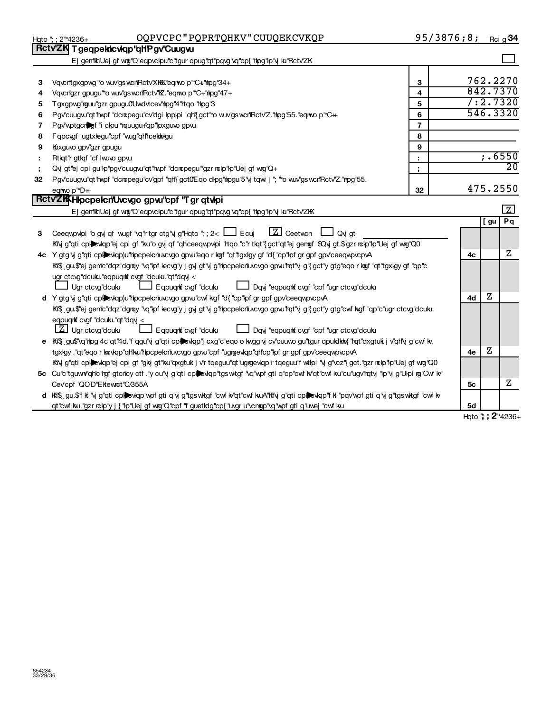|    | OQPVCPC"PQPRTQHKV"CUUQEKCVKQP<br>Hgto "; ; 2"*4236+                                                                                         | 95/3876;8;     |                          |     | Rci g'34        |
|----|---------------------------------------------------------------------------------------------------------------------------------------------|----------------|--------------------------|-----|-----------------|
|    | Rctv'ZK T geqpekicvkqp"qHP gv'Cuugw                                                                                                         |                |                          |     |                 |
|    | Ej gen'ikiUej gf wg"Q"eqpvckpu"c"tgur qpug"qt"pqvg"vq"cp{"hpg"kp"vj ku"Rctv'ZK                                                              |                |                          |     |                 |
|    |                                                                                                                                             |                |                          |     |                 |
| 3  | Vqvcrittgxgpwg" to wuv'gswcrifRctv'XKKK'eqmop" "C+'hpg"34+                                                                                  | 3              |                          |     | 762.2270        |
| 4  | Vqvcrilgzr gpugu" o wuv'gs wcrilRctv'l E. "eqnwo p" "C+" hpg" 47+                                                                           | 4              |                          |     | 842.7370        |
| 5  | Tgxgpwg"rguu"gzr gpugu0Uwdvtcev'rhpg"4"rtqo "rhpg"3                                                                                         | 5              |                          |     | 7:2.7320        |
| 6  | Pgv'cuugw"qt"twpf "dcrcpegu"cv'dgi lpplpi "qh'{gct"*o wuv'gswcn'Rctv'Z.'htpg'55."eqnwo p'*C++                                               | 6              |                          |     | 546.3320        |
| 7  | Pgv'wptgcriber "i clpu" rquugu+"qp" lpxguvo gpvu                                                                                            | $\overline{7}$ |                          |     |                 |
| 8  | Fqpcvgf "ugtxlegu"cpf "wug"qh"rcektkolgu                                                                                                    | 8              |                          |     |                 |
| 9  | Kpxguvo gpv'gzr gpugu                                                                                                                       | 9              |                          |     |                 |
|    | Rtlqt"r gtlqf "cf Iwuvo gpw.                                                                                                                | ÷              |                          |     | ; .6550         |
|    | Qvj gt"ej cpi gu"lp"pgv"cuugvu"qt"hypf "dcrcpegu"*gzr rclp"lp"Uej gf wrg"Q+                                                                 | ţ,             |                          |     | $\overline{20}$ |
| 32 | Pgv'cuugw"qt"hypf "dcrcpegu"cv'gpf "qh'{ gct0'E qo dlpg"hpgu"5"y tqwi j "; "o wuv'gs wcrlRctv'Z."hpg"55.                                    |                |                          |     |                 |
|    | eqnwo p <sup>"*</sup> D++                                                                                                                   | 32             |                          |     | 475.2550        |
|    | RctvZKKH pcpelcnUvcvgo gpw"cpf "Tgrqtvlpi                                                                                                   |                |                          |     |                 |
|    | Ej gemiktiUej gf wig"Q"eqpvckpu"c"tgur qpug"qt"pqvg"vq"cp{"thpg"kp"vj ku"Rctv'ZKK                                                           |                |                          |     | 口               |
|    |                                                                                                                                             |                |                          | [gu | Pq              |
| 3. | $\boxed{Z}$ Ceetwon $\boxed{\phantom{Z}}$ Qvj gt<br>Ceeqwpwhpi "o gvj qf "wugf "vq"r tgr ctg"vj g"Hqto "; ; 2< [1] Ecuj                     |                |                          |     |                 |
|    | Kily g"qti cpk)evkqp"ej cpi gf "ku"o gy qf "qHceeqwpvkpi "ttqo "c"rtkqt"{gct"qt"ej gengf "\$Qvj gt.\$"gzr nckp"kp"Uej gf wng"Q0             |                |                          |     |                 |
|    | 4c Y gtg"y g"qti cplexkqp)u"hocpelcriuvcvgo gpvu"eqor kogf "qt"tgxkgy gf "d{ "cp"lof gr gpf gpv"ceeqwovcpvA                                 |                | 4с                       |     | z               |
|    | kti\$ gu.\$"ej gen"c"dqz"dgray "vq"kpf lecvg"y j gvj gt"vj g"hlpcpelcriuvcvgo gpvu"hqt"vj g"{gct"y gtg"eqo r kogf "qt"tgxlgy gf "qp"c       |                |                          |     |                 |
|    | ugr ctcvg"dcuku."eqpuqrkf cvgf "dcuku."qt"dqvj <                                                                                            |                |                          |     |                 |
|    | Ugr ctcvg"dcuku<br>LJ Eqpuqnt cvgf "dcuku<br>Dqvj "eqpuqrit cvgf "cpf "ugr ctcvg"dcuku                                                      |                |                          |     |                 |
|    | d Y gtg"vj g"qti cplewqp)u"hpcpelcrluvcvgo gpvu"cwf kgf "d{"cp"lpf gr gpf gpv"ceeqwpvcpvA                                                   |                | 4d                       | Ζ   |                 |
|    | Kfi\$ gu.\$"ej gen'ic"dqz"dgmy "vq"lpf lecvg"y j gvj gt"vj g"hpcpelcrluvcvgo gpvu"hqt"vj g"{gct"y gtg"cwf kgf "qp"c"ugr ctcvg"dcuku.        |                |                          |     |                 |
|    | eqpuqrk cvgf "dcuku."qt"dqy <                                                                                                               |                |                          |     |                 |
|    | [Z] Ugr ctcvg"dcuku<br>LJ Dqvj "eqpuqrkt cvgf "cpf "ugr ctcvg"dcuku<br>Eqpuqnt cvgf "dculu                                                  |                |                          |     |                 |
| е  | kki\$ gu\$'vq'hipg"4c"qt"4d."f qgu"y g"qti cpl;>vlqp"j cxg"c"eqo o kwgg"y cv"cuuwo gu"tgur qpukdkiw{ "rqt"qxgtuk j v"qh'y g"cwf kv.         |                |                          |     |                 |
|    | tgxlgy ."qt"eqork toxlqp"qHku"Hpcpelcrluvcvgo gpvu"cpf "ugrgevlqp"qHcp"lpf gr gpf gpv'ceeqwpvcpvA                                           |                | 4e                       | z   |                 |
|    | ktivj g"qti cpkevkqp"ej cpi gf "gkj gt"ku"qxgtuk j v'r tqeguu"qt"ugngevkqp"r tqeguu"f wtkpi "vj g"vcz"{gct."gzr nckp"kp"Uej gf wng"Q0       |                |                          |     |                 |
|    | 5c Cu"c"tguww"qh"c"rgf gtcn"cy ctf ."y cu"vj g"qti cplexkqp"tgswkgf "vq"wpf gti q"cp"cwf k/qt"cwf ku"cu"ugv'rqtvj "lp"vj g"Ulpi rg"Cwf k/"  |                |                          |     |                 |
|    | Cev'cpf "QOD"Ekewnct"C/355A                                                                                                                 |                | 5с                       |     | Ζ               |
|    | d Ki\$ gu.\$"fkf 'vj g"qti cplievkqp"wpf gti q"vj g"tgswkgf "cwf k/'qt"cwf kuA"Kilvj g"qti cplievkqp"fkf "pqv'wpf gti q"vj g"tgswkgf "cwf k |                |                          |     |                 |
|    | qt"cwf ku."gzr rckp"y j { "kp"Uej gf wrg"Q"cpf "f guetkdg"cp{ "uvgr u"vcngp"vq"wpf gti q"uwej "cwf ku                                       |                | 5d<br>$Hnto " : 2*4236+$ |     |                 |
|    |                                                                                                                                             |                |                          |     |                 |

**H**qto **'; ; 2**"\*4236-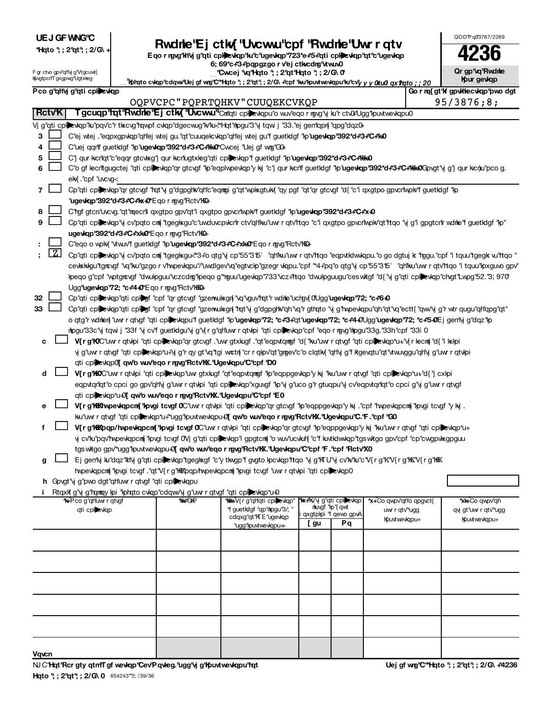|  | UE J GF WNG'C |
|--|---------------|
|--|---------------|

| *Hqto "; ; 2"qt"; ; 2/G\ |  |  |  |  |  |
|--------------------------|--|--|--|--|--|
|--------------------------|--|--|--|--|--|

# UEJ OF VING C<br>
Thato "; 2"at"; 2/G\ +<br>
Public Charity State of the organization of the organization of the organization of the status of the status of the status of the state of the status of the status of the state of the

| QOD'Pq0'3767/2269 |
|-------------------|
|                   |
|                   |

**Or gp'vq'Rwdne Ifpur gevicip** 

|  | F gr ctvo gpv'qHvj g'Vtgcuwt{ |
|--|-------------------------------|
|  | KovgtpcnTgxgpwg"Ugtxleg       |

6; 69\*c+3+pqpgzgo r v<sup>e</sup>j ctlucdrg www0 **| Cwcej 'vq'Hqto '; ; 2'qt'Hqto '; ; 2/G\0'** 

|                | mpvgtpcni gxgpwg ogtxreg                                                                                                                                      |                                                                                                     |                                                        | " kpiqto cvkqp"cdqwrUej gf wg"C"*Hqto "; ; 2"qt"; ; 2/G\ +"cpf "ku"kpuvtwevkqpu"ku"cv" <i>y y y 0tu0 qx1lrqto ; ; 20</i>                                               |                                                     |                                            |  | mpur gewap                           |  |  |  |  |
|----------------|---------------------------------------------------------------------------------------------------------------------------------------------------------------|-----------------------------------------------------------------------------------------------------|--------------------------------------------------------|------------------------------------------------------------------------------------------------------------------------------------------------------------------------|-----------------------------------------------------|--------------------------------------------|--|--------------------------------------|--|--|--|--|
|                | Pco g'ghly g'gti cplewgp                                                                                                                                      |                                                                                                     |                                                        |                                                                                                                                                                        |                                                     |                                            |  | Go r rq{ gt'lf gpvlitecviqp'pwo dgt  |  |  |  |  |
|                |                                                                                                                                                               |                                                                                                     | OQPVCPC"PQPRTQHKV"CUUQEKCVKQP                          |                                                                                                                                                                        | 95/3876;8;                                          |                                            |  |                                      |  |  |  |  |
| <b>RctvK</b>   |                                                                                                                                                               |                                                                                                     |                                                        | T gcuqp <sup>1</sup> rqt <sup>1</sup> Rwdrie <sup>1</sup> Ej ctk{ <sup>1</sup> Uwcww <sup>11</sup> Cnilqti cplevkqpu'o wuv'eqor rgvg'vj ku'r ctvGiUgg'lpuvtwevkqpu0    |                                                     |                                            |  |                                      |  |  |  |  |
|                |                                                                                                                                                               |                                                                                                     |                                                        | Vj g"qti cplickiqp"ku"pqv'c"r tikcvg"rqwpf cvkqp"dgecwug"k/ku-"Hqt"ripgu"3"vj tqwi j "33."ej gen"lqpr{ "qpg"dqz0+                                                      |                                                     |                                            |  |                                      |  |  |  |  |
| 3              |                                                                                                                                                               |                                                                                                     |                                                        | C"ej wtej . "eqpxgpvkqp"qh"ej wtej gu. "qt"cuuqekcvkqp"qh"ej wtej gu"f guetkdgf "kp"ugevkqp"392*d+3+C+1k0                                                              |                                                     |                                            |  |                                      |  |  |  |  |
| 4              |                                                                                                                                                               | C"uej qqrtf guetklgf "lp"ugevkqp"392*d#3#C+"kk0"Cwcej "Uej gf wmg"G0+                               |                                                        |                                                                                                                                                                        |                                                     |                                            |  |                                      |  |  |  |  |
| 5              |                                                                                                                                                               | C"j qur kcri'qt"c"eqqr gtcvkxg"j qur kcri'ugtxleg"qti cplexkqp"f guetklgf "lp"ugewiqp"392*d#3#C#WeO |                                                        |                                                                                                                                                                        |                                                     |                                            |  |                                      |  |  |  |  |
| 6              | C"o gf lecritgugctej "qti cplievkqp"qr gtcvgf "kp"eqplwpevkqp"y kj "c"j qur kcriff guetkdgf "kp" <b>ugevkqp"392*d+3+*C+*kka0</b> Gpvgt"y g"j qur kcnju"pco g. |                                                                                                     |                                                        |                                                                                                                                                                        |                                                     |                                            |  |                                      |  |  |  |  |
|                | ek {. "cpf "uvcvg<                                                                                                                                            |                                                                                                     |                                                        |                                                                                                                                                                        |                                                     |                                            |  |                                      |  |  |  |  |
| $\overline{7}$ |                                                                                                                                                               |                                                                                                     |                                                        | Cp"qti cpliewap"qr gtcvgf "rat"y g"dgpghw"qh"c"eqmgi g"qt"wplxgtulw{ "qy pgf "qt"qr gtcvgf "d{ "c"i qxgtpo gpvcr"wplw"f guetldgf "lp                                   |                                                     |                                            |  |                                      |  |  |  |  |
|                |                                                                                                                                                               |                                                                                                     | " <b>ugevkqp"392*d+*3+*C+*kx+0*</b> Eqorngvg"Rctv"KK0+ |                                                                                                                                                                        |                                                     |                                            |  |                                      |  |  |  |  |
| 8              |                                                                                                                                                               |                                                                                                     |                                                        | C'tgf gtcn'uvcvg."qt'tqecrli qxgtpo gpv'qt'i qxgtpo gpvcrlwpk/f guetIdgf "lp"ugevlap"392*d#3#C#x+0                                                                     |                                                     |                                            |  |                                      |  |  |  |  |
| 9              |                                                                                                                                                               |                                                                                                     |                                                        | Cp"qti cplictions wip of godo cm "tgegl sgu"c"uwduvcpvicn" ctv"qh"ku"uw r qtv"ttqo "c"i qxgtpo gpvcn"wpk/qt"rtqo "y g"i gpgtcn"r wdne"f guetklgf "lp"                  |                                                     |                                            |  |                                      |  |  |  |  |
|                |                                                                                                                                                               |                                                                                                     | ugewkap"392*d+*3+*C+*xk+0*Eqormgvg"Rctv"KQ+            |                                                                                                                                                                        |                                                     |                                            |  |                                      |  |  |  |  |
|                |                                                                                                                                                               |                                                                                                     |                                                        | C"eqo o wpk{ "vtw.w"f guetkdgf "lp"ugewkqp"392*d+*3+*C+*xk+0*Eqo r rgvg"Rctv"hKo+                                                                                      |                                                     |                                            |  |                                      |  |  |  |  |
|                | $\mathbf{Z}$                                                                                                                                                  |                                                                                                     |                                                        | Cp"qti cplexkqp"y cv'pqto cm "tgegkxgu <"3+"o qtg"y cp"55"315' "qh'ku'uwr qtv'hqo "eqpxtklwkqpu."o go dgtuj k "rggu."cpf "i tquu"tgegk w"hqo '                         |                                                     |                                            |  |                                      |  |  |  |  |
|                |                                                                                                                                                               |                                                                                                     |                                                        | cevkkkgu"tgrevgf "vq"ku"gzgorv'hwevkqpu"/"uwdlgev'vq"egtvckp"gzegrvkqpu."cpf "*4+"pq"oqtg"vjcp"55"315' "qh'ku"uwrrqtv'htqo "itquu"kpxguvogpv                           |                                                     |                                            |  |                                      |  |  |  |  |
|                |                                                                                                                                                               |                                                                                                     |                                                        | peqo g"cpf "wptgrowgf "dwulpguu"vczcdrg"lpeqo g"mguu"ugevkqp"733"vcz#tqo "dwulpguugu"ceswkgf "d{ "y g"qti cplievkqp"chgt"Lwpg"52."3; 970                               |                                                     |                                            |  |                                      |  |  |  |  |
|                |                                                                                                                                                               |                                                                                                     | Ugg"ugewkqp"72; *c+*4+0*Eqormgvg"Rctv"KKQ+             |                                                                                                                                                                        |                                                     |                                            |  |                                      |  |  |  |  |
| 32             |                                                                                                                                                               |                                                                                                     |                                                        | Cp"qti cplexkqp"qti cplegf "cpf "qr gtcxgf "gzerwulxgrf "vq"vguv'rqt"r wdrle"ucrgy 0Ugg"ugewkqp"72; *c#640                                                             |                                                     |                                            |  |                                      |  |  |  |  |
| 33             |                                                                                                                                                               |                                                                                                     |                                                        | Cp"qti cpl;exkqp"qti cpl;egf "cpf "qr gtcvgf "gzenwuksgn{"rqt"vj g"dgpghk"qh"vq"r gthqto "vj g"hvpevkqpu"qh"qt"vq"ectt{ "qwv'vj g"r wtr qugu"qh"qpg"qt"                |                                                     |                                            |  |                                      |  |  |  |  |
|                |                                                                                                                                                               |                                                                                                     |                                                        | o qtg"r wdnlen{ "uwr r qtvgf "qti cpl}evkqpu"f guetklgf "kp" <b>ugevkqp"72; *c+3+</b> qt" <b>ugevkqp"72; *c+4+0</b> Ugg" <b>ugevkqp"72; *c+5+0</b> Ej gen'iyj g"dqz"kp |                                                     |                                            |  |                                      |  |  |  |  |
|                |                                                                                                                                                               |                                                                                                     |                                                        | nlogu"33c"vi tqwi j "33f "vi cv"f guetldgu"vi g"v{r g"qh"uwrr qtvloi "qti cplidevlap"cpf "eqo rngvg"nlogu"33g."33h "cpf "33i 0                                         |                                                     |                                            |  |                                      |  |  |  |  |
| с              |                                                                                                                                                               |                                                                                                     |                                                        | V{rg'lOC'uwr qtvlpi "qti cpliexulap"qr gtcvgf ."uwr gtxkugf ."qt"eqpvtqmgf "d{ "ku"uwr r qtvgf "qti cpliexulap"u+"v{r lecm{"d{ "i kklpi                                |                                                     |                                            |  |                                      |  |  |  |  |
|                |                                                                                                                                                               |                                                                                                     |                                                        | y g"uwr r qtvgf "qti cplic vlqp"u+"y g"r qy gt"vq"tgi wrctn{ "cr r qlpv"qt"grgev"c"o clqtkn{ "qh'vj g"f ktgevqtu"qt"vtw.vggu"qh'vj g"uwr r qtvlpi                      |                                                     |                                            |  |                                      |  |  |  |  |
|                |                                                                                                                                                               |                                                                                                     |                                                        | qti cplexiqp0[ qwb wuveqo r rgvg'Rctvlox."Ugeviqpu"C"cpf 'D0                                                                                                           |                                                     |                                            |  |                                      |  |  |  |  |
| d              |                                                                                                                                                               |                                                                                                     |                                                        | V{rg'KOC'uwrrqtvlpi "qti cplexlqp"uwrgtxkugf "qt"eqpvtqmgf "lp"eqppgevlqp"ykj "ku"uwrrqtvgf "qti cplexlqp*u+"d{"jcxlpi                                                 |                                                     |                                            |  |                                      |  |  |  |  |
|                |                                                                                                                                                               |                                                                                                     |                                                        | eqpvtqrlqt"o cpci go gpv"qhly g"uwr r qtvlpi "qti cplievlap"xguvgf "lp"y g"uco g"r gtuqpu"y cv"eqpvtqrlqt"o cpci g"y g"uwr r qtvgf                                     |                                                     |                                            |  |                                      |  |  |  |  |
|                |                                                                                                                                                               |                                                                                                     |                                                        | qti cplexkqp*u+D[qwb wuv'eqo r rgvg'Rctv'KX."Ugevkqpu"C"cpf 'E0                                                                                                        |                                                     |                                            |  |                                      |  |  |  |  |
| е              |                                                                                                                                                               |                                                                                                     |                                                        | V{rg'hikthopeologpcn{'lipogi tcogf 0°Cuwrcqtolpi "qti cplpeologp"qrgtcogf"lip"eqppgeologp"y kj . "cpf "hopeologpcn{"lipogi tcogf"y kj .                                |                                                     |                                            |  |                                      |  |  |  |  |
|                |                                                                                                                                                               |                                                                                                     |                                                        | ku"uw r qtvgf "qti cpliexkqp"u+""ugg"lpuvtwevkqpu+9[ qw'b wuv'eqo r rgvg'Rctv'hX.''Ugevkqpu''C.'F.''cpf "G0                                                            |                                                     |                                            |  |                                      |  |  |  |  |
| f              |                                                                                                                                                               |                                                                                                     |                                                        | V{r g'hikbqp/hwpewlapcn{'hpvgi tcvgf 0°Cuwr r qtvlpi "qti cploevlap"qr gtcvgf "lp"eqppgevlap"y kij "ku"uwr r qtvgf "qti cploevlap*u+                                   |                                                     |                                            |  |                                      |  |  |  |  |
|                |                                                                                                                                                               |                                                                                                     |                                                        | y cv'kı pay'two evlapcını "lovgi tcvgf OVj g"ati cplevlap" gpgtcmi" o wuv'ucvkılf "c"f kwtkiwkip"tgswkgo gpv'cpf "cp"cwgpvksgpguu                                      |                                                     |                                            |  |                                      |  |  |  |  |
|                |                                                                                                                                                               |                                                                                                     |                                                        | tgs witgo gpv"ugg"lpuvtwevkqpu+0[qw'b wuv'eqo r rgvg'Rctv'KX.'Ugewkqpu'C'cpf 'F.'cpf 'Rctv'X0                                                                          |                                                     |                                            |  |                                      |  |  |  |  |
| g              |                                                                                                                                                               |                                                                                                     |                                                        | Ej gen'ij ku''dqz''klij g''qti cplewqp''tgeglxgf ''c''y tkwgp''f gygto lpcwqp''ttqo 'ij g''ki U'ij cv'kv'ku''c''V{r g''k''V{r g''kK''V{r g''kK''V{r g''kK'             |                                                     |                                            |  |                                      |  |  |  |  |
|                |                                                                                                                                                               |                                                                                                     |                                                        | hypevlapcm("lovgi tcvgf ."qt"V{r g"KKXpqp/hypevlapcm("lovgi tcvgf "uwr r qtvlpi "qti cplicxlap0                                                                        |                                                     |                                            |  |                                      |  |  |  |  |
|                | h Govgt"vj g"pwo dgt"qh'uwr r qtvgf "qti cplexkqpu                                                                                                            |                                                                                                     |                                                        |                                                                                                                                                                        |                                                     |                                            |  |                                      |  |  |  |  |
|                |                                                                                                                                                               |                                                                                                     |                                                        | Rtqxk g"y g"ramay loi "lorato cvlap"cdaw"y g"uw r atvgf "ati cplexiap"u+0                                                                                              |                                                     |                                            |  |                                      |  |  |  |  |
|                | *k+Pco g"gh'uwr r gtvgf                                                                                                                                       |                                                                                                     | <b>"KG"GKP</b>                                         | *f guetIdgf "ap"hipgu"3/; "                                                                                                                                            | <b>*kx+Ki'vi g"gti cplecvigp</b><br>rkuygf "kp"{qwt | *x+Co qwpv'qho qpgvct{                     |  | <b>*xk+Co qwpv"qh</b>                |  |  |  |  |
|                | qti cplewqp                                                                                                                                                   |                                                                                                     |                                                        | cdqxg"qt"KTE"ugevkqp                                                                                                                                                   | qxgtplpi "f qewo gpvA                               | uwr r qtv <sup>w</sup> ugg<br>Kputwevkqpu+ |  | qy gt"uwr r qtv"ugg<br>Kpuxtwevkqpu+ |  |  |  |  |
|                |                                                                                                                                                               |                                                                                                     |                                                        | *ugg" puvtwevkqpu++                                                                                                                                                    | Pq<br>[ gu                                          |                                            |  |                                      |  |  |  |  |
|                |                                                                                                                                                               |                                                                                                     |                                                        |                                                                                                                                                                        |                                                     |                                            |  |                                      |  |  |  |  |
|                |                                                                                                                                                               |                                                                                                     |                                                        |                                                                                                                                                                        |                                                     |                                            |  |                                      |  |  |  |  |
|                |                                                                                                                                                               |                                                                                                     |                                                        |                                                                                                                                                                        |                                                     |                                            |  |                                      |  |  |  |  |

| المتحاص والمستحدث والمستحدث والمستحدث والمستحدث والمستحدث والمستحدث والمستحدث والمتحاص والمستحدث والمستحدث المتحدث<br>*k+Pco g"qh'uw r qtvgf<br>qti cplewqp | <b><i>Ne</i></b> <sup>C</sup> HP | *f guetIdgf "qp" hpgu"3/; "<br>cdqxg"qt"KTE"ugevkqp<br>*ugg" puvtwevkqpu++ | , gu | rkungf "kp"{qwt<br>qxgtplpi "f qewo gpvA<br>Pq | *x+Co qwpv'qh'o qpgvct{<br>uwr r qtv <sup>w</sup> ugg<br>Kpuxtwevkqpu+ | *xk+Co qwpv"qh<br>qyj gt"uwr r qtv"*ugg<br>Koutwevkqpu+ |
|-------------------------------------------------------------------------------------------------------------------------------------------------------------|----------------------------------|----------------------------------------------------------------------------|------|------------------------------------------------|------------------------------------------------------------------------|---------------------------------------------------------|
|                                                                                                                                                             |                                  |                                                                            |      |                                                |                                                                        |                                                         |
|                                                                                                                                                             |                                  |                                                                            |      |                                                |                                                                        |                                                         |
|                                                                                                                                                             |                                  |                                                                            |      |                                                |                                                                        |                                                         |
|                                                                                                                                                             |                                  |                                                                            |      |                                                |                                                                        |                                                         |
|                                                                                                                                                             |                                  |                                                                            |      |                                                |                                                                        |                                                         |
| Vqvcn                                                                                                                                                       |                                  |                                                                            |      |                                                |                                                                        |                                                         |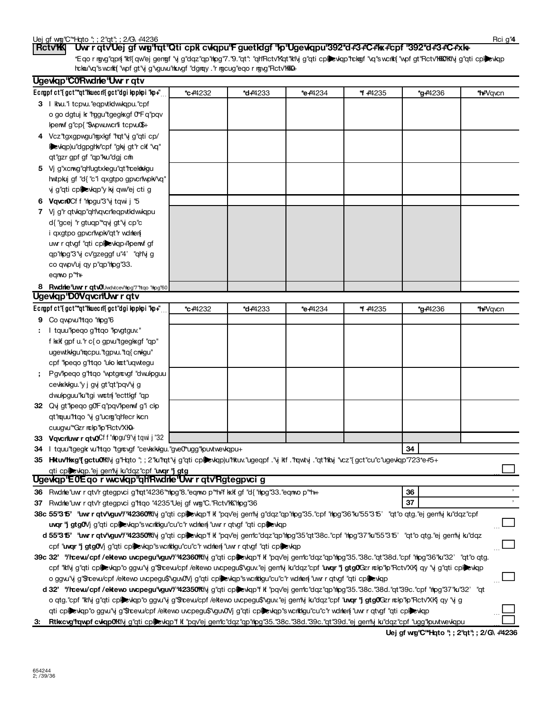| Uw r qtv'Uej gf wy'l'qt'iQti cpk cvkqpu'F guetkigf "lp"Ugevkqpu'392*d#3#C#1x+'cpf '392*d#3#C#xk+<br><b>RctvK</b>                                                                                                                       |                 |                     |         |         |                                       |                        |
|----------------------------------------------------------------------------------------------------------------------------------------------------------------------------------------------------------------------------------------|-----------------|---------------------|---------|---------|---------------------------------------|------------------------|
| *Eqormyg"qpn{ "kt"{qw"ej genngf "vj g"dqz"qp"hpg"7."9."qt": "qHRctv"Kqt"klvj g"qti cplewqp"rckngf "vq"swcrkf{ "wpf gt"Rctv"hKKOKKlvj g"qti cpllewqp<br>hckai"vq"swcrkt{ "wpf gt"vj g"vguvu"hkuvgf "dgray."r rgcug"eqo r rgvg"Rctv"kkQ+ |                 |                     |         |         |                                       |                        |
| Ugevkqp'C0Rwdnle'Uwrrqtv                                                                                                                                                                                                               |                 |                     |         |         |                                       |                        |
| Ecropf ct"{gct"*qt"huecrl{gct"dgi kppkpi "kp+"                                                                                                                                                                                         | <b>*c+</b> 4232 | *d <sub>+4233</sub> | *e+4234 | * +4235 | <b>*g#</b> 4236                       | *hi <del>"</del> Vq∨cn |
| 3 I kw." tcpw."eqpvtktwkqpu."cpf                                                                                                                                                                                                       |                 |                     |         |         |                                       |                        |
| o go dgtuj k "rggu"tgegl sgf 0*Fq"pqv                                                                                                                                                                                                  |                 |                     |         |         |                                       |                        |
| Iperwf g"cp{ "\$wpw.uwcrlii tcpwu"\$+                                                                                                                                                                                                  |                 |                     |         |         |                                       |                        |
| 4 Vcz"tgxgpwgu"rgxkgf "rqt"y g"qti cp/                                                                                                                                                                                                 |                 |                     |         |         |                                       |                        |
| Deviqp)u"dgpghv"cpf "gkj gt"r ckf "vq"                                                                                                                                                                                                 |                 |                     |         |         |                                       |                        |
| qt"gzr gpf gf "qp"ku"dgj cm                                                                                                                                                                                                            |                 |                     |         |         |                                       |                        |
| 5 Vj g"xcmg"qh"ugtxlegu"qt"rcektklgu                                                                                                                                                                                                   |                 |                     |         |         |                                       |                        |
| hwtpkuj gf "d{ "c"i qxgtpo gpvcr\wpkv'vq"                                                                                                                                                                                              |                 |                     |         |         |                                       |                        |
| vj g"qti cplictylop"y kj qw"ej cti g                                                                                                                                                                                                   |                 |                     |         |         |                                       |                        |
| 6 Vqvcr0Cf f "hpgu"3"y tqwi j "5                                                                                                                                                                                                       |                 |                     |         |         |                                       |                        |
| 7 Vj g'r qtvkqp"qHvqvcrleqpvtkdwwkqpu                                                                                                                                                                                                  |                 |                     |         |         |                                       |                        |
| d{ "gcej "r gtuqp"*qvj gt"vj cp"c                                                                                                                                                                                                      |                 |                     |         |         |                                       |                        |
| i qxgtpo gpvcrwpk/'qt''r wdrlen                                                                                                                                                                                                        |                 |                     |         |         |                                       |                        |
| uwr r qtvgf "qti cplexkqp+"perwf gf                                                                                                                                                                                                    |                 |                     |         |         |                                       |                        |
| qp"mpg"3"y cv"gzeggf u"4' "qHy g                                                                                                                                                                                                       |                 |                     |         |         |                                       |                        |
| co qwpv'uj qy p"qp"mpg"33.                                                                                                                                                                                                             |                 |                     |         |         |                                       |                        |
| eqnop <sup>"**</sup> h"                                                                                                                                                                                                                |                 |                     |         |         |                                       |                        |
| 8 Rwdne'uwr r qtwUwdvtceVthpg"7'ttqo 'thpg'60<br>Ugewgp'D0VqvcnUwrrqtv                                                                                                                                                                 |                 |                     |         |         |                                       |                        |
| Ecropf ct"{gct"*qt"huecrl{gct"dgi kppkpi "kp+"                                                                                                                                                                                         | <b>*c+</b> 4232 | <b>*d+</b> 4233     | *e+4234 | * +4235 | *g#4236                               | *hi <del>"</del> Vq∨cn |
| 9 Co qwpw'rtqo "mpg"6                                                                                                                                                                                                                  |                 |                     |         |         |                                       |                        |
| : I tquu"peqo g"rtqo "pvgtguv."                                                                                                                                                                                                        |                 |                     |         |         |                                       |                        |
| f kxlf gpf u."r c{o gpw"tgeglxgf "qp"                                                                                                                                                                                                  |                 |                     |         |         |                                       |                        |
| ugewtkkgu"rqcpu."tgpw."tq{crwgu"                                                                                                                                                                                                       |                 |                     |         |         |                                       |                        |
| cpf "lpeqo g"rtqo "ulo ket"uqwtegu                                                                                                                                                                                                     |                 |                     |         |         |                                       |                        |
| Pgv'lpeqo g'ltqo 'wptgrcvgf 'dwulpguu                                                                                                                                                                                                  |                 |                     |         |         |                                       |                        |
| cevkxkwgu.'y j gvj gt''qt''pqv'vj g                                                                                                                                                                                                    |                 |                     |         |         |                                       |                        |
| dwulpguu"ku"tgi wrtn{ "ecttlgf "qp                                                                                                                                                                                                     |                 |                     |         |         |                                       |                        |
| 32 Qvj gt"peqo g0'Fq"pqv"perwf g"i clp                                                                                                                                                                                                 |                 |                     |         |         |                                       |                        |
| qt"mquu"rtqo "y g"ucmg"qh"ecr kcn                                                                                                                                                                                                      |                 |                     |         |         |                                       |                        |
| cuugwith Gzr nchp"hp"Rctv"XKH-                                                                                                                                                                                                         |                 |                     |         |         |                                       |                        |
| 33 Vgvcriuw r gtvOCf f "ripgu"9"yj tqwi j "32                                                                                                                                                                                          |                 |                     |         |         |                                       |                        |
| 34 I tquu"tgegk w"ttqo "tgrcvgf "cevkkkgu."gve0"ugg"kpuvtwevkqpu+                                                                                                                                                                      |                 |                     |         |         | 34                                    |                        |
| 35 Hkuvhkxg"{gctu0klivjg" Hqto "; ; 2"ku"rqt"vjg"qti cplevkqp)u"hkuv."ugeqpf ."vj kf ."rqwtvj ."qt"hkiy "vcz"{gct"cu"c"ugevkqp"723*e#5+                                                                                                |                 |                     |         |         |                                       |                        |
| qti cplevkqp."ej gen'ly ku"dqz"cpf "uvqr "j gtg<br>Ugewiqp'E0Eqo r w.cwiqp"qh'Rwdnle'Uwrrqtv'Rgtegpvcig                                                                                                                                |                 |                     |         |         |                                       |                        |
| 36 Rwdnhe uw r qtv'r gtegpyci g 'rqt'4236 "mipg'8. "eqnwo p "th" kxkf gf "d{ "nipg"33. "eqnwo p ""th+                                                                                                                                  |                 |                     |         |         | 36                                    |                        |
| 37 Rwdne "uwr r qtv'r gtegpvci g"rtqo "4235" Uej gf wrg "C. "Rctv" K "rhpg" 36                                                                                                                                                         |                 |                     |         |         | 37                                    |                        |
| 38c 55"315" "uwr r qtv'vguv'/"42360"Kivj g"qti cpljevkqp"f k "pqv'ej gen'lyj g"dqz"qp"rhpg"35."cpf "hpg"36"ku"55"315' "qt"o qtg."ej gen'lyj ku"dqz"cpf                                                                                 |                 |                     |         |         |                                       |                        |
| uvqr "j gtg0Vj g"qti cplexkqp"swcrktgu"cu"c"r wdnen "uwr r qtvgf "qti cplexkqp                                                                                                                                                         |                 |                     |         |         |                                       |                        |
| d 55"315" "uwr r qtv'vguv'/"42350"Kivj g"qti cplexkqp"f kf "pqv'ej gentc"dqz"qp"nog"35"qt"38c."cpf "hog"37"ku"55"315" "qt"o qtg."ej gentiy ku"dqz                                                                                      |                 |                     |         |         |                                       |                        |
| cpf "uvqr" ji gtg0Vj g"qti cplexkqp"swcrktigu"cu"c"r wdnen "uw r qtvgf "qti cplexkqp"                                                                                                                                                  |                 |                     |         |         |                                       |                        |
| 39c 32" "Yhcew/cpf/ektewo uvcpegu"vguv"/"42360"Kivj g"qti cpibevkqp"fkt "pqv"ej gen"c"dqz"qp"hpg"38. "38c. "qt"38d. "cpf "hpg"36"ku"32' "qt"o qtg.                                                                                     |                 |                     |         |         |                                       |                        |
| cpf "ktvj g"qti cplietyqp"o ggw!'vj g"\$rcew/cpf /eltewo uvcpegu\$"vguv."ej gen'iy ku"dqz"cpf " <b>uvqr "j gtg0</b> Gzr nclp"p("Rctv'XKj qy "vj g"qti cplietylap                                                                       |                 |                     |         |         |                                       |                        |
| o ggw"vj g"\$hcevu/cpf/eltewo uvcpegu\$"vguv0Vj g"qti cplexkqp"swcrltigu"cu"c"r wdnien{ "uwr r qtvgf "qti cplexkqp                                                                                                                     |                 |                     |         |         |                                       |                        |
| d 32" "/hcew/cpf/eltewo uvcpegu"vguv"/"42350%fly g"qti cplexkqp"f kf "pqv'ej gentc"dqz"qp"hpg"35."38c."38d."qt"39c."cpf "hpg"37"ku"32' "qt                                                                                             |                 |                     |         |         |                                       |                        |
| o qtg."cpf "kl\j g"qti cpl}evkqp"o ggvu'\j g"\$rcevu/cpf /eltewo uvcpegu\$'\guv."ej gen'\j ku"dqz"cpf " <b>uvqr "j gtg0</b> 'Gzr rckp"kp"Rctv'Xkj qy "vj g                                                                             |                 |                     |         |         |                                       |                        |
| qti cplevkqp"o ggvu"vj g"\$hcevu/cpf/eltewo uvcpegu\$"vguv0Vj g"qti cplevkqp"swcrktlgu"cu"c"r wdnen{"uwr r qtvgf "qti cplevkqp"                                                                                                        |                 |                     |         |         |                                       |                        |
| Rtkxcvg"rqwpf cwqp0lKl\j g"qti cplexkqp"f k "pqv"ej gentc"dqz"qp"nog"35."38c."38d."39c."qt"39d."ej gent\j ku"dqz"cpf "ugg"louvtwevkqpu                                                                                                 |                 |                     |         |         | I lei of wm"C"Hoto " 2"nt" 2/G\ 44236 |                        |

 $\frac{1}{2}$  Schedule A (Schedule A (Schedule A (Schedule A (Schedule A (Schedule A (Schedule A (Schedule A (Schedule A (Schedule A (Schedule A (Schedule A (Schedule A (Schedule A (Schedule A (Schedule A (Schedule A (Schedul

**Uej gr wig"C" Higto"; ; 2"qt"; ; 2/G\ +42** 

**Rci** g<sup>1</sup>4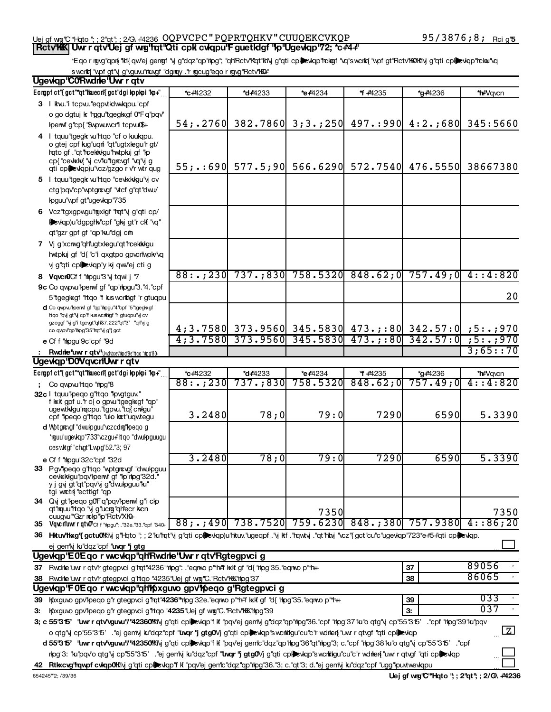#### Uejgfwng"C"\*Hqto ";;2"qt";;2/G\+'4236\_UQPVCPC PQPRTQHKV CUUQEKCVKQP\_\_\_\_\_\_\_\_\_\_\_\_\_\_9573876;8; Rcig' **Rctv'KK| Uwr r qtv'Uej gf wig'tat'Qti cpk cwqpu'F guetIdgf ''Ip''Ugewlap'72; \*c#4+** MONTANA NONPROFIT ASSOCIATION 73-1654969

## \*Eqormgvg"qpn{"kh"{qw"ej gengf"yjg"dqz"qp"hipg"; "qh"Rctv"Kqt"kh'yjg"qti cplied yop"hckaf "vq"swchkt{"vypfgt"Rctv"KQKh'yjg"qti cplied yop"hckau"vq sworkt{ "wpf gt"y g"vguvu"hkuvgf "dgrqy ."r rgcug"eqo r rgvg"Rctv"h@#

|    | Ugevkqp'C0Rwdnle'Uwrrqtv                                                                                                                                                                              |             |                      |          |                      |                                                                                                                  |                       |
|----|-------------------------------------------------------------------------------------------------------------------------------------------------------------------------------------------------------|-------------|----------------------|----------|----------------------|------------------------------------------------------------------------------------------------------------------|-----------------------|
|    | Ecropf ct"{gct"*qt"huecrl{gct"dgi kppkpi "kp+"                                                                                                                                                        | *c+4232     | *d+4233              | *e+4234  | * +4235              | *g#4236                                                                                                          | *h <sup>u</sup> Vqvcn |
|    | 3 I kw." tcpw."eqpvtklwkqpu."cpf                                                                                                                                                                      |             |                      |          |                      |                                                                                                                  |                       |
|    | o go dgtuj k "rggu"tgegkgf 0"F q"pqv"                                                                                                                                                                 |             |                      |          |                      |                                                                                                                  |                       |
|    | Iperwf g"cp{ "\$wpw.uwcrli tcpwu"\$+                                                                                                                                                                  |             |                      |          |                      | 54; 2760 382.7860 3; 3.; 250 497.: 990 4: 2.; 680                                                                | 345:5660              |
|    | 4   tquu"tgegk w"rtgo "cf o kulgpu.<br>o gtej cpf kig"uqrfi "qt"ugtxlegu"r gt/<br>hato gf ."at"hcekkkgu"hwtpkuj gf "kp<br>cp{"cevkkk{"y cv'lu"tgrcvgf"vq"yjg<br>qti cplevkqp)u'vcz/gzgo r v'r wtr qug |             | $55;$ : 690 577.5;90 |          | 566.6290 572.7540    | 476.5550                                                                                                         | 38667380              |
|    | 5 I tquu"tgegk wi"tqo "cevkkkgu"y cv<br>ctg"pgv"cp"wptgrougf "vtcf g"gt"dwu/                                                                                                                          |             |                      |          |                      |                                                                                                                  |                       |
|    | lpguu"wpf gt"ugevkqp"735                                                                                                                                                                              |             |                      |          |                      |                                                                                                                  |                       |
|    | 6 Vcz "tgxgpwgu" rgxkgf "rgt" y g" qti cp/<br>levkqp)u"dgpghv"cpf "gkj gt"r ckf "vq"<br>qt"gzr gpf gf "qp"ku"dgj cm                                                                                   |             |                      |          |                      |                                                                                                                  |                       |
|    | 7 Vi g'xcmg'ghlugtxlegu'gt'rcekkkgu                                                                                                                                                                   |             |                      |          |                      |                                                                                                                  |                       |
|    | hwtpkij gf "d{ "c"i qxgtpo gpvcr'wpk/'vq                                                                                                                                                              |             |                      |          |                      |                                                                                                                  |                       |
|    | yj g"qti cplexkqp"y kj qw"ej cti g                                                                                                                                                                    |             |                      |          |                      |                                                                                                                  |                       |
|    | 8 Vqvcr0Cf f "hpgu"3"y tqwi j "7                                                                                                                                                                      | 88: . ; 230 |                      |          |                      | $737.;830$ $758.5320$ $848.62;0$ $757.49;0$ $4:1320$                                                             |                       |
|    | 9c Co qwpw "perwf gf "qp" hpgu"3."4."cpf                                                                                                                                                              |             |                      |          |                      |                                                                                                                  |                       |
|    | 5"tgeglxgf "htgo "f kus workligf" r gtugpu                                                                                                                                                            |             |                      |          |                      |                                                                                                                  | 20                    |
|    | d Co qwpw."lperwf gf "qp"hlpgu"4"cpf "5"tgeglwgf<br>Itgo "qvj gt"vj cp"f kus wcrkligf "r gtuqpu"vj cv<br>gzeggf "vj g'i tgcvgt"qH'&7.222"qt"3' "qH'vj g<br>co qwpv'qp'thpg'35'tqt'\j g'{ gct          |             |                      |          |                      |                                                                                                                  |                       |
|    | e Cf f "hipgu"9c" cpf "9d                                                                                                                                                                             |             |                      |          |                      | $4;3.7580$ 373.9560 345.5830 473.;:80 342.57:0 ;5:.;970<br>4;3.7580 373.9560 345.5830 473.;:80 342.57:0 ;5:.;970 |                       |
|    | : Rwdne'uwr r qtv" Uwdutceviloo "9e" Itgo "nlpg" 80-                                                                                                                                                  |             |                      |          |                      |                                                                                                                  | 3;65::70              |
|    | Ugewgp'D0VqvcrlUwr r gtv                                                                                                                                                                              |             |                      |          |                      |                                                                                                                  |                       |
|    | Ecropf ct"{gct"*qt"huecrl{gct"dgi kppkpi "kp+"                                                                                                                                                        | *c+4232     | *d <sub>+4233</sub>  | *e+4234  | * +4235              | *g#4236                                                                                                          | *hi-"Vqvcn            |
|    | Co qwpwirtqo "mpg"8                                                                                                                                                                                   | 88: . ; 230 | 737.;830             | 758.5320 | 848.62;0             | 757.49:0                                                                                                         | 4:3:20                |
|    | 32c I tquu"peqo g"rtqo "pvgtguv."<br>f kxlf gpf u.''r c{o gpw'tgegkxgf "qp"<br>ugewtkkgu"racpu."tgpw."tq{crvkgu"<br>cpf "pego g"ttgo "ulo ket"ugwtegu                                                 | 3.2480      | 78;0                 | 79:0     | 7290                 | 6590                                                                                                             | 5.3390                |
|    | d Wotgrowy "dwuloguu" czcdry" loegog<br>*rguu"ugevkqp"733"vczgu+"ltqo "dwukpguugu<br>ceswktgf "chgt"Lwpg"52."3; 97                                                                                    |             |                      |          |                      |                                                                                                                  |                       |
|    | e Cf f "hipgu"32c"cpf "32d                                                                                                                                                                            | 3.2480      | 78;0                 | 79:0     | 7290                 | 6590                                                                                                             | 5.3390                |
|    | 33 Pgv'lpeqo g'ltqo 'wptgrovgf 'dwulpguu<br>cevkkkgu"pqv"perwf gf "lp"rlpg"32d."<br>y i gvi gt"qt"pqv"vi g"dwulpguu"ku"<br>tgi wictn "ecttligf" qp                                                    |             |                      |          |                      |                                                                                                                  |                       |
|    | 34 Qvi gt "loego g0" F q "pqv" loenwi g "i c lo                                                                                                                                                       |             |                      |          |                      |                                                                                                                  |                       |
|    | qt"mquu"rtqo "vi g"ucmg"qh"ecr kcn<br>cuugwith Gzr nchp"kp"Rctv"XKH-                                                                                                                                  |             |                      | 7350     |                      |                                                                                                                  | 7350                  |
|    | 35 Vqvc n'uw r qtv0" cf f "hpgu", ."32e."33." cpf "340+                                                                                                                                               | 88; .; 490  | 738.7520             |          | 759.6230   848.; 380 | 757.9380                                                                                                         | 4:86:20               |
|    | 36 Hkuvhkg'{gctu0kily g'l-lqto "; ; 2"ku'lqt'ly g"qti cplexkqp)u'hkuv.'ugeqpf .'y kf .'rqwty .'qt'hky "cz"{gct"cu"c"ugevkqp'723*e+5+'qti cplexkqp.                                                    |             |                      |          |                      |                                                                                                                  |                       |
|    | ej gemy kiddz cpf "uvqr "j gtg                                                                                                                                                                        |             |                      |          |                      |                                                                                                                  |                       |
|    | Ugewigp'E0Eqo r wucwigp"qhtRwdnle"Uwr r qtv'Rgtegpvci g                                                                                                                                               |             |                      |          |                      |                                                                                                                  |                       |
|    | 37 Rwdne"uwr r qtv'r gtegpvci g"rqt"4236"*npg": . "eqnwo p"*n+" kxkf gf "d{ "npg"35. "eqnwo p"*n++                                                                                                    |             |                      |          |                      | 37                                                                                                               | 89056                 |
|    | 38 Rwdne uw r gtv'r gtegp voi g 'Hoo "4235 "Uej gf wig "C. "Rctv'hikk" hipg "37                                                                                                                       |             |                      |          |                      | 38                                                                                                               | 86065                 |
|    | Ugewlap'F0Eqorwcwlap'ahthoxguvogpv'h paqog'Rgtegpvcig                                                                                                                                                 |             |                      |          |                      |                                                                                                                  |                       |
| 39 | Koxguvo gpv'lpeqo g'r gtegpvci g'hqt'4236" hpg'32e. "eqnvo p" h+f kxk gf "d{ "hpg"35. "eqnvo p" h+                                                                                                    |             |                      |          |                      | 39                                                                                                               | 033                   |
| З: | Koxguvo gpv'lpeqo g'r gtegpvci g'ltqo "4235"Uej gf wig "C. "Rctv'lKK" hipg "39"                                                                                                                       |             |                      |          |                      | 3:                                                                                                               | 037                   |
|    | 3; c 55"315' Liwr r qtv\guw!"/"42360"Ki\j g"qti cplexkqp"fkt "pqv"ej gen'\j g"dqz"qp"hpg"36."cpf "hpg"37"ku"o qtg"y cp"55"315' ."cpf "hpg"39"ku"pqv                                                   |             |                      |          |                      |                                                                                                                  |                       |
|    | o qtg"y cp"55"315' . "ej gen'iy ku"dqz"cpf " <b>twqr "j gtg0</b> Vj g"qti cplexkqp"swcrkkgu"cu"c"r wdnen w r qtvgf "qti cplexkqp"                                                                     |             |                      |          |                      |                                                                                                                  | $\boxed{Z}$           |
|    | d 55"315" twr r qtv'vguw!"/"42350%" vj g"qti cplevkqp"f kf "pqv"ej gentc"dqz"qp"hpg"36"qt"hpg"3; c."cpf "hpg"38"ku"o qtg'vj cp"55"315" . "cpf                                                         |             |                      |          |                      |                                                                                                                  |                       |
|    | nipg"3: "lu"pqv"o qtg"vj cp"55"315' . "ej gently ku"dqz"cpf " <b>"uvqr"j gtg0</b> Vj g"qti cpl <b>e</b> evlqp"swcrikigu"cu"c"r wdnien{"uwr r qtvgf "qti cpl <b>e</b> evlqp"                           |             |                      |          |                      |                                                                                                                  |                       |
|    | 42 Rtkxcvg'rqwpf cwqp0lKly g"qti cplexkqp"f k "pqv"ej gentc"dqz"qp"rhog"36."3; c."qt"3; d."ej genty ku"dqz"cpf "ugg"puvtwevkqpu                                                                       |             |                      |          |                      |                                                                                                                  |                       |
|    | 654245"2; /39/36                                                                                                                                                                                      |             |                      |          |                      | Uej gf wrg "C"*Hqto "; ; 2"qt"; ; 2/G\ +4236                                                                     |                       |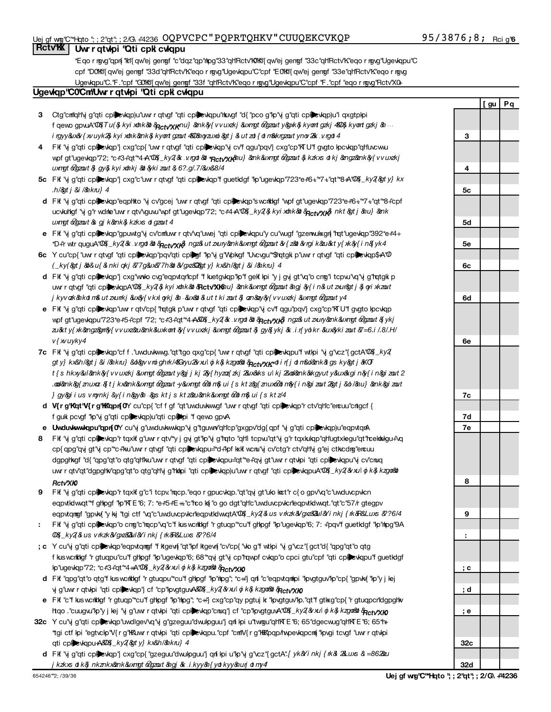## Uej gf w@''C''\*Hqto ''; ; 2''qt''; ; 2/G\ #4236 OQPVCPC " PQPRTQHKV " CUUQEKCVKQP 95 / 3876 **;** 8 **;** Rci g'

## 95/3876;8; Rcig<sup>r</sup>6

*I* gu | Pq

## **Rctv% Uwrrqtvipi 'Qti cpk cvkqpu**

Eqormgyg"qpn "ktl{qw'ej gengn "c"dqz"qp"hipg"33"qtlRctv"k0'ktl{qw'ej gengn "33c"qtlRctv"k"eqormgyg"Ugevkqpu"C\* cpf "DOKK'{ qw'ej gengf "33d"qH'Rctv'K'eqo r rgyg"Ugevkgpu"C"cpf "EOKK'{ qw'ej gengf "33e"qH'Rctv'K'eqo r rgyg Ugevkqpu"C."F."cpf "GOKK"{qw"ej gengf "33f "qH'Rctv'K"eqo r rgvg"Ugevkqpu"C"cpf "F."cpf "eqo r rgvg"Rctv'X0+

## Ugewap COCmUwr r gtwpi "Qti cpk cwapu

- **3** Ctg"cm"lqh'ly g"qti cpl $\blacktriangleright$ vkqp)u"uwr r qtvgf "qti cpl $\blacktriangleright$ vkqpu"nkuvgf "d{"pco g"lp"y g"qti cpl $\blacktriangleright$ vkqp)u"i qxgtplpi f qevvo gpvuA"OQKTu(&jkyixdnk&di&<sub>Pictv"XK</sub>nu}&nk&y{vvuxzkj&uxmgt&gzauty&pxk&jkyontgzkj&BD&jkyontgzkj&n. ingyy&ux& { xv uyk2& kyi xdnk&ank& kyont gzout 48D&noyzuxoi&pt j & ut zdn { dim&krgzout ynov2&. v.rgdn 4
- **4** Fit "vj g"qti cpliexiqp"j cxg"cp{ "uw r qtvgf "qti cpliexiqp"vj cv"f qgu"pqv"j cxg"cp"iK U"f gvgto lpcviqp"qh'uvcwu wpf gt"ugewlqp"72; \*c+3+"qt"\*4+A"QQ4\_ky2{&.*v.rgdi &*di "**Acty"xk**&nu} &nk&uxmgt&Qgzout&,kzkxs otkj &angz&ank&y{vvuxzkj uxngt 60gzout & gy& kyi xohkj & &yki zout & 6?.g/.7/&ux&8/4
- **5c** Fit "y g"qti cpliexlqp"j cxg"c"uw r qtvgf "qti cpliexlqp"f guetldgf "lp"ugevlqp"723\*e#6+"\*7+"qt"\*8+A"0&f*\_ky2(&ty} kx (b) and (c) below.*
- **d** Fit "y g"qti cplic viqp"eqphto "y cv"gcej "uwrrqtvgf"qti cplic viqp"s wantigf "wpf gt"ugeviqp"723\*e+6+"\*7+"qt"\*8+"cpf ucvkuhlgf "vjg"r wdnle"uwr r qtv"vguvu"wpfgt"ugevkqp"72; \*c#4+A"QQ{*\_ky2{\$kyi xo*b*k&b&*p<sub>lictv"Xk{\$ nkt&gtj&nu}&ank</sub> *uxngt @gzout & gj k&nk& kzkxs of gzout 4*
- e FK "y g"qti cpl**le**vkqp"gpuwtg"y cv'cmluwrrqtv'vq"uwej "qti cpllevkqpu"y cu"wugf "gzerwukxgn{ "rqt"ugevkqp"392\*e#4-*If "Yes," explain in what controls the organization put in place to ensure such use.* (B) purposes? *Part VI*
- **6c** Y cu"cp{"uwrrqtvgf"qti cpl**le**vkqp"pqv"qti cpl**le**rf"kp"vj g"Wpkgf "Uvcvgu""\$hqtgk p"uwrrqtvgf "qti cpllevkqp\$A"0 *"Yes" and if you checked 11a or 11b in Part I, answer (b) and (c) below.*
- **d** FK "y g"qti cpline wap"j cxg"wwko cvg"eqpvtqricpf "f kuetgvkqp"lp"f gekil kpi "y j gyj gt"vq"o cnng"i tcpvu"vq"yj g"hqtgki p uw r qtvgf "qti cpl**le**vkqpA"00{*\_ky2{\$ kyi xohk&a &*Rctv"XKm*u} &nk&uxngt &gzaut &ngj &{ i n& ut zxur&gt j & oyi xkzaut despite being controlled or supervised by or in connection with its supported organizations.*
- **e** FK "y g"qti cpl**le**vkqp"uwr r qtv'cp{ "rqtgk p"uwr r qtvgf "qti cpl**le**vkqp"y cv'f qgu"pqv'j cxg"cp"kTU"f gvgto kpcvkqp wpf gt"ugevkqpu"723\*e#5#cpf "72; \*c#3#qt"\*4*+AB0*4/\_k*y2{&.v.rgd &b \$*A<sub>CtV</sub>xy*k}. ngz&ut zuny&nk&uxngt &gzout &{ykj to ensure that all support to the foreign supported organization was used exclusively for section 170(c)(2)(B)*  $v$ { xv uyky4
- **7c** Fit "y g"qti cpliewkqp"cf f ."uwduvkwwg."qt"tgo qxg"cp{ "uwr r qtvgf "qti cpliewkqpu"f wtipi "y g"vcz"{gctA"00{\_*ky2*( gty} kx&h/&gtj&i/&nkru}&d&gvvroighrk/4&Gryu2&vxulojk&jkzgox&olAp<sub>ctv</sub>ry**x**xrotin{jotn&d&ank&tgsky&gtj&KOT *numbers of the supported organizations added, substituted, or removed, (ii) the reasons for each such action, (iii) the authority under the organization's organizing document authorizing such action, and (iv) how the action was accomplished (such as by amendment to the organizing document).*
- **d V{r g'Kqt'V{r g'KKqpn{0Y** cu'cp{"cf f gf "qt"uwduvkwygf "uwr r qtvgf "qti cpl**le**vkqp"r ctv'qHc"encuu"cntgcf { f gult pcvgf "lp"vi g"qti cplicylopu"qti cplicing if qewo gpvA
- e **Uwduvkwwkqpu''qpn{0Y** cu''vj g''uwduvkwwkqp''vj g''tguww''qh'lcp''gxgpv'dg{qpf 'vj g''qti cpl**le**vkqp)u''eqpvtqrA
- 8 Fik "y g"qti cpl**le**vkqp"r tqxif g"uwr r qtv"y j gy gt"lp"y g"lato "qh"i tcpw"qt"y g"r tqxkukqp"qh"ugtxlegu"qt"hcekkkgu+"vq uw r qtv'qt"dgpgHv"qpg"qt"o qtg"qh'vj g"**hki**pi "qti cpl**le**evlqp)u"uwr r qtvgf "qti cplleevlqpuA"0&*\_ky2&xul oj k& kzgo*&r cp{qpg"qvj gt"vj cp"\*c+"ku"uwr r qtvgf "qti cpliex\qpu="d+"lpf kxk wcru"vj cv"ctg"r ctv"qHvj g"ej ctkcdrg"ercuu dgpgltkgf "d{ "qpg"qt"o qtg"qltlku uw r qtvgf "qti cpllevkqpu="qt" e+"qvj gt"uw r qtvkpi "qti cpllevkqpu"vj cv"cnuq *Part VI.*
- 9 FK "vj g"qti cpl**le**vkqp"r tqxK g"c"i tcpv."mqcp."eqo r gpucvkqp."qt"qvj gt"uko kot"r c{ o gpv'vq"c"uwduvcpvkcı eqpvtqmgf "gpvkq"y kij "tgi ctf "vq"c"uwduvcpvkcrleqpvtkdwvqtA"0&*Lky2{&us v rkzk&/gxz&&ul&Yi nkj { rk&R&Luxs &??6/4* eqpvtkdwqt" if ghogf "lo"KTE '6; 7: \*e+5+E ++"c"rco ki "o go dgt"qh"c"uwduvcpvkcrleqpvtkdwqt."qt"c"57/r gtegpv
- **8** 0% ky 2 & us v rk zk & gx 2 & 1 & i nkj { rk & R& Lux & ? 6/4 Fif "y g"qti cplexiqp"o cng"c"mqcp"vq"c"fikisworktigf "r gtuqp" cu"f ghipgf "lp"ugeviqp"6; 7: "pqv"f guetidgf "lp"hipg"9A
- **; c** Y cu"vj g"qti cpline vkap"eqpvtqmgf "fktgevi{"qt"lpfktgevi{"cv"cp{"vko g"fwtkpi "vj g"vcz"{gct"d{"qpg"qt"o qtg lip"ugevlop"72; \*c#3+"qt"\*4++A"00*4\_ky2{&xu\ oj k& kzgor&b&*p<sub>ictv</sub>"x**k** f kusworkkigf "r gtuapu"ou"f ghipgf "kp"ugevkap"6; 68" "qvj gt"vj cp"rqwpf cvkap"o cpci gtu"opf "qti cplicklopt" guetkigf
- **d** FK "qpg"qt"o qtg"f kıs warktigf "r gtuqpu"\*cu"f ghlpgf "lp"nlpg"; \*c++"j qnf "c"eqpvtqmlipi "lpydtguv"lp"cp{"gpvk{"lp"y j lej vj g'uwr r qtvlipi "qti cpl**le**ewiqp"j cf "cp"lipvgtguvA&Q&*\_ky2{&xu| oj k& kzgo&b &*Ac*tv"XK*
- e Fit "c"fikiswcitkigf "rigtuqp"\*cu"fighlogf "lp"hipg"; \*c++j cxg"cp"qy pgtuj kr "lpvgtguv"lp."qt"figtikg"cp{"rigtuqpcrldgpghk ltqo ."cuugw"kp"y j lej "vj g"uwr r qtvkpi "qti cpl**ee**vkqp"cnuq"j cf "cp"kpvgtguvA"02{*\_ky2{&xu| ġ k& kzgo&b&*Actv"XK
- **32c** Y cu'\j g"qti cplevkqp"uwdlgev'\q'\j g"gzeguu"dwukpguu"j qni kpi u"twngu"qh"kTE "6; 65"dgecwug"qh"kTE "6; 65\*h qti cpl**eevkqpu+A&D&**\_*ky2(&gty} kx&h/&akru} 4* \*tgi ctf lpi "egtvclp"V{rg"KKuwrrqtvlpi "qti cplinevlqpu."cpf "cm"V{rg"KKKpqp/hvpevlqpcm("lpvgi tcvgf "uwrrqtvlpi
	- **d** Fkf "vjg"qti cpl**le**vkqp"jcxg"cp{ "gzeguu"dwukpguu"jqnfikpi u"kp"vjg"vcz"{gctA"*[yk&Yinkj{rk& 2&ux*s *& =862&u determine whether the organization had excess business holdings.)*

| 3               |  |
|-----------------|--|
|                 |  |
| 4               |  |
|                 |  |
| 5c              |  |
|                 |  |
| 5d              |  |
|                 |  |
| 5e              |  |
| 6c              |  |
|                 |  |
| 6d              |  |
|                 |  |
| 6e              |  |
|                 |  |
| 7c              |  |
|                 |  |
| <u>7d</u>       |  |
| <u>7e</u>       |  |
|                 |  |
| 8               |  |
|                 |  |
| 9               |  |
|                 |  |
| ÷               |  |
|                 |  |
| <u>; c</u>      |  |
|                 |  |
| d<br><u>;</u>   |  |
|                 |  |
| <u>;</u><br>e   |  |
|                 |  |
| 32 <sub>c</sub> |  |
|                 |  |

32d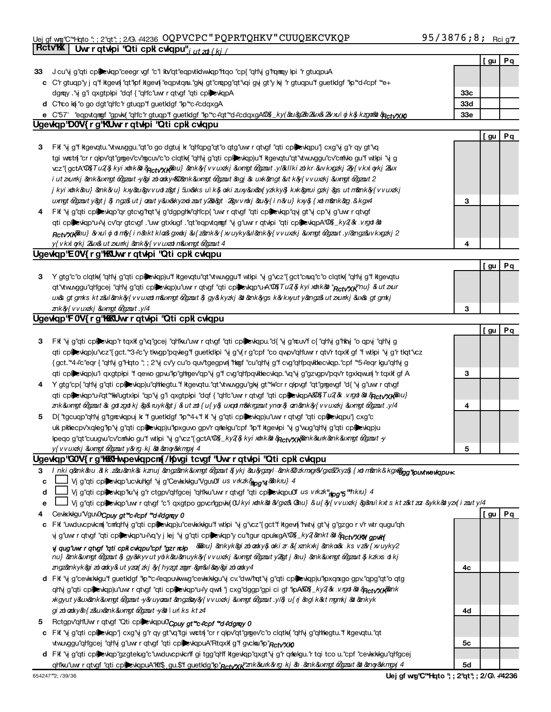#### Uejgfwng"C"\*Hqto ";;2"qt";;2/G\#4236\_UQPVCPC PQPRTQHKV CUUQEKCVKQP\_\_\_\_\_\_\_\_\_\_\_\_\_\_957\_3876;8; Rcig' MONTANA NONPROFIT ASSOCIATION 73-1654969

|    | <b>RctvK</b><br>Uwrrqtwpi "Qticpk cwqpu"; ut zt {kj /                                                                                             |                 |      |    |
|----|---------------------------------------------------------------------------------------------------------------------------------------------------|-----------------|------|----|
|    |                                                                                                                                                   |                 | [gu  | Pq |
| 33 | J cu'\j g"qti cplexkqp"ceegr \gf "c'i kv'qt"eqpvtklwkqp"tqo "cp{"qt\j g"rqmqy kpi "r gtuqpuA                                                      |                 |      |    |
|    | c C'r gtuqp'y j q'f kgew{ "qt" pf kgew{ "eqpvtqnu."gky gt" cnapg" qt" vqi gy gt" y ky "r gtuqpu" f guetklgf "p" d+"cpf " "e+                      |                 |      |    |
|    | dgray. "Vj g"i qxgtplpi "dqf { "qh"c"uwr r qtvgf "qti cplexiqpA                                                                                   | 33 <sub>c</sub> |      |    |
|    | d C'rco ką "o go dgt"qh"c"r gtuqp"f guetkigf "kp"*c+"cdqxgA                                                                                       | 33d             |      |    |
|    | e C'57' "eqpvtqmgf"gpvki("qh'c"r gtuqp"f guetklgf "lp"*c+"qt"*d+"cdqxgAQQ{_ky(&u&2&axaxal oj k& kzgoood AnctyXko                                  | 33 <sub>e</sub> |      |    |
|    | Ugevkap DOV{rg KUwrrqtwhoi "Qticpk cwlapu"                                                                                                        |                 |      |    |
|    |                                                                                                                                                   |                 | [ gu | Pq |
| 3  | FK "y g"f kgevqtu."vtw.vggu."qt"o go dgtuj k "qh"qpg"qt"o qtg"uwr qtvgf "qti cplevkqpu"j cxg"y g"r qy gt"vq                                       |                 |      |    |
|    | tgi wetn{ "cr r qkpv"qt"grgev'cv'rgcuv'c"o clqtk{ "qh'vj g"qti cpkevkqp)u"f ktgevqtu"qt"vtvuvggu"cv'cntivlo gu'f wtkpi "vj g                      |                 |      |    |
|    | vcz"{gctA"00{Tu2{\$kyixohk&ot& <sub>Rctv</sub> yxy&au}&ank&y{vvuxzkj&uxngt&gzout.y/&kllkizolkr&uvkxgzkj2%y{vkxloykj2&ux                           |                 |      |    |
|    | i ut zvunkj &ank&uxmgt & gzout -y&gi zo adxy4QQ&ank&uxmgt & gzout &agj & uxk&angt &ut k&y{vvuxzkj &uxmgt & gzout 2                                |                 |      |    |
|    | j kyi xohkν} &ank&ru} kxy&au&gvvuotz&gtj 5ux&ks ulk&j.oxki zuxy&ux&z{yzkky&j kxk&gmuigzkj &gs utm&ank&y{vvuxzkj                                   |                 |      |    |
|    | uxmgt o2gzout y> j & ngz&ut j azout y&ux&kyzxoizout y2&b> .2&gvvrokj &au&y{i n&u} kxy& {xotm&ank&g & kgx4                                         | 3               |      |    |
|    | 4 FK "y g"qti cplexkqp"qr gtcvg"rqt"y g"dgpghk"qh'cp{ "uwr r qtvgf "qti cplexkqp"qyj gt"y cp"yj g"uwr r qtvgf                                     |                 |      |    |
|    | qti cplexkqp*u+'vj cv'qr gtcvgf . "uwr gtxkugf . "qt"eqpvtqmgf 'vj g"uwr r qtvkpi "qti cplexkqpA"00%_ky2(% . v.rgd &d                             |                 |      |    |
|    |                                                                                                                                                   |                 |      |    |
|    | Rctv"XKν}&vulojotm&fin&nktkloz&gxookj&u{z&nk&fxvuyky&ul&enk&fvvuxzkj&uxmgt&gzout.y/&engz&uvkxgzkj2                                                |                 |      |    |
|    | y{vkxl gykj 2&ux& utzxurrkj & nk&y{vvuxzatın&uxngt & gzaut 4                                                                                      | 4               |      |    |
|    | Ugevkap E0V{rg"KKUwrrqtvkpi "Qticpkicvkapu                                                                                                        |                 |      |    |
|    |                                                                                                                                                   |                 | [ gu | Pq |
| 3  | Y gtg"c"o clqtk("qH\j g"qti cpl=xkqp)u"f kgevqtu"qt"\twuyggu"f wtlpi "yj g"\cz"{gct"cnuq"c"o clqtk("qH\j g"f kgevqtu                              |                 |      |    |
|    | qt" twu vggu"qh"gcej "qh"y g"qti cplexkqp)u"uwr r qtvgf "qti cplexkqp"u A"02 Tu2 & kyi xthk & "Rcty"xK" nu} & ut zur                              |                 |      |    |
|    | ux&s gtgmks ktz&ul&ank&y{vvuxzotm&uxmgt&gzout&jgy&kyzkj&al&ank&ygsk&vkxyuty&angz&utzxurrkj&ux&sgtgmkj                                             |                 |      |    |
|    | znk&{vvuxzkj &uxngt &gzout.y/4                                                                                                                    | З               |      |    |
|    | Ugewigp'F0V{rg'MKNUwrrqtwhoi "Qticpk cwlqpu                                                                                                       |                 |      |    |
|    |                                                                                                                                                   |                 | [ gu | Pq |
| 3  | FK "y g"qti cplexkqp"r tqxk g"vq"gcej "qh'ku"uw r qtvgf "qti cplexkqpu."d{ "y g'touv"f c{ "qh'y g"hky "o qpy "qh'y g                              |                 |      |    |
|    | qti cplevkqp)u"vcz"{gct."*3+"c"y tkvgp"pqvleg"f guetklkpi "vjg"v{rg"cpf "co qwpv"qh'uwr rqtv'rtqxlfgf "fwtkpi "vjg"rtkqt"vcz                      |                 |      |    |
|    | {gct."*4+"c"eqr {"qH\j g"Hqto "; ; 2"vj cv'y cu"o quv'tgegpvn{"hligf "cu"qH\j g"f cvg"qH pqvlitlecvlqp."cpf "*5+"eqr lgu"qH\j g                   |                 |      |    |
|    | qti cplexkqp)u'i qxgtplpi 'f qewo gpw'lp'ghgev'qp'y g'f cvg'qh'pqvklecvkqp.'vq'y g'gzvgpv'pqv'r tgxkqwun{ 'r tqxkf gf A                           | З               |      |    |
|    | 4 Y gtg"cp{ "qH'vj g"qti cplexkqp)u"qltlegtu."f ktgevqtu."qt"vtw.vggu"gkj gt"*k"cr r qkpvgf "qt"grgevgf "d{ "yj g"uwr r qtvgf                     |                 |      |    |
|    | qti cpillevkqp*u+"qt"*kk+"ugtxkpi "qp"vj g'i qxgtpkpi "dqf { "qtl'c"uwr r qtvgf "qti cpillevkqpA&U\$Tu2(& .v.rgd & & & qctv*xkν}                  |                 |      |    |
|    | znk&uxmgt & gazaut & gatzgat kj & g& ruyk> j & utzat{u{y& uxqatm&krgzautynor& am&mk&y{vvuxzkj &uxmgt & gzaut                                      | 4               |      |    |
| 5  | D{"tgcuqp"qH\j g"tgrcvkqpuj k "f guetklgf "kp"*4+"f kf '\j g"qti cplevkqp)u"uwr r qtvgf "qti cplevkqpu"j cxg"c                                    |                 |      |    |
|    | uk pklecpv'xqleg"lp"y g"qti cplexkqp)u"lpxguvo gpv'r qrlelgu"cpf "lp"f kgevlpi "y g"wug"qh'y g"qti cplexkqp)u                                     |                 |      |    |
|    | kpeqo g"qt"cuugvu"cv"cm"Mo gu"f wtkpi "vj g"vcz"{gctA"Q&_ky2{& kyi xohk&a & qcty"xy&ank&unk&ank&uxmgt & graut y                                   |                 |      |    |
|    | y{vvuxzkj&uxmgt&gzouty&vrg⋅kj&b&anoy&kmgxj4                                                                                                       | 5               |      |    |
|    | Ugevkqp'GOV{rg'hKKHwpevkqpcn{/h(vgitcvgf 'Uwrrqtvkpi'Qticpklcvkqpu                                                                                |                 |      |    |
|    | 3 Inki q&nk&u.&k.z&u&nk&kznuj&ngz&nk&uxngt&gzout&jykj&u&gzoyl&nk&bzkmgr&/gyz&Zkyz&{xdm&nk&kgx@gg"puwtwewkqpu+<                                    |                 |      |    |
| c  | Vj g"qti cplexkqp"ucvkuhlgf "vj g"Cevkkkkgu"VguvOl us v rkzk Stog "4 &hkru} 4                                                                     |                 |      |    |
| d  | Vj g"qti cplexkqp"ku"vj g"r ctgpv"qh"gcej "qh"ku"uwr r qtvgf "qti cplexkqpu0" us v rkzk"nog "5"hkru} 4                                            |                 |      |    |
| e  | Vj g"qti cpilevkqp"uwr r qtvgf "c"i qxgtpo gpvcrigpvk(CU kyi xthk&t & /gxz& @hu} & u{ & { v v uxzkj & @mu kxt s kt z&t za- &ykk&t yz { i zout y/4 |                 |      |    |
| 4  | Ceviskkigu"VguvO'Cpuy gt "c+"cpf "d+"dgray 0                                                                                                      |                 | [gu  | Pq |
|    | c FK "uwduvcpvkm" "cm"qrlvj g"qti cplexkqp)u"cevkkkgu"f wtkpi "y g"vcz"{gct"f ktgevi{ "twty gt"y g"gzgo r v'r wtr qugu"qh                         |                 |      |    |
|    | y g"uw r qtvgf "qti cplexuqp"u+"vq"y j lej "y g"qti cplexkqp"y cu"tgur qpulxgA"02%_ky2 &nkt & & cty"XKWf qpwlf                                    |                 |      |    |
|    | yiqug"uwurrqtvgf"qticplkcwlqpu"cpf"gzrnckp & ankyk&gizoloadxy&oxkizr&{xznkxkj&nkox&ksvz&v{xvuyky2                                                 |                 |      |    |
|    | nu} &ank&uxmgt &Qgzout & gy&kyvut yolk&u&anuyk&{vvuxzkj &uxmgt &Qgzout y2> j &au} &ank&uxmgt &Qgzout & kzkxs otkj                                 |                 |      |    |
|    | zngz&mkyk&gi zolozoky& utyzoz{zkj & {hyzgtzogr&gr&ul&ay&gi zolozoky4                                                                              | 4c              |      |    |
|    | d FK "vj g"cevkkidgu"f guetidgf "lp" c+"eqpuvkwug"cevkkidgu"vj cv."dw/hqt"vj g"qti cplevidp)u"lpxqnxgo gpv."qpg"qt"o qtg                          |                 |      |    |
|    | qhvj g"qti cplexkqp)u"uwr r qtvgf "qti cplexkqp"u+"y qwnf "j cxg"dggp"gpi ci gf "kpA&Q&_ky2 & .v.rgd & & apcty"xk                                 |                 |      |    |
|    | xkgyut y&ux&nk&uxngt &gzout y&uyaout &ngz&ay&{vvuxdkj &uxngt &gzout y/& u{ ij &igl k&t mgmkj & &nkyk                                              |                 |      |    |
|    | gizolozoky&n{z&ux&znk&uxmgto2gzout-y&ollun!ksktz4                                                                                                 | 4d              |      |    |
| 5  | Rctgpv'qh'Uw r qtvgf "Qti cplevkqpu0'Cpuy gt"c+"cpf "d+"dgray 0                                                                                   |                 |      |    |
|    | c FK "y g"qti cplewqp"j cxg"y g"r qy gt"vq"tgi wotn{ "cr r qlpv"qt"gmev"c"o clqtk( "qH'y g"qhtegtu."f ktgevqtu."qt                                |                 |      |    |
|    | vtw.vggu"qh'gcej "qh'y g"uwr r qtvgf "qti cplevkqpuA"Rtqxkf g"f gvcka"hp"Rctv"XKO                                                                 | 5с              |      |    |
|    | d FK "y g"qti cplevkqp"gzgtekug"c"uwduvcpvkcrlf gi tgg"qh'f ktgevkqp"qxgt"y g"r qrkekgu."r tqi tco u."cpf "cevkxkkgu"qh'gcej                      |                 |      |    |
|    | olthku'uwrrottogf "qti cphexkqpuA"Kh"S gu.\$"fguetkdg"kp" <sub>Rctv"XK</sub> "znk&urk&rrg kj & &nk&uxmgt @gzout&ar&mgxj 4                         | 5d              |      |    |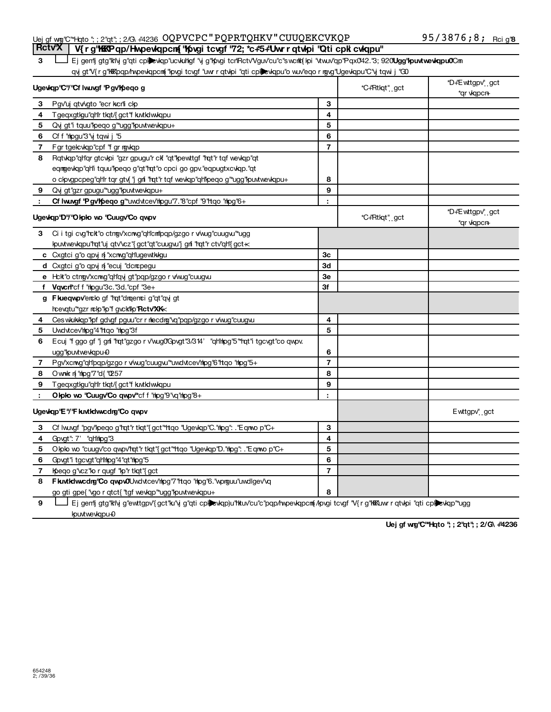## Uej gf w@''C''\*Hqto ''; ; 2''qt''; ; 2/G\ #4236 OQPVCPC " PQPRTQHKV " CUUQEKCVKQP 95 / 3876 **;** 8 **;** <sub>Rcig'</sub>

Ej gentj gtg"ktivj g"qti cpl**ille**vkap"ucvkuhgf "vj g"kpvgi tcrlRctv"Vguv"cu"c"swcrikt[kpi "vtwuv"qp"Pqx042."3; 920**Ugg"kpuvtwevkqpu0**Cri qvj gt"V{r g"KKKpqp/hvpevkqpcm("kpvgi tcvgf "uwr r qtvkpi "qti cplibevkqpu"o wuv'eqo r ngvg"Ugevkqpu"C"vj tqvi j "GD **Part VX | V{rg"KKKPqp/Hwpewlqpcn{"Kpvgitcvgf"72; \*c#5#Uwrrqtwhpi "Qticpk cwlqpu"** 

|             | Ugevigp "C"/"Cf Iwuygf "P gy'lipego g                                                    | *C+"Rtkqt" gct | *D+"E wttgpv", gct<br>*qr vkqpcn+ |                                  |
|-------------|------------------------------------------------------------------------------------------|----------------|-----------------------------------|----------------------------------|
| 3           | Pgy'uj qtv/gto "ecr kcrli clp                                                            | 3              |                                   |                                  |
| 4           | Tgeqxgtlgu"qh'r tlqt/{gct"f kutldwliqpu                                                  | 4              |                                   |                                  |
| 5           | Qvj gt"i tquu"peqo g" ugg" puvtwe viqpu+                                                 | 5              |                                   |                                  |
| 6           | Cf f "mipgu"3" y tqwi j "5                                                               | 6              |                                   |                                  |
| 7           | Fgr tgelcvkqp"cpf "fgr rgvkqp                                                            | $\overline{7}$ |                                   |                                  |
| 8           | Rqtvkqp"qh"qr gtcvkpi "gzr gpugu"r ckf "qt"kpewttgf "rqt"r tqf wevkqp"qt                 |                |                                   |                                  |
|             | eqmgevkqp"qh'i tquu"peqo g"qt"rqt"o cpci go gpv."eqpugtxcvkqp."qt                        |                |                                   |                                  |
|             | o clpvgpcpeg"qh'r tqr gtv{ "j gri "rqt"r tqf wevlqp"qh'lpeqo g"*ugg"lpuvtwevlqpu+        | 8              |                                   |                                  |
|             | 9 Qvj gt"gzr gpugu"*ugg" puvtwevkqpu+                                                    | 9              |                                   |                                  |
|             | Cf Iwuvgf 'P gv'lpeqo g"*uwdvtcev'rlpgu"7."8"cpf "9"rtqo "rlpg"6+                        |                |                                   |                                  |
|             | Ugevkqp'D'/''Okplo wo ''Cuugv'Co qwpv                                                    |                | *C+"Rtkqt" gct                    | *D+"E wttgpv" gct<br>*qr vkqpcn+ |
| 3           | Ci i tgi cvg'rck"o ctngv'xcnwg"qh'cm"pqp/gzgo r v/wug"cuugwi"ugg                         |                |                                   |                                  |
|             | kpuvtwevkqpu"rqt"uj qtv'vcz"{gct"qt"cuugvu"j gri "rqt"r ctv"qh"{gct +<                   |                |                                   |                                  |
|             | c Cxgtci g'o qpy n 'xcnwg'qh'ugewtkkgu                                                   | Зc             |                                   |                                  |
|             | d Cxgtci g"o qpy n "ecuj "dcrcpegu                                                       | 3d             |                                   |                                  |
|             | e Hck"o ctngv'xcnwg"qh'qyi gt"pqp/gzgo r v/wug"cuugw.                                    | Зе             |                                   |                                  |
|             | f Vqvcn <sup>+</sup> cf f "hpgu"3c."3d."cpf "3e+                                         | 3f             |                                   |                                  |
|             | g Fluequov'enclo gf "hqt"draenci g"qt"qvj gt                                             |                |                                   |                                  |
|             | hcevqtu"*gzr rchp"hp"f gvckilip"Rctv"XK<                                                 |                |                                   |                                  |
| 4           | Ces wkukkqp"kpf gdvgf pguu"cr r necdng"vq"pqp/gzgo r v/wug"cuugvu                        | 4              |                                   |                                  |
| 5           | Uwdvtcey'hipg"4"htqo "hipg"3f                                                            | 5              |                                   |                                  |
| 6           | Ecuj "f ggo gf "j gri "rat"gzgo r v'wug0'Govgt"3/314' "qh'hipg"5" "rat"i tgcvgt"co qwpv. |                |                                   |                                  |
|             | ugg" puvtvevkqpu-0                                                                       | 6              |                                   |                                  |
| $7^{\circ}$ | Pgv'xcmg"qHpqp/gzgo r v/wug"cuugvu"*uwdvtcev'npg"6"ttqo "npg"5+                          | $\overline{7}$ |                                   |                                  |
| 8           | O whak n'import d{ "0257"                                                                | 8              |                                   |                                  |
| 9           | Tgeqxgtlgu"qh'r tlqt/{gct"f kutklwlqpu                                                   | 9              |                                   |                                  |
| - 11        | Olplo wo "Cuugv'Co qwpv"cf f "hpg"9"vq"hpg"8+                                            |                |                                   |                                  |
|             | Ugevkqp'E'/'F kuvtkdwcdrg'Co qwpv                                                        |                |                                   | Ewttgpv" <sub></sub> gct         |
| 3           | Cf Iwuygf "pgv"lpeqo g"rqt"r tlqt"{gct"*ttqo "Ugevlqp"C."nlpg": ."Eqnwo p"C+             | 3              |                                   |                                  |
| 4           | Govgt": 7' "qHitipg"3                                                                    | 4              |                                   |                                  |
| 5           | Olplo wo "cuugv"co qwpv'rqt"r tlqt"{gct"*ttqo "Ugevlqp"D."rlpg": ."Eqnwo p"C+            | 5              |                                   |                                  |
| 6           | Govgt"i tgcvgt"qH'rhpg"4"qt"rhpg"5                                                       | 6              |                                   |                                  |
| 7           | Ipeqo g"vcz"lo r qugf "lp"r tlqt"{gct                                                    | $\overline{7}$ |                                   |                                  |
| 8           | Fluvildwcdrg'Co qwpwOUwdvtcev'hpg"7"ttqo "hpg"6."wprguu"uwdlgev'vq                       |                |                                   |                                  |
|             | go gti gpe{ "vgo r qtct{ "tgf wevkqp" ugg" puvtwevkqpu+                                  | 8              |                                   |                                  |
|             |                                                                                          |                |                                   |                                  |

**7** Ej gentj gtg'htivj g'ewttgpv'{gct'hu'vj g''qti cplexkqp)u'l'tkuv'cu'c''pqp/twpevkqpcm{/pvgi tcvgf 'V{r g'hkktuwr r qtvlpi ''qti cplexkqp''ugg ipuxtwevkqpu-0

Uej gf wg'C'\*Hqto '; ; 2'qt'; ; 2/G\ +4236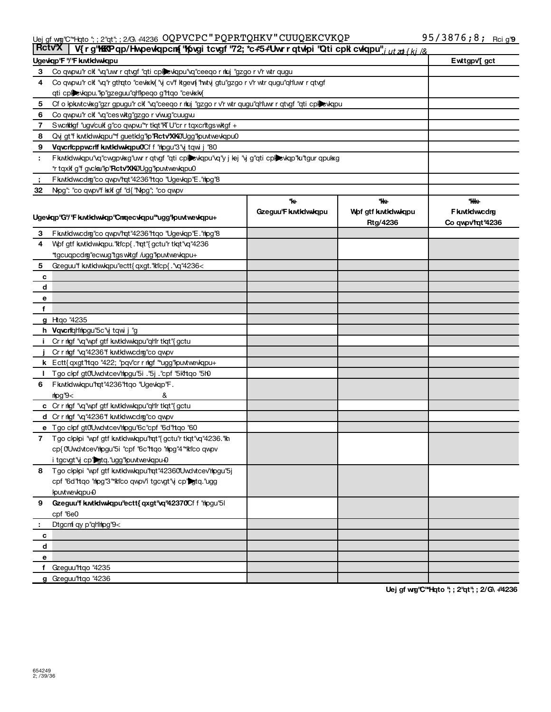## Uej gf wig"C"\*Hqto "; ; 2"qt"; ; 2/G\ #4236 OQPVCPC " PQPRTQHKV " CUUQEKCVKQP 95 / 3876 **;** 8 **;** rci g'

|        | <b>Rctv</b> <sub>X</sub><br>V{rg'hkkPqp/Hwpewlqpcm{'h/pwgitcwgf'72;*c#5#Uwrrqtwlpi'Qticpklcwlqpu"; utzafki/& |                     |                    |                   |  |  |  |  |
|--------|--------------------------------------------------------------------------------------------------------------|---------------------|--------------------|-------------------|--|--|--|--|
|        | Ugevigp'F "/'F kutkdwikgpu                                                                                   |                     |                    | Ewttgpv[gct       |  |  |  |  |
| 3      | Co qwpw" ck "vq"uwr r qtvgf "qti cplexkqpu"vq"ceeqo r rkuj "gzgo r v'r wtr qugu                              |                     |                    |                   |  |  |  |  |
| 4      | Co qwpw "r clf "vq"r gthqto "cevksky" vj cv"f ktgevi "hwty gtu"gzgo r v'r wtr qugu"qh'uwr r qtvgf            |                     |                    |                   |  |  |  |  |
|        | qti cplevkqpu."lp"gzeguu"qh"peqo g"rtqo "cevkkk{                                                             |                     |                    |                   |  |  |  |  |
| 5      | Cf o lpkwtcvkxg"gzr gpugu"r clf "vq"ceeqo r rkuj "gzgo r v'r wtr qugu"qh'uwr r qtvgf "qti cplexkqpu          |                     |                    |                   |  |  |  |  |
| 6      | Co qwpwi'r clf "vq"ces witg"gzgo r v/wug"cuugwu                                                              |                     |                    |                   |  |  |  |  |
| 7      | Sworldagf "ugv/culf g"co qwpw"*r tlqt"KT U"cr r tqxcr'ttgs witgf +                                           |                     |                    |                   |  |  |  |  |
| 8      | Qvj gt"f kutklwkqpu"*f guetklg"lp"Rctv"XK0Ugg"lpuvtwevkqpu0                                                  |                     |                    |                   |  |  |  |  |
| 9      | Vqvcricppwcrif kuvtkdwukqpuOCf f "hpgu"3"yj tqwi j "80                                                       |                     |                    |                   |  |  |  |  |
| ÷.     | Fkutklwkqpu"vq"cwgpvkxg"uwr r qtvgf "qti cplexkqpu"vq"y j lej "vj g"qti cplexkqp"ku"tgur qpukxg              |                     |                    |                   |  |  |  |  |
|        | *r tqxlf g'f gvckar'lp''Rctv'XKe/Ugg''lpuvtwevkqpu0                                                          |                     |                    |                   |  |  |  |  |
| - 5    | Fluvtklwcdrg"co qwpv'rqt"4236'ttqo "Ugevkqp"E. "htpg"8                                                       |                     |                    |                   |  |  |  |  |
| 32     | Nog": "co qwpv'f kxlf gf "d{ "Nog"; "co qwpv                                                                 |                     |                    |                   |  |  |  |  |
|        |                                                                                                              | *k+                 | *k+                | *kke⊦             |  |  |  |  |
|        | Ugevigp"G"/'F kuvtidwidp"Cmgecvigpu"*ugg"lpuvtwevigpu+                                                       | Gzeguu'F kutkdwkqpu | Wof gtf kutkdwkqpu | F kutkdwcdrg      |  |  |  |  |
|        |                                                                                                              |                     | Rtg/4236           | Co qwpv'rgt '4236 |  |  |  |  |
| 3      | F kutki wcdrg" co qwpv'rat" 4236" rtqo "Ugevkap" E. "hipg" 8                                                 |                     |                    |                   |  |  |  |  |
| 4      | Wof gtf kwtkdwkqpu."klcp{ ."hqt"{gctu"r tkqt"\q"4236                                                         |                     |                    |                   |  |  |  |  |
|        | *tgcuqpcdrg"ecwug"tgswkgf /ugg"kpuvtwevkqpu+                                                                 |                     |                    |                   |  |  |  |  |
| 5      | Gzeguu''f kutkdwkqpu'ectt{ qxgt."kl'cp{.'\q"4236<                                                            |                     |                    |                   |  |  |  |  |
| c      |                                                                                                              |                     |                    |                   |  |  |  |  |
| d      |                                                                                                              |                     |                    |                   |  |  |  |  |
| е      |                                                                                                              |                     |                    |                   |  |  |  |  |
| f      |                                                                                                              |                     |                    |                   |  |  |  |  |
|        | g Htgo "4235                                                                                                 |                     |                    |                   |  |  |  |  |
|        | h Vqvcrighthogu'5c'vj tqwi j "g                                                                              |                     |                    |                   |  |  |  |  |
|        | i Cr r mlgf "vq"wpf gtf kuvtkdwwkqpu"qh"r tkqt"{gctu                                                         |                     |                    |                   |  |  |  |  |
|        | Cr r rigf "vq"4236"f kutkdwcdrg"co qwpv                                                                      |                     |                    |                   |  |  |  |  |
|        | k Ectt{ qxgt"rtqo "422; "pqv"cr r rlgf "*ugg"lpuvtwevkqpu+                                                   |                     |                    |                   |  |  |  |  |
| I.     | Tgo clpf gt0'Uwdvtcev'hpgu''5i . "5j . "cpf "5lk'ttqo "5l0                                                   |                     |                    |                   |  |  |  |  |
| 6      | Fkutklwkqpu"hqt"4236"htqo "Ugevkqp"F.                                                                        |                     |                    |                   |  |  |  |  |
|        | $\leq 9$ 'pan                                                                                                |                     |                    |                   |  |  |  |  |
|        | c Crrmgf "vq"wpf gtf kutkdwwkqpu"qh"rtkqt"{gctu                                                              |                     |                    |                   |  |  |  |  |
|        | d Crrmlgf "vq"4236"f kutkdwcdrg"co qwpv                                                                      |                     |                    |                   |  |  |  |  |
|        | e Tgo clpf gt0Uwdvtcev'hpgu'6c"cpf "6d"rtgo "60                                                              |                     |                    |                   |  |  |  |  |
|        | 7 Tgo clplpi "wpf gtf kutkdwkqpu"rqt"{gctu"r tlqt"vq"4236."kh                                                |                     |                    |                   |  |  |  |  |
|        | cp{0Uwdvtcev'rhogu"5i "cpf "6c'rtqo "rhog"4"*kl'co qwpv                                                      |                     |                    |                   |  |  |  |  |
|        | i tgcvgt"y cp" gtq."ugg" puvtwevkqpu-0                                                                       |                     |                    |                   |  |  |  |  |
|        | 8 Tgo clplpi "wpf gtf kutkdwuldpu"rqt"42360Uwdvtcev'hpgu"5j                                                  |                     |                    |                   |  |  |  |  |
|        | cpf "6d"ttqo "tipg"3"*ki'co qwpv'i tgcvgt"y cp"stq."ugg                                                      |                     |                    |                   |  |  |  |  |
|        | kpuvtwevkqpu-0                                                                                               |                     |                    |                   |  |  |  |  |
| 9      | Gzeguu'f kutkdwkqpu'ectt{ qxgt'vq'42370Cf f "hpgu"51                                                         |                     |                    |                   |  |  |  |  |
|        | cpf '6e0                                                                                                     |                     |                    |                   |  |  |  |  |
|        | Dtgcnf qy p"qHttpg"9<                                                                                        |                     |                    |                   |  |  |  |  |
| c<br>d |                                                                                                              |                     |                    |                   |  |  |  |  |
|        |                                                                                                              |                     |                    |                   |  |  |  |  |
| е      | f Gzeguu'ttqo "4235                                                                                          |                     |                    |                   |  |  |  |  |
|        | g Gzeguu'ltqo "4236                                                                                          |                     |                    |                   |  |  |  |  |
|        |                                                                                                              |                     |                    |                   |  |  |  |  |

Uej gf wg'C<sup>"</sup>Hqto "; ; 2"qt"; ; 2/G\ +4236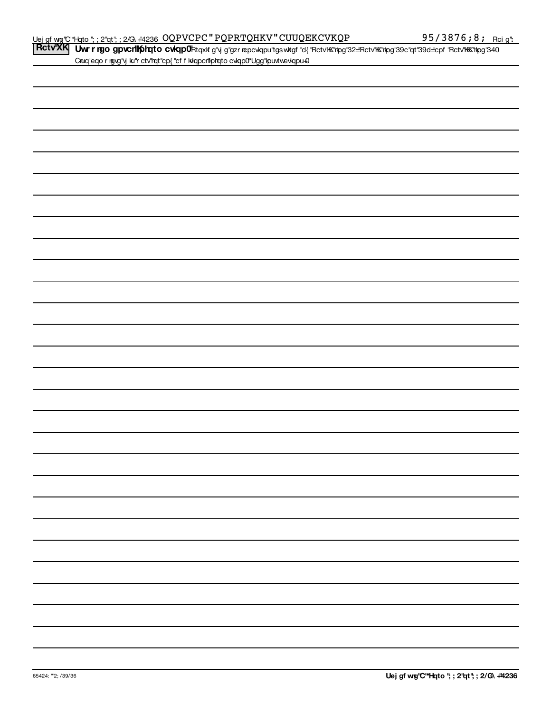Rctv<sup>i</sup>XK Uwr r ngo gpvcnikphqto cwqp0ktqxk g"y g"gzr ncpcwqpu"tgswkgf "d{"Rctv'KK"hpg"32=Rctv'KK"hpg"39c"qt"39d=cpf "Rctv'KK"hpg"340 Cnuq"eqo r rgvg"vj ku"r ctv"rqt"cp{"cf f kkqpcr"lphqto cvkqp0"Ugg"kpuvtwevkqpu+0

|                                               | ۰ |
|-----------------------------------------------|---|
| <u> 1989 - Andrea Andrew Maria (h. 1989).</u> | - |
|                                               |   |
|                                               |   |
|                                               |   |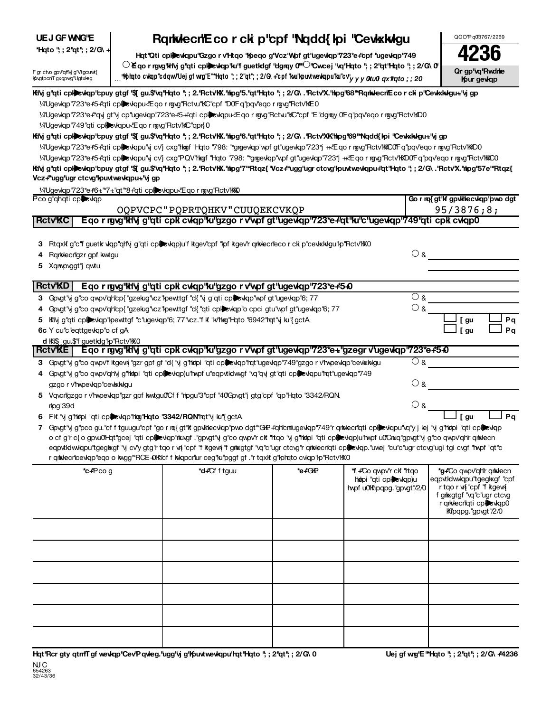# **UEJ GF WNG'E**

# **Prophenomic Campaign and Political Campaign Act of Campaign Act and Copy and Copy and Cappaign and Copy and Cappaign and Cappaign and Cappaign and Cappaign and Cappaign and Cappaign and Cappaign and Cappaign and Cappaign**

whip to cwap"cdow"Uejgfwng"E"\*Hoto";;2"qt";;2/G\+"cpf"kw"kpuvtwewkapu"ku"cv"<sub>yyy</sub>ortuoloyx*1lroto;;20. [* **(Form 990 or 990-EZ) For Organizations Exempt From Income Tax Under section 501(c) and section 527**  $\circlearrowright$  Eqo r rgvg'ltlivj g''qti cpl**ie**vliqp'lu'f guetldgf ''dgrqy 0''' $\circlearrowright$ ''Cwcej ''vq'lHqto ''; ; 2''qt'Hqto ''; ; 2/G\ 0



F gr ctvo gpv'qHvj g'Vtgcuwt{ Internal Reversion Reversion

| Kily g"qti cpliedap"cpuy gtgf "\$1 gu.\$"vq"Hqto "; ; 2."RctvKX."hipg"5."qt"Hqto "; ; 2/G\ ."RctvX."hipg"68"*RqnivlecnEcorcki p"Cevkxluigu+"vjgp                |                                        |
|-----------------------------------------------------------------------------------------------------------------------------------------------------------------|----------------------------------------|
| 1⁄4'Ugevkqp'723*e#5+'qti cplizevkqpu<'Eqormgvg''Rctw."KC''cpf "D0'Fq"pqv'eqormgvg"Rctv'lKE0                                                                     |                                        |
| 1⁄4"Ugevkqp"723*e+"*qvj gt"vj cp"ugevkqp"723*e+*5++"qti cpliedvkqpu<"Eqormgvg"Rctvu"KC"cpf "E"dgmqy 0"Fq"pqv'eqormgvg"Rctv"KD0                                  |                                        |
| 1/4"Ugevkap"749"qti cplictiq budgu "Eqo r ngvg" Rctv" KC" qpn{0                                                                                                 |                                        |
| Kivj g"qti cpl)evkqp"cpuy gtgf "\$1 gu.\$"vq"Hqto "; ; 2."RctvYK."hipg"6."qt"Hqto "; ; 2/G\ ."Rctv'XK'hipg'69"*Nqdd{lpi "Cevkxlwgu+"vj gp                       |                                        |
| 1/4"Ugevkqp"723*e+5+"qti cplizvkqpu"vj cv"j cxg"hlogf "Hqto "798: "*grgevkqp"wpf gt"ugevkqp"723*j ++"Eqo r rgvg"Rctv"hKlCOlFq"pqv"eqo r rgvg"Rctv"hKDO          |                                        |
| 1/4"Ugevkqp"723*e#5#qti cplillexkqpu"vj cv"j cxg"PQV"hkogf "Hqto "798: "*grojevkqp"wpf gt"ugevkqp"723*j +k"Eqo r rojvg"Rctv"kKD0Fq"pqv"eqo r rojvg"Rctv"kKC0    |                                        |
| Kilvj g"qti cpl)evkqp"cpuy gtgf "\$[ gu.\$'vq'Hqto "; ; 2.'Rctv'KX.'hlpg'7'*Rtqz{ 'Vcz+"ugg"ugr ctcvg'lpuvtwevkqpu+"qt'Hqto "; ; 2/G\ .'Rctv'X.'hlpg'57e'*Rtqz{ |                                        |
| Vcz+"ugg"ugr ctcvg" kpuvtwe vkqpu+" vjgp                                                                                                                        |                                        |
| 1/4"Ugevkqp"723*e+"6+"*7+"qt"*8+"qti cplexkqpu<"Eqormgvg"Rctv"KKQ                                                                                               |                                        |
| Pco g"qh"qti cpl <b>e</b> xkqp                                                                                                                                  | Go r nq{ gt'l f gp wHe cwl qp'p wo dgt |
| OQPVCPC"PQPRTQHKV"CUUQEKCVKQP                                                                                                                                   | 95/3876;8;                             |
| Eqo r rgvg"klivj g"qti cpk cvkqp"ku"gzgo r v'wpf gt"ugevkqp"723*e+"qt"ku"c"ugevkqp"749"qti cpk cvkqp0<br><b>RctvKC</b>                                          |                                        |
|                                                                                                                                                                 |                                        |
| 3 Rtqxlf g'c''f guetk vlap qh'vi g'ati cplexlap)u''f ktgev'cpf ''lpf ktgev'r qrklecr'ecor ck p'cevkklagu''lp''Rctv''KXO                                         |                                        |
| Rqrixlecrigzr gpf kwtgu<br>4                                                                                                                                    | ⊙ &                                    |
| 5 Xqmpvggt" qwtu                                                                                                                                                |                                        |
|                                                                                                                                                                 |                                        |
| <b>RetvKD</b><br>E an r mun'ildia a hti chk culan'ikuhazan r viunt at juga kan'i 723*e. Ch                                                                      |                                        |

| <b>RCLV RD</b><br>Eqo rigvg kivj g qu cpk cwqp ki gzgo r v wpr grugewqp 725 e+5+0                                                                      |     |      |    |
|--------------------------------------------------------------------------------------------------------------------------------------------------------|-----|------|----|
| 3 Govgt"y g"co qwpv'qh'cp{"gzekug"vcz"kpewttgf "d{"y g"qti cplexkqp"wpf gt"ugewqp"6; 77                                                                | ୍ୟ  |      |    |
| 4 Govgt"y g"co qwpv"qh"cp{"gzekug"vcz" pewttgf "d{"qti cplexiqp"o cpci gtu"wpf gt"ugev qp"6; 77                                                        | ∪&  |      |    |
| 5 Kivj g"qti cplewkqp"pewttgf "c"ugevkqp"6; 77"vcz."f kf "k/hkg"Hqto "6942"rqt"yj ku"{gctA                                                             |     | gu   | Po |
| 6c Y cu"c"eqttgevkqp"o cf gA                                                                                                                           |     | l au | Pα |
| d KIS gu. S'f guet kig "lo "Rctv" KKO                                                                                                                  |     |      |    |
| Eqo r rgvg"klivj g"qti cpk cvkqp"ku"gzgo r v'wpf gt"ugevkqp"723*e+"gzegr v'ugevkqp"723*e+5+0<br><b>RctvKE</b>                                          |     |      |    |
| 3 Govgt"vj g"co qwpv"f ktgevnigzr gpf gf "d{"vj g"hkipi "qti cplicxkqp"rqt"ugevkqp"749"gzgor v'hwpevkqp"cevkxkkgu                                      | 9 & |      |    |
| A . On which is also a greater the black that is a subject one of the second and the first and best as a bound three or the distribution of $\sim$ AO. |     |      |    |

| 4 Govgt''y g''co qwpv''qh'vj g''httpi "qti cplexkqp)u'hwpf u''eqpvtkdwwgf ''vq''qvj gt''qti cplexkqpu''hqt''ugevkqp''749 |       |  |
|--------------------------------------------------------------------------------------------------------------------------|-------|--|
| gzgo r v'hypevkap″cevkxkvkgu                                                                                             | ′) ຂ  |  |
| 5 Vavcrigzgo r v'hypeviap "gzr apf kwtgu0"Cf f "hipgu"3"cpf "40"Govat" i gta "cpf "gp"Hato "3342/RQN                     |       |  |
| mloq"39d                                                                                                                 | ′ ) ຂ |  |

**6** Fkf 'vjg"hkopi"qticpl¥evkqp"hkog"Hqto "3342/RQN"hqt"vjku"{gctA internet for the form of this year. Let a po

| Govgt"vi g"pco gu "cf f tguugu"cpf "go r mg{gt"ki gpvkklecvkgp"pvo dgt"*GKP+"qlt/cm"lugevkgp"749"r qnkvlecr"qti cplievkgpu"vq"y i lei "vi g"hkmpi "qti cplievkgp |
|------------------------------------------------------------------------------------------------------------------------------------------------------------------|
| o cf q"r c{ o qpvuO'Hat"gcej "gti cplexigp"htrvgf ."gpvat"y q"co qwpv'r ck "ttgo "y q"hitpi "gti cplexigp)u"hwpf uOCnuq"gpvat"y q"co qwpv"gh'r gritecn           |
| eqpvtkdwwqpu"tgegl*agf "vj cv'y gtg"r tqo r vi "cpf "f ktgevi "f grixgtgf "vq"c"ugr ctcvg"r qrixlecriqti cplexkqp."uwej "cu"c"ugr ctcvg"ugi tgi cvgf "mypf "qt"c |
| r qrkkecricevkqp"eqo o kwgg"*RCE-DKicf f kkqpcriur ceg"ku"pggf gf ."r tqxkf g"kptqto cvkqp"kp"Rctv"KX0                                                           |

| *c+Pcog | *d+Cf f tguu | *e+GKP | *f +'Co qwpv'r clf "htqo"<br>httpi "qti cplexkqp)u<br>hypf u0Kipqpg."gpvgt"/2/0 | *g+Co qwpv'qh'r qrklecn<br>eqpvtkdwkqpu"tgegkxgf "cpf<br>rtqorw["cpf" fktgew[<br>f grixgtgf "vq"c"ugr ctcvg<br>r qrivlecriqti cpleviqp0<br>Kipqpg."gpvgt"/2/0 |
|---------|--------------|--------|---------------------------------------------------------------------------------|---------------------------------------------------------------------------------------------------------------------------------------------------------------|
|         |              |        |                                                                                 |                                                                                                                                                               |
|         |              |        |                                                                                 |                                                                                                                                                               |
|         |              |        |                                                                                 |                                                                                                                                                               |
|         |              |        |                                                                                 |                                                                                                                                                               |
|         |              |        |                                                                                 |                                                                                                                                                               |
|         |              |        |                                                                                 |                                                                                                                                                               |

 $\Box$  [ gu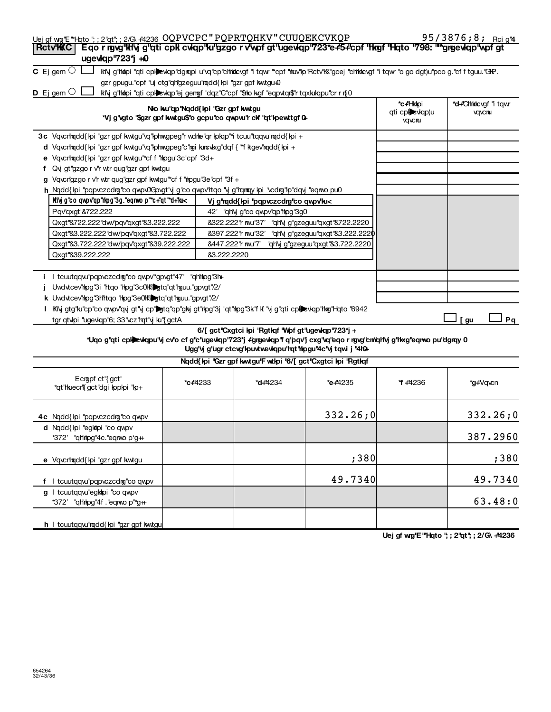| Eqo r rgvg'hlvj g'ati cpk cvkap'hu'gzgo r v'wpf gt'ugevkap'723*e#5+cpf 'hkref 'Hato '798: "*grgevkap'wpf gt<br><b>RctvWC</b><br>ugewkqp'723*j +0<br><b>C</b> Ejgem $\circlearrowright$ L<br>ktiy g'hkipi "qti cplewqp"dgmpi u"vq"cp"chhkicvgf "i tqwr ""cpf "hkuv"p"Rctv"kX"gcej "chhkicvgf "i tqwr "o go dgt)u"pco g."cf f tguu."GR.<br>gzr gpugu."cpf "uj ctg"qh'gzeguu"mqdd{kpi "gzr gpf kwtgu-0<br>$D$ Ej gem $O$<br>ktiy g'tkilpi "qti cplexkqp"ej gengf "dqz"C"cpf "\$to kgf "eqpvtqr\$"r tqxkukqpu"cr r n{0<br>*c+Hkhpi<br>*d+"Chhkkcvgf" tqwr<br>No ku"qp"Nqdd{kpi "Gzr gpf kwtgu<br>qti cplevkqp)u<br>yqvcnu<br>*Vj g'vgto '\$gzr gpf kwtgu\$'o gcpu'co qwpw'r ckf ''qt'kpewttgf 0+<br>vqvcruu<br>3c Vqvcrltmdd{kpi "gzr gpf kwtgu"vq"kphwgpeg"r wdne"qr kpkqp"*i tcuu"tqqvu"mqdd{kpi +<br>d Vqvcntmqdd{kpi "gzr gpf kwtgu"vq"kphwgpeg"c"mgi kuncwkxg"dqf{"*f ktgev'mqdd{kpi +<br>e Vqvcrltmqdd{kpi "gzr gpf kwtgu"*cf f "htpgu"3c"cpf "3d+<br>f Qvj gt"gzgo r v'r wtr qug"gzr gpf kwtgu<br>g Vqvcrilgzgo r v'r wtr qug"gzr gpf kwtgu"*cf f "hipgu"3e"cpf "3f +<br>h Ngdd{lpi "pqpvczcdmg"co qwpv0Gpvgt"y g"co qwpv'ttqo "y g"rqmqy lpi "vcdmg"lp"dqyj "eqmvo pu0<br>Kivj g"co qwpv"qp"rkpg"3g."eqnwo p"*c+"qt"*d+"ku<<br>Vj g'hodd{kpi 'popvczcdng'co qwpv'ku<<br>Pqv'qxgt "&722.222<br>42' "qh'y g"co qwpv"qp" hpg"3g0<br>Qxgt"&722.222"dw/'pqv"qxgt"&3.222.222<br>8322.222" rwu"37' "qHy g"gzeguu"qxgt"8722.2220<br>Qxgt"&3.222.222"dw/pqv'qxgt"&3.722.222<br>8397.222" r mu"32'<br>"qH\j g"gzeguu"qxgt"&3.222.2220<br>&447.222"r mu"7"<br>Qxgt"&3.722.222"dw/pqv'qxgt"&39.222.222<br>"qH\j g"gzeguu"qxgt"&3.722.2220<br>Qxgt"&39.222.222<br>83.222.2220<br>i I tcuutqqw"pqpvczcdrg"co qwpv"gpvgt"47' "qh'hpg"3h+<br>Uwdvtcev'hpg"3i "Itqo "hpg"3c0'Kibgtq"qt"mguu."gpvgt"/2/<br>k Uwdvtcev'ring"3Hltqo "ring"3e0'Ki gtq"qt"rguu."gpvgt"/2/<br>I Kily gtg"ku"cp"co qwpv"qvj gt"y cp"Dgtq"qp"gkj gt"hpg"3j "qt"hipg"3k"f k "y g"qti cplDevkqp"hkg"l-lqto "6942<br>Pq<br>tgr qtvipi "ugevkqp"6; 33" vcz" hqt" y ku" { gctA<br>[gu<br>6/[ gct'Cxgtci lpi 'Rgtlqf 'Wpf gt'ugevlqp'723*j +<br>*Uqo g"qti cphewqpu"vj cv'o cf g"c"ugewqp"723*j +"grgewqp"f q"pqv"j cxg"vq"eqo r rgvg"cm"qltvj g"tkxg"eqnvo pu"dgrqy 0<br>Ugg" y g" ugr ctcvg" kpuvtwe wiqpu" hat " hipgu" 4c" y tqwi j "4h0+<br>Nqdd{kpi "Gzr gpf kwtgu'F wtkpi '6/[gct'Cxgtci kpi 'Rgtkqf<br>Ecropf ct"{gct"<br><b>*c+4233</b><br><b>*d+</b> 4234<br>*e+4235<br>* +4236<br>*g+Vqvcn<br>*qt"huecn'{ gct"dgi kppkpi "kp+<br>332.26;0<br>332.26;0<br>4c Ngdd{kpi "pqpvczcdrg"co qwpv<br>d Ngdd{kpi "egktopi "co qwpv<br>387.2960<br>*372'<br>"qh'mpg"4c."eqmop*g#<br>;38이<br>;380<br>e Vqvcrltqdd{kpi "gzr gpf kwtgu | 49.7340<br>f I tcuutqqw"pqpvczcdrg"co qwpv<br>g I tcuutqqw"egkkpi "co qwpv<br>*372' "qh'rhpg"4f."eqnwop"*g++ | Uej gf wg'E "Hqto "; ; 2"qt"; ; 2/G\ #4236 OQPVCPC " PQPRTQHKV " CUUQEKCVKQP |  |  | 95/3876;8; Reig"4 |
|------------------------------------------------------------------------------------------------------------------------------------------------------------------------------------------------------------------------------------------------------------------------------------------------------------------------------------------------------------------------------------------------------------------------------------------------------------------------------------------------------------------------------------------------------------------------------------------------------------------------------------------------------------------------------------------------------------------------------------------------------------------------------------------------------------------------------------------------------------------------------------------------------------------------------------------------------------------------------------------------------------------------------------------------------------------------------------------------------------------------------------------------------------------------------------------------------------------------------------------------------------------------------------------------------------------------------------------------------------------------------------------------------------------------------------------------------------------------------------------------------------------------------------------------------------------------------------------------------------------------------------------------------------------------------------------------------------------------------------------------------------------------------------------------------------------------------------------------------------------------------------------------------------------------------------------------------------------------------------------------------------------------------------------------------------------------------------------------------------------------------------------------------------------------------------------------------------------------------------------------------------------------------------------------------------------------------------------------------------------------------------------------------------------------------------------------------------------------------------------------------------------------------------------------------------------------------------------------------------------------------------------------------------------------------------------|--------------------------------------------------------------------------------------------------------------|------------------------------------------------------------------------------|--|--|-------------------|
|                                                                                                                                                                                                                                                                                                                                                                                                                                                                                                                                                                                                                                                                                                                                                                                                                                                                                                                                                                                                                                                                                                                                                                                                                                                                                                                                                                                                                                                                                                                                                                                                                                                                                                                                                                                                                                                                                                                                                                                                                                                                                                                                                                                                                                                                                                                                                                                                                                                                                                                                                                                                                                                                                          |                                                                                                              |                                                                              |  |  |                   |
|                                                                                                                                                                                                                                                                                                                                                                                                                                                                                                                                                                                                                                                                                                                                                                                                                                                                                                                                                                                                                                                                                                                                                                                                                                                                                                                                                                                                                                                                                                                                                                                                                                                                                                                                                                                                                                                                                                                                                                                                                                                                                                                                                                                                                                                                                                                                                                                                                                                                                                                                                                                                                                                                                          |                                                                                                              |                                                                              |  |  |                   |
|                                                                                                                                                                                                                                                                                                                                                                                                                                                                                                                                                                                                                                                                                                                                                                                                                                                                                                                                                                                                                                                                                                                                                                                                                                                                                                                                                                                                                                                                                                                                                                                                                                                                                                                                                                                                                                                                                                                                                                                                                                                                                                                                                                                                                                                                                                                                                                                                                                                                                                                                                                                                                                                                                          |                                                                                                              |                                                                              |  |  |                   |
|                                                                                                                                                                                                                                                                                                                                                                                                                                                                                                                                                                                                                                                                                                                                                                                                                                                                                                                                                                                                                                                                                                                                                                                                                                                                                                                                                                                                                                                                                                                                                                                                                                                                                                                                                                                                                                                                                                                                                                                                                                                                                                                                                                                                                                                                                                                                                                                                                                                                                                                                                                                                                                                                                          |                                                                                                              |                                                                              |  |  |                   |
|                                                                                                                                                                                                                                                                                                                                                                                                                                                                                                                                                                                                                                                                                                                                                                                                                                                                                                                                                                                                                                                                                                                                                                                                                                                                                                                                                                                                                                                                                                                                                                                                                                                                                                                                                                                                                                                                                                                                                                                                                                                                                                                                                                                                                                                                                                                                                                                                                                                                                                                                                                                                                                                                                          |                                                                                                              |                                                                              |  |  |                   |
|                                                                                                                                                                                                                                                                                                                                                                                                                                                                                                                                                                                                                                                                                                                                                                                                                                                                                                                                                                                                                                                                                                                                                                                                                                                                                                                                                                                                                                                                                                                                                                                                                                                                                                                                                                                                                                                                                                                                                                                                                                                                                                                                                                                                                                                                                                                                                                                                                                                                                                                                                                                                                                                                                          |                                                                                                              |                                                                              |  |  |                   |
|                                                                                                                                                                                                                                                                                                                                                                                                                                                                                                                                                                                                                                                                                                                                                                                                                                                                                                                                                                                                                                                                                                                                                                                                                                                                                                                                                                                                                                                                                                                                                                                                                                                                                                                                                                                                                                                                                                                                                                                                                                                                                                                                                                                                                                                                                                                                                                                                                                                                                                                                                                                                                                                                                          |                                                                                                              |                                                                              |  |  |                   |
|                                                                                                                                                                                                                                                                                                                                                                                                                                                                                                                                                                                                                                                                                                                                                                                                                                                                                                                                                                                                                                                                                                                                                                                                                                                                                                                                                                                                                                                                                                                                                                                                                                                                                                                                                                                                                                                                                                                                                                                                                                                                                                                                                                                                                                                                                                                                                                                                                                                                                                                                                                                                                                                                                          |                                                                                                              |                                                                              |  |  |                   |
|                                                                                                                                                                                                                                                                                                                                                                                                                                                                                                                                                                                                                                                                                                                                                                                                                                                                                                                                                                                                                                                                                                                                                                                                                                                                                                                                                                                                                                                                                                                                                                                                                                                                                                                                                                                                                                                                                                                                                                                                                                                                                                                                                                                                                                                                                                                                                                                                                                                                                                                                                                                                                                                                                          |                                                                                                              |                                                                              |  |  |                   |
|                                                                                                                                                                                                                                                                                                                                                                                                                                                                                                                                                                                                                                                                                                                                                                                                                                                                                                                                                                                                                                                                                                                                                                                                                                                                                                                                                                                                                                                                                                                                                                                                                                                                                                                                                                                                                                                                                                                                                                                                                                                                                                                                                                                                                                                                                                                                                                                                                                                                                                                                                                                                                                                                                          |                                                                                                              |                                                                              |  |  |                   |
|                                                                                                                                                                                                                                                                                                                                                                                                                                                                                                                                                                                                                                                                                                                                                                                                                                                                                                                                                                                                                                                                                                                                                                                                                                                                                                                                                                                                                                                                                                                                                                                                                                                                                                                                                                                                                                                                                                                                                                                                                                                                                                                                                                                                                                                                                                                                                                                                                                                                                                                                                                                                                                                                                          |                                                                                                              |                                                                              |  |  |                   |
|                                                                                                                                                                                                                                                                                                                                                                                                                                                                                                                                                                                                                                                                                                                                                                                                                                                                                                                                                                                                                                                                                                                                                                                                                                                                                                                                                                                                                                                                                                                                                                                                                                                                                                                                                                                                                                                                                                                                                                                                                                                                                                                                                                                                                                                                                                                                                                                                                                                                                                                                                                                                                                                                                          |                                                                                                              |                                                                              |  |  |                   |
|                                                                                                                                                                                                                                                                                                                                                                                                                                                                                                                                                                                                                                                                                                                                                                                                                                                                                                                                                                                                                                                                                                                                                                                                                                                                                                                                                                                                                                                                                                                                                                                                                                                                                                                                                                                                                                                                                                                                                                                                                                                                                                                                                                                                                                                                                                                                                                                                                                                                                                                                                                                                                                                                                          |                                                                                                              |                                                                              |  |  |                   |
|                                                                                                                                                                                                                                                                                                                                                                                                                                                                                                                                                                                                                                                                                                                                                                                                                                                                                                                                                                                                                                                                                                                                                                                                                                                                                                                                                                                                                                                                                                                                                                                                                                                                                                                                                                                                                                                                                                                                                                                                                                                                                                                                                                                                                                                                                                                                                                                                                                                                                                                                                                                                                                                                                          |                                                                                                              |                                                                              |  |  |                   |
|                                                                                                                                                                                                                                                                                                                                                                                                                                                                                                                                                                                                                                                                                                                                                                                                                                                                                                                                                                                                                                                                                                                                                                                                                                                                                                                                                                                                                                                                                                                                                                                                                                                                                                                                                                                                                                                                                                                                                                                                                                                                                                                                                                                                                                                                                                                                                                                                                                                                                                                                                                                                                                                                                          |                                                                                                              |                                                                              |  |  |                   |
|                                                                                                                                                                                                                                                                                                                                                                                                                                                                                                                                                                                                                                                                                                                                                                                                                                                                                                                                                                                                                                                                                                                                                                                                                                                                                                                                                                                                                                                                                                                                                                                                                                                                                                                                                                                                                                                                                                                                                                                                                                                                                                                                                                                                                                                                                                                                                                                                                                                                                                                                                                                                                                                                                          |                                                                                                              |                                                                              |  |  |                   |
|                                                                                                                                                                                                                                                                                                                                                                                                                                                                                                                                                                                                                                                                                                                                                                                                                                                                                                                                                                                                                                                                                                                                                                                                                                                                                                                                                                                                                                                                                                                                                                                                                                                                                                                                                                                                                                                                                                                                                                                                                                                                                                                                                                                                                                                                                                                                                                                                                                                                                                                                                                                                                                                                                          |                                                                                                              |                                                                              |  |  |                   |
|                                                                                                                                                                                                                                                                                                                                                                                                                                                                                                                                                                                                                                                                                                                                                                                                                                                                                                                                                                                                                                                                                                                                                                                                                                                                                                                                                                                                                                                                                                                                                                                                                                                                                                                                                                                                                                                                                                                                                                                                                                                                                                                                                                                                                                                                                                                                                                                                                                                                                                                                                                                                                                                                                          |                                                                                                              |                                                                              |  |  |                   |
|                                                                                                                                                                                                                                                                                                                                                                                                                                                                                                                                                                                                                                                                                                                                                                                                                                                                                                                                                                                                                                                                                                                                                                                                                                                                                                                                                                                                                                                                                                                                                                                                                                                                                                                                                                                                                                                                                                                                                                                                                                                                                                                                                                                                                                                                                                                                                                                                                                                                                                                                                                                                                                                                                          |                                                                                                              |                                                                              |  |  |                   |
|                                                                                                                                                                                                                                                                                                                                                                                                                                                                                                                                                                                                                                                                                                                                                                                                                                                                                                                                                                                                                                                                                                                                                                                                                                                                                                                                                                                                                                                                                                                                                                                                                                                                                                                                                                                                                                                                                                                                                                                                                                                                                                                                                                                                                                                                                                                                                                                                                                                                                                                                                                                                                                                                                          |                                                                                                              |                                                                              |  |  |                   |
|                                                                                                                                                                                                                                                                                                                                                                                                                                                                                                                                                                                                                                                                                                                                                                                                                                                                                                                                                                                                                                                                                                                                                                                                                                                                                                                                                                                                                                                                                                                                                                                                                                                                                                                                                                                                                                                                                                                                                                                                                                                                                                                                                                                                                                                                                                                                                                                                                                                                                                                                                                                                                                                                                          |                                                                                                              |                                                                              |  |  |                   |
|                                                                                                                                                                                                                                                                                                                                                                                                                                                                                                                                                                                                                                                                                                                                                                                                                                                                                                                                                                                                                                                                                                                                                                                                                                                                                                                                                                                                                                                                                                                                                                                                                                                                                                                                                                                                                                                                                                                                                                                                                                                                                                                                                                                                                                                                                                                                                                                                                                                                                                                                                                                                                                                                                          |                                                                                                              |                                                                              |  |  |                   |
|                                                                                                                                                                                                                                                                                                                                                                                                                                                                                                                                                                                                                                                                                                                                                                                                                                                                                                                                                                                                                                                                                                                                                                                                                                                                                                                                                                                                                                                                                                                                                                                                                                                                                                                                                                                                                                                                                                                                                                                                                                                                                                                                                                                                                                                                                                                                                                                                                                                                                                                                                                                                                                                                                          |                                                                                                              |                                                                              |  |  |                   |
|                                                                                                                                                                                                                                                                                                                                                                                                                                                                                                                                                                                                                                                                                                                                                                                                                                                                                                                                                                                                                                                                                                                                                                                                                                                                                                                                                                                                                                                                                                                                                                                                                                                                                                                                                                                                                                                                                                                                                                                                                                                                                                                                                                                                                                                                                                                                                                                                                                                                                                                                                                                                                                                                                          |                                                                                                              |                                                                              |  |  |                   |
|                                                                                                                                                                                                                                                                                                                                                                                                                                                                                                                                                                                                                                                                                                                                                                                                                                                                                                                                                                                                                                                                                                                                                                                                                                                                                                                                                                                                                                                                                                                                                                                                                                                                                                                                                                                                                                                                                                                                                                                                                                                                                                                                                                                                                                                                                                                                                                                                                                                                                                                                                                                                                                                                                          |                                                                                                              |                                                                              |  |  |                   |
|                                                                                                                                                                                                                                                                                                                                                                                                                                                                                                                                                                                                                                                                                                                                                                                                                                                                                                                                                                                                                                                                                                                                                                                                                                                                                                                                                                                                                                                                                                                                                                                                                                                                                                                                                                                                                                                                                                                                                                                                                                                                                                                                                                                                                                                                                                                                                                                                                                                                                                                                                                                                                                                                                          |                                                                                                              |                                                                              |  |  |                   |
|                                                                                                                                                                                                                                                                                                                                                                                                                                                                                                                                                                                                                                                                                                                                                                                                                                                                                                                                                                                                                                                                                                                                                                                                                                                                                                                                                                                                                                                                                                                                                                                                                                                                                                                                                                                                                                                                                                                                                                                                                                                                                                                                                                                                                                                                                                                                                                                                                                                                                                                                                                                                                                                                                          |                                                                                                              |                                                                              |  |  |                   |
|                                                                                                                                                                                                                                                                                                                                                                                                                                                                                                                                                                                                                                                                                                                                                                                                                                                                                                                                                                                                                                                                                                                                                                                                                                                                                                                                                                                                                                                                                                                                                                                                                                                                                                                                                                                                                                                                                                                                                                                                                                                                                                                                                                                                                                                                                                                                                                                                                                                                                                                                                                                                                                                                                          |                                                                                                              |                                                                              |  |  |                   |
|                                                                                                                                                                                                                                                                                                                                                                                                                                                                                                                                                                                                                                                                                                                                                                                                                                                                                                                                                                                                                                                                                                                                                                                                                                                                                                                                                                                                                                                                                                                                                                                                                                                                                                                                                                                                                                                                                                                                                                                                                                                                                                                                                                                                                                                                                                                                                                                                                                                                                                                                                                                                                                                                                          |                                                                                                              |                                                                              |  |  |                   |
|                                                                                                                                                                                                                                                                                                                                                                                                                                                                                                                                                                                                                                                                                                                                                                                                                                                                                                                                                                                                                                                                                                                                                                                                                                                                                                                                                                                                                                                                                                                                                                                                                                                                                                                                                                                                                                                                                                                                                                                                                                                                                                                                                                                                                                                                                                                                                                                                                                                                                                                                                                                                                                                                                          |                                                                                                              |                                                                              |  |  |                   |
|                                                                                                                                                                                                                                                                                                                                                                                                                                                                                                                                                                                                                                                                                                                                                                                                                                                                                                                                                                                                                                                                                                                                                                                                                                                                                                                                                                                                                                                                                                                                                                                                                                                                                                                                                                                                                                                                                                                                                                                                                                                                                                                                                                                                                                                                                                                                                                                                                                                                                                                                                                                                                                                                                          |                                                                                                              |                                                                              |  |  |                   |
|                                                                                                                                                                                                                                                                                                                                                                                                                                                                                                                                                                                                                                                                                                                                                                                                                                                                                                                                                                                                                                                                                                                                                                                                                                                                                                                                                                                                                                                                                                                                                                                                                                                                                                                                                                                                                                                                                                                                                                                                                                                                                                                                                                                                                                                                                                                                                                                                                                                                                                                                                                                                                                                                                          |                                                                                                              |                                                                              |  |  |                   |
|                                                                                                                                                                                                                                                                                                                                                                                                                                                                                                                                                                                                                                                                                                                                                                                                                                                                                                                                                                                                                                                                                                                                                                                                                                                                                                                                                                                                                                                                                                                                                                                                                                                                                                                                                                                                                                                                                                                                                                                                                                                                                                                                                                                                                                                                                                                                                                                                                                                                                                                                                                                                                                                                                          |                                                                                                              |                                                                              |  |  |                   |
|                                                                                                                                                                                                                                                                                                                                                                                                                                                                                                                                                                                                                                                                                                                                                                                                                                                                                                                                                                                                                                                                                                                                                                                                                                                                                                                                                                                                                                                                                                                                                                                                                                                                                                                                                                                                                                                                                                                                                                                                                                                                                                                                                                                                                                                                                                                                                                                                                                                                                                                                                                                                                                                                                          |                                                                                                              |                                                                              |  |  |                   |
|                                                                                                                                                                                                                                                                                                                                                                                                                                                                                                                                                                                                                                                                                                                                                                                                                                                                                                                                                                                                                                                                                                                                                                                                                                                                                                                                                                                                                                                                                                                                                                                                                                                                                                                                                                                                                                                                                                                                                                                                                                                                                                                                                                                                                                                                                                                                                                                                                                                                                                                                                                                                                                                                                          |                                                                                                              |                                                                              |  |  |                   |
|                                                                                                                                                                                                                                                                                                                                                                                                                                                                                                                                                                                                                                                                                                                                                                                                                                                                                                                                                                                                                                                                                                                                                                                                                                                                                                                                                                                                                                                                                                                                                                                                                                                                                                                                                                                                                                                                                                                                                                                                                                                                                                                                                                                                                                                                                                                                                                                                                                                                                                                                                                                                                                                                                          |                                                                                                              |                                                                              |  |  |                   |
|                                                                                                                                                                                                                                                                                                                                                                                                                                                                                                                                                                                                                                                                                                                                                                                                                                                                                                                                                                                                                                                                                                                                                                                                                                                                                                                                                                                                                                                                                                                                                                                                                                                                                                                                                                                                                                                                                                                                                                                                                                                                                                                                                                                                                                                                                                                                                                                                                                                                                                                                                                                                                                                                                          |                                                                                                              |                                                                              |  |  |                   |
|                                                                                                                                                                                                                                                                                                                                                                                                                                                                                                                                                                                                                                                                                                                                                                                                                                                                                                                                                                                                                                                                                                                                                                                                                                                                                                                                                                                                                                                                                                                                                                                                                                                                                                                                                                                                                                                                                                                                                                                                                                                                                                                                                                                                                                                                                                                                                                                                                                                                                                                                                                                                                                                                                          |                                                                                                              |                                                                              |  |  |                   |
|                                                                                                                                                                                                                                                                                                                                                                                                                                                                                                                                                                                                                                                                                                                                                                                                                                                                                                                                                                                                                                                                                                                                                                                                                                                                                                                                                                                                                                                                                                                                                                                                                                                                                                                                                                                                                                                                                                                                                                                                                                                                                                                                                                                                                                                                                                                                                                                                                                                                                                                                                                                                                                                                                          |                                                                                                              |                                                                              |  |  |                   |
|                                                                                                                                                                                                                                                                                                                                                                                                                                                                                                                                                                                                                                                                                                                                                                                                                                                                                                                                                                                                                                                                                                                                                                                                                                                                                                                                                                                                                                                                                                                                                                                                                                                                                                                                                                                                                                                                                                                                                                                                                                                                                                                                                                                                                                                                                                                                                                                                                                                                                                                                                                                                                                                                                          |                                                                                                              |                                                                              |  |  | 49.7340           |
|                                                                                                                                                                                                                                                                                                                                                                                                                                                                                                                                                                                                                                                                                                                                                                                                                                                                                                                                                                                                                                                                                                                                                                                                                                                                                                                                                                                                                                                                                                                                                                                                                                                                                                                                                                                                                                                                                                                                                                                                                                                                                                                                                                                                                                                                                                                                                                                                                                                                                                                                                                                                                                                                                          |                                                                                                              |                                                                              |  |  |                   |
| 63.48:0                                                                                                                                                                                                                                                                                                                                                                                                                                                                                                                                                                                                                                                                                                                                                                                                                                                                                                                                                                                                                                                                                                                                                                                                                                                                                                                                                                                                                                                                                                                                                                                                                                                                                                                                                                                                                                                                                                                                                                                                                                                                                                                                                                                                                                                                                                                                                                                                                                                                                                                                                                                                                                                                                  |                                                                                                              |                                                                              |  |  |                   |
|                                                                                                                                                                                                                                                                                                                                                                                                                                                                                                                                                                                                                                                                                                                                                                                                                                                                                                                                                                                                                                                                                                                                                                                                                                                                                                                                                                                                                                                                                                                                                                                                                                                                                                                                                                                                                                                                                                                                                                                                                                                                                                                                                                                                                                                                                                                                                                                                                                                                                                                                                                                                                                                                                          |                                                                                                              |                                                                              |  |  |                   |
|                                                                                                                                                                                                                                                                                                                                                                                                                                                                                                                                                                                                                                                                                                                                                                                                                                                                                                                                                                                                                                                                                                                                                                                                                                                                                                                                                                                                                                                                                                                                                                                                                                                                                                                                                                                                                                                                                                                                                                                                                                                                                                                                                                                                                                                                                                                                                                                                                                                                                                                                                                                                                                                                                          | h I tcuutqqw'rqdd{ lpi "gzr gpf kwtgu                                                                        |                                                                              |  |  |                   |

Uej gf wg'E "Hqto "; ; 2"qt"; ; 2/G\ +4236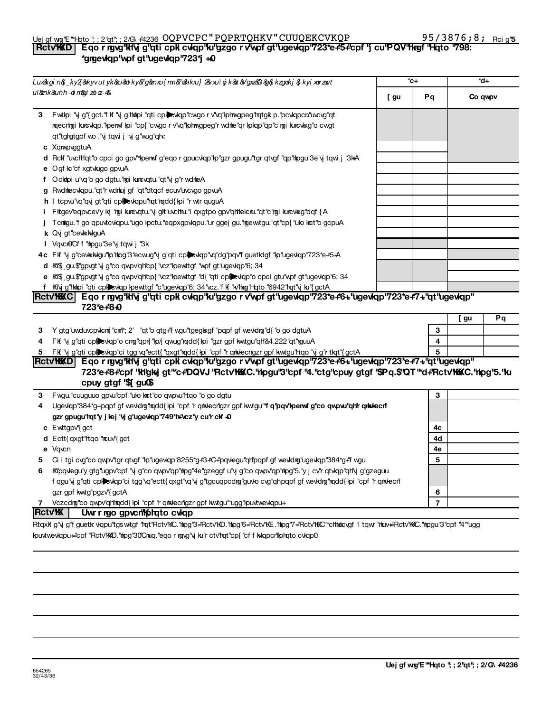**2a 2b 2c 3**

> **4 5**

## 3 Y gtg"uwduvcpvkcm("cmt"; 2' "qt"o qtg+"f wgu"tgegl $k$ gf "pqpf gf wevkdmg"d{"o go dgtuA **1 2 3 3** Fwgu."cuuguuo gpw"cpf "ulo kot"co qwpw"ttqo "o go dgtu 4 Ugevkqp"384\*g+"pqpf gf wevkdng"nqdd{kpi "cpf "r qntxlecr"(gzr gpf kwtgu"**\*f q'pqv'kperwf g"co qwpw."qHr qntxlecri** gzr gpugu'tqt'y j lej 'vj g'ugevkqp'749\*h#vcz'y cu'r clf +0 **1** Fit "y g"qti cplexiqp"o cng"qpn{"p/j qwug"mqdd{ipi "gzr gpf kwtgu"qh'84.222"qt"mguuA FK "y g"qti cplewqp"ci tgg"vq"ectt{ "qxgt"rqdd{ kpi "cpf "r qrkkecr'gzr gpf kwtgu"rtqo "y g"r tkqt"{ gctA **501(c)(6).** <mark>| Rctv'KKKD | Eqorngy'kHvjg''qti cpk cvkqp''ku''gzgorv'vpfgt''ugevkqp''723\*e+\*6+''ugevkqp''723\*e+\*7+''qt''ugevkqp</mark> 723\*e+8+'cpf "kligky gt"\*c+DQVJ "Rctv**'KKC."n**pgu"3"cpf "4."ctg"cpuy gtgf "\$Pg.\$"QT "\*d+'Rctv'KKKC."nlpg"5."ku cpuy gtgf '\$[gu**(\$**

5 Ci i tgi cvg"co qwpv"tgr qtvgf "lp"ugevlqp"8255\*g#3#C#pqvlegu"qh"pqpf gf wevlding"ugevlqp"384\*g#f wgu 6 Kipqvlegu'y gtg'ugpv'cpf 'vj g'co qwpv'qp'mpg'4e'gzeggf u'vj g'co qwpv'qp'mpg'5.'y j cv'r qtvlqp''qh'vj g'gzeguu

Vczcdrg"co qwpv"qh"rqdd{kpi "cpf" r qrkkecr"gzr gpf kwtgu"\*ugg"kpuvtwevkqpu+

ipuvtweviqpu="cpf "Rctv"KKD."hipg"30'Cnuq."eqo r rgyg"y ku"r ctv"rqt"cp{"cf f kikqpcr'liphqto cvkqp0

f qgu'vj g''qti cplexkqp''ci tgg''vq''ectt{ qxgt''vq'vj g''tgcuqpcdmg''guvlo cvg''qh'pqpf gf wevkdmg''mqdd{ kpi ''cpf ''r qmkkecn'

Rtqxifg"y g"fguetik viapu"tgswitgf "rat"Rctv"kC."hipg"3="Rctv"kD."hipg"6="Rctv"kE."hipg"7="Rctv"kKC:""chtkicvgf "i tqwr "hiuw="Rctv"kKC."hipgu"3"cpf "4"\*ugg

| Lux&kgin&_ky2(&kyvutyk&au&diky&g&enxu{mn&/&ahkru}2&vxulojk&bl&Ygxz&0&g&kzgoakj&jkyixovzout |                                                                                                                 |      | *c+ | *d+     |
|--------------------------------------------------------------------------------------------|-----------------------------------------------------------------------------------------------------------------|------|-----|---------|
| ul&ank&uhh otm&gizoloz 4&                                                                  |                                                                                                                 | [ gu | Pq  | Co qwpv |
| 3                                                                                          | Fwthpi "vj g"{gct."f kf "vj g"httpi "qti cplied wap" cwgo r v'vq" phwgpeg" ratgki p." pcwapcn" uvcvg" qt        |      |     |         |
|                                                                                            | rqecrtigi kurcvkqp."Ipenvf kpi "cp{"cwgorv'vq"Iphrwgpeg"r wdnle"qr kpkqp"qp"c"rgi kurcvlxg"ocwgt                |      |     |         |
|                                                                                            | qt"tghgtgpf wo ."y tqwi j "y g"wug"qh                                                                           |      |     |         |
| c XqmpvggtuA                                                                               |                                                                                                                 |      |     |         |
|                                                                                            | d Rckf "uvchtl'qt"o cpci go gpv" them f g"eqo r gpucvlap" hp"gzr gpugu "tgr qtvgf "qp" hpgu "3e" yi tqwi j "3kA |      |     |         |
|                                                                                            | e Ogf kc"cf xgtvkugo gpvuA                                                                                      |      |     |         |
|                                                                                            | f Ockhpi u'vq'o go dgtu. "ngi kuncvqtu. "qt"y g'r wdnleA                                                        |      |     |         |
|                                                                                            | g Rwdnecwapu."qt"r wdnkuj gf "qt"dtqcf ecuv"uvcvgo gpvuA                                                        |      |     |         |
|                                                                                            | h I tcpw'vq''qvj gt''qti cplexkqpu''rqt''rqdd{ kpi ''r wtr quguA                                                |      |     |         |
|                                                                                            | Fitgev'eqpvcev'y kj "mgi kurcvqtu."vj git"uvchu."i qxgtpo gpv'qhleicnu."qt"c"mgi kurcvixg"dqf {A                |      |     |         |
|                                                                                            | Tcnligu. "f go qpuvtcviqpu. "ugo ipctu. "eqpxgpviqpu. "ur ggej gu. "mgewtgu. "qt"cp{ "ulo kot"o gcpuA           |      |     |         |
|                                                                                            | k Qvj gt"cevkxkkguA                                                                                             |      |     |         |
|                                                                                            | I VqvcnOCff "mlogu"3e" yitqwij "3k                                                                              |      |     |         |
|                                                                                            | 4c FK "vj g"cevkskilgu"lp"ning"3"ecwug"vj g"qti cpljevkqp"vq"dg"pqv'f guetidgf "lp"ugevkqp"723*e+5+A            |      |     |         |
|                                                                                            | <b>d</b> KII gu.\$"gpvgt"y g"co qwpv"qh"cp{"vcz"kpewttgf" wpf gt"ugewqp"6; 34                                   |      |     |         |
|                                                                                            | e Ki\$ gu.\$"gpvgt"vj g"co qwpv"qh"cp{ "vcz"kpewttgf "d{ "qti cpkevkqp"o cpci gtu"wpf gt"ugevkqp"6; 34          |      |     |         |
|                                                                                            | Kily g"hkipi "qti cplicklap"lpewttgf "c"ugevkqp"6; 34"vcz."f kf "k/'hkig"l-lqto "6942"rqt"y ku"{ gctA           |      |     |         |
|                                                                                            | Rctv'KKKC   Eqorngvg'kHvjg''qticpk cvkqp''ku''gzgorv'vpfgt'ugevkqp'723*e#6+'ugevkqp'723*e#7+''qt'ugevkqp''      |      |     |         |

### Uej gf w@'E "\*Hqto "; ; 2'qt"; ; 2/G\ #4236 OQPVCPC " PQPRTQHKV " CUUQEKCVKQP 95 / 3876 **;** 8 **;** <sub>Rci g'</sub> Part **Part III-B or the organization is expected if the origin is experienced in the organization in the organiz<br>In the original part of the original filed in the section of the section of the section**  $\mu$  **or**  $\mu$  **and**  $\mu$ \*grgevkqp"wpf gt"ugevkqp"723\*j +0

**Yes No**

**2 3**

**5**

**c** Ewttgpv<sup>y</sup>{gct

**e** Vqvcr

**d** Ectt{ qxgt"rtqo "rouv"{ gct

gzr gpf kwtg"pgzv" gctA

**Part VK COV IV Trust Information**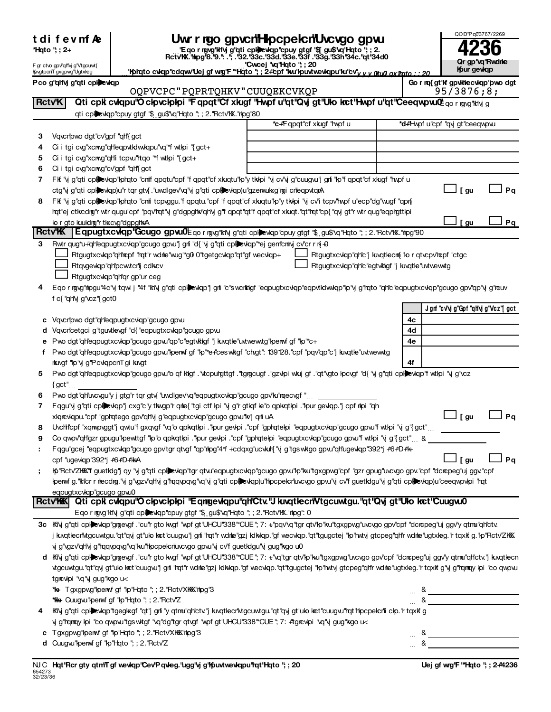|  |  |  |  |  |  | t difevmf Ae |  |
|--|--|--|--|--|--|--------------|--|
|--|--|--|--|--|--|--------------|--|

| *Hqto "; ; 2+ |  |  |
|---------------|--|--|
|               |  |  |

## $\blacksquare$  **Supplemental Statemental Financial Statemental Statements in the supplemental Statement Statements in the statement of**  $\blacksquare$

| QOD'Pq0'3767/2269              |
|--------------------------------|
| 4236                           |
| Qr gp'\q'Rwdnle<br>Kpur gevkqp |

| t al I e a III ve<br><u>ı iyu yevinin bekanlar ve ya yev</u><br>*Hqto "; ; 2+<br>"E qo r rgvg" khy g"qti cphe viqp" cpuy gtgf "\$1 gu\$" vq" kqto "; ; 2.<br>RctvKK." hpg"8."9.": ."; ."32."33c."33d."33e."33f."33g."33h"34c." qt" 34d0 |                                      |                                                                                                                   |                                                                                                                                                                                                                                                  |                               |                                     |      |
|-----------------------------------------------------------------------------------------------------------------------------------------------------------------------------------------------------------------------------------------|--------------------------------------|-------------------------------------------------------------------------------------------------------------------|--------------------------------------------------------------------------------------------------------------------------------------------------------------------------------------------------------------------------------------------------|-------------------------------|-------------------------------------|------|
| "Cwcej "vq"Hqto"; ; 20<br>F gr ctvo gpv'qHvj g'Vtgcuwt{<br>"Kolrato cvkap"cdqwy" Uej gf wrg" F ""Hato"; ; 2+"cpf "ku" kou wew apu" ku" cy" y y atud ax flato : : 20<br>lfovgtpcn'T gxgpwg"Ugtxleg                                       |                                      |                                                                                                                   |                                                                                                                                                                                                                                                  | Qr gp'\q'Rwdne<br>Kpur gewkap |                                     |      |
| Pco gʻqhlyj gʻqti cpheevkqp                                                                                                                                                                                                             |                                      |                                                                                                                   |                                                                                                                                                                                                                                                  |                               | Go r rq{ gt'lf gpvlitecvkqp'pwo dgt |      |
|                                                                                                                                                                                                                                         |                                      | OQPVCPC "PQPRTQHKV" CUUQEKCVKQP                                                                                   |                                                                                                                                                                                                                                                  |                               | 95/3876;8;                          |      |
|                                                                                                                                                                                                                                         | <b>RctvK</b>                         |                                                                                                                   | Qti cpk cvkqpu"O ckpvckpkpi "Fqpqt"Cf xkugf "Hwpf u"qt"Qvj gt"Uko kret"Hwpf u"qt"CeeqwpvuCtqor rgyg"kiy g                                                                                                                                        |                               |                                     |      |
|                                                                                                                                                                                                                                         |                                      | qti cplevkqp"cpuy gtgf "\$ gu\$"vq"Hqto "; ; 2."Rctv"K."hpg"80                                                    |                                                                                                                                                                                                                                                  |                               |                                     |      |
|                                                                                                                                                                                                                                         |                                      |                                                                                                                   | *c+Fqpqt"cf xkugf "hypf u                                                                                                                                                                                                                        |                               | *d+Hwpf u"cpf "qvj gt"ceeqwpvu      |      |
| З                                                                                                                                                                                                                                       | Vqvcripwo dgt"cv"gpf "qh"{gct        |                                                                                                                   |                                                                                                                                                                                                                                                  |                               |                                     |      |
| 4                                                                                                                                                                                                                                       |                                      | Ci i tgi cvg"xcmg"qh"eqpvtkdwwqpu"vq"*f wtlpi "{gct+                                                              |                                                                                                                                                                                                                                                  |                               |                                     |      |
| 5                                                                                                                                                                                                                                       |                                      | Ci i tgi cvg"xcmvg"qh" tcpvu"htqo "*f wtkpi "{gct+                                                                |                                                                                                                                                                                                                                                  |                               |                                     |      |
| 6<br>7                                                                                                                                                                                                                                  | Ci i tgi cvg"xcrwg"cv"gpf "qH'{ gct  |                                                                                                                   | FK "y g"qti cplexkqp" phato "cm" fqpqtu" cpf "fqpqt" cfxkuqtu" p"y tkkpi "y cv" y g" cuugw" gri "kp" fqpqt" cfxkugf "hwpfu                                                                                                                       |                               |                                     |      |
|                                                                                                                                                                                                                                         |                                      | ctg'vj g''qti cplexkqp)u''r tqr gtv{. ''uwdlgev'\q''vj g''qti cplexkqp)u''gzerwulxg'hgi crleqpvtqrA               |                                                                                                                                                                                                                                                  |                               | [ gu                                | Pq   |
| 8                                                                                                                                                                                                                                       |                                      |                                                                                                                   | FK "y g"qti cplewap" phato "cmi tcpvggu." f apqtu." cpf "f apqt" cf xkuqtu" p"y tkkpi "y cv'i tcpv'hwpf u" ecp" dg" wugf "qpn                                                                                                                    |                               |                                     |      |
|                                                                                                                                                                                                                                         |                                      |                                                                                                                   | hqt"ej ctkcdng"r wtr qugu"cpf "pqv'hqt"y g"dgpghk"qh'y g"f qpqt"qt"f qpqt"cf xkuqt."qt"hqt"cp{"qyjgt"r wtr qug"eqphgttlpi                                                                                                                        |                               |                                     |      |
|                                                                                                                                                                                                                                         | lo r gto kuuldrg" rtkxcvg" dgpg hivA |                                                                                                                   |                                                                                                                                                                                                                                                  |                               | [ gu                                | Pq   |
|                                                                                                                                                                                                                                         | <b>RctvK</b>                         |                                                                                                                   | Eqpugtxcwqp"Gcugo gpvu0Eqormyg'kliy g"qti cplewqp"cpuy gtgf "\$ gu\$"vq"Hqto "; ; 2."Rctv'lK."hpg"90                                                                                                                                             |                               |                                     |      |
| 3                                                                                                                                                                                                                                       |                                      | Rwtr qug*u+"qh"eqpugtxcvkqp"gcugo gpwl"j gril "d{ "vj g"qti cplictiqp" ej gentcritivj cv"cr r n{ +0               |                                                                                                                                                                                                                                                  |                               |                                     |      |
|                                                                                                                                                                                                                                         |                                      | Rtgugtxcvkqp"qH tepf "rqt"r wdnle"wug"*g0 0"tgetgcvkqp"qt"gf wecvkqp+                                             | Rtgugtxcvkqp"qh"c"j kuxqtlecm{"lo r qtvcpv"ncpf "ctgc                                                                                                                                                                                            |                               |                                     |      |
|                                                                                                                                                                                                                                         |                                      | Rtqvgevkqp"qHpcwtcrlj cdkcv                                                                                       | Rtgugtxcvkqp"qh"c"egtvkkgf" i kuqtle"uvtwewtg                                                                                                                                                                                                    |                               |                                     |      |
|                                                                                                                                                                                                                                         |                                      | Rtgugtxcvkqp"qh"qr gp"ur ceg                                                                                      |                                                                                                                                                                                                                                                  |                               |                                     |      |
| 4                                                                                                                                                                                                                                       |                                      |                                                                                                                   | Eqo r rgvg"nlogu"4c"vj tqwi j "4f "ki'vj g"qti cplinewap"j gni "c"swcrkilgf "eqpugtxcvlqp"eqpvtidwwlqp"lp"vj g"rqto "qh'c"eqpugtxcvlqp"gcugo gpv"qp"vj g"rcuv                                                                                    |                               |                                     |      |
|                                                                                                                                                                                                                                         | f c{ "qH\j g"\cz" { gct0             |                                                                                                                   |                                                                                                                                                                                                                                                  |                               | Jgnf "c√'vjg"Gpf "qH'vjg"Vcz"[gct   |      |
|                                                                                                                                                                                                                                         |                                      | Vqvcripwo dgt"qh"eqpugtxcvkqp"gcugo gpvu                                                                          |                                                                                                                                                                                                                                                  | 4c                            |                                     |      |
|                                                                                                                                                                                                                                         |                                      | Vqvcricetgci g'tguvtlevgf "d{ "eqpugtxcvkqp"gcugo gpvu                                                            |                                                                                                                                                                                                                                                  | 4d                            |                                     |      |
|                                                                                                                                                                                                                                         |                                      | Pwo dgt"qh"eqpugtxcvkqp"gcugo gpw"qp"c"egtvkkgf "j kwqtke"uvtwewwtg"kperwf gf "kp"*c+                             |                                                                                                                                                                                                                                                  | 4е                            |                                     |      |
|                                                                                                                                                                                                                                         |                                      |                                                                                                                   | f Pwo dgt"qh'eqpugtxcvkqp"gcugo gpvu"kperwf gf "kp"*e+'ceswktgf "chgt": 139128."cpf "pqv'qp"c"j kwqtle"uvtwewtg                                                                                                                                  |                               |                                     |      |
|                                                                                                                                                                                                                                         | rkuygf "kp"yi g"PcvkqpcrtTgi kuvgt   |                                                                                                                   |                                                                                                                                                                                                                                                  | 4f                            |                                     |      |
| 5.                                                                                                                                                                                                                                      |                                      |                                                                                                                   | Pwo dgt"qtleqpugtxcvkqp"gcugo gpvu"o qf kkgf ."vtcpurgttgf ."tgrgcugf ."gzvkpi wkuj gf ."qt"vgto kpcvgf "d{ 'vj g"qti cplexkqp"f wtkpi "vj g"vcz                                                                                                 |                               |                                     |      |
|                                                                                                                                                                                                                                         | $\{ \text{ gct}^{\text{\tiny H}} \}$ |                                                                                                                   |                                                                                                                                                                                                                                                  |                               |                                     |      |
| 6                                                                                                                                                                                                                                       |                                      | Pwo dgt"qh'uvcvgu'y j gtg"r tqr gtv{ "uwdlgev'vq"eqpugtxcvkqp"gcugo gpv'ku'mqecvgf "                              |                                                                                                                                                                                                                                                  |                               |                                     |      |
| 7                                                                                                                                                                                                                                       |                                      | Fqgu"y g"qti cplexkqp"j cxg"c"y tkwgp"r qme{"tgi ctf lpi "y g"r gtkqf le"o qpkqtlpi ."Ipur gevkqp."j cpf mipi "qh |                                                                                                                                                                                                                                                  |                               |                                     |      |
|                                                                                                                                                                                                                                         |                                      | xkqrcvkqpu."cpf "gphqtego gpv"qh"y g"eqpugtxcvkqp"gcugo gpvu"kv"j qnfi uA                                         |                                                                                                                                                                                                                                                  |                               | _l[gu                               | Pq   |
| 8                                                                                                                                                                                                                                       |                                      |                                                                                                                   | Uvchlcpf "xqmpvggt"j qwtu"f gxqvgf "vq"o qpkqtlpi ."lpur gevlpi ."cpf "gphqtelpi "eqpugtxcvlqp"gcugo gpvu"f wtlpi "y g"{gct"                                                                                                                     |                               |                                     |      |
| 9                                                                                                                                                                                                                                       |                                      |                                                                                                                   | Co qwpv'qHgzr gpugu"lpewttgf "lp"o qpkqtlpi ."lpur gevlpi ."cpf "gphqtelpi "eqpugtxcvlqp"gcugo gpvu"f wtlpi "y g"{gct" &<br>Fagu"gcej "eqpugtxcvlap"gcugo gpv"tgr qtvgf "qp"nlog"4*f +"cdqxg"ucvluh{ "y g"tgswltgo gpvu"qh"ugevlap"392*j +6+D+14 |                               |                                     |      |
|                                                                                                                                                                                                                                         | cpf "ugevkqp"392*j #6#D#lk+A         |                                                                                                                   |                                                                                                                                                                                                                                                  |                               | [ gu                                | ⊿ Pq |
|                                                                                                                                                                                                                                         |                                      |                                                                                                                   | Ko"Rctv'ZKKX" guetkig" qy "vi g"qti cplexkqp"tgr qtw"eqpugtxcvkqp"gcugo gpw"ko"ku"tgxgpwg"cpf "gzr gpug"uvcygo gpv."cpf "dcncpeg"uj ggv."cpf                                                                                                     |                               |                                     |      |
|                                                                                                                                                                                                                                         |                                      |                                                                                                                   | kperwf g."kticr r mecdmg."y g"ygzy"qtlyj g"tqqypqyg"yq"y g"qti cplexkqp)u"thpcpelcriuvcygo gpvu"y cv'f guetldgu"y g"qti cplexkqp)u"ceeqwpvkpi "tat                                                                                               |                               |                                     |      |
|                                                                                                                                                                                                                                         | eqpugtxcvkqp"gcugo gpvu0             |                                                                                                                   |                                                                                                                                                                                                                                                  |                               |                                     |      |
|                                                                                                                                                                                                                                         |                                      |                                                                                                                   | Rctv'KK Qti cpk cvkqpu'O clovcloloi "Eqngevkqpu'gh'Ctv."J kuxqtlecn'Vtgcuwtgu."qt"Qvj gt"Ulo krct"Cuugvu0                                                                                                                                        |                               |                                     |      |
|                                                                                                                                                                                                                                         |                                      | Eqo r rgvg"ktvj g"qti cplexkqp"cpuy gtgf "\$ gu\$"vq"Hqto "; ; 2."Rctv"KX."hpg": 0                                |                                                                                                                                                                                                                                                  |                               |                                     |      |
|                                                                                                                                                                                                                                         |                                      |                                                                                                                   | 3c Kivj g"qti cplexkp"grgevgf . "cu"r gto kvgf "wpf gt"UHCU"338" "CUE"; 7: +"pqv'vq"tgr qtv'lp"ku"tgxgpvg"uvcvgo gpv'cpf "dcrcpeg"uj ggv'y qtmu"qHctv.                                                                                           |                               |                                     |      |
|                                                                                                                                                                                                                                         |                                      |                                                                                                                   | j knatlecnNtgcuwtgu."qt"qvj gt"ulo kat"cuugvu"j gni "rat"r wdnle"gzj ldkkap."gf wecvlap."qt"tgugctej "lp"hwty gtcpeg"qh'r wdnle"ugtxleg."r taxlf g."lp"Rctv'ZHKK                                                                                 |                               |                                     |      |
|                                                                                                                                                                                                                                         |                                      | y g'\gzv'qH\j g'lmqqyqq'\q''ku'hhocpelcrluvcygo gpvu'\j cv'f guetklgu'\j gug'lkgo u0                              |                                                                                                                                                                                                                                                  |                               |                                     |      |
|                                                                                                                                                                                                                                         |                                      |                                                                                                                   | d Kivj g"qti cploxlqp"grgevgf ."cu"r gto kwgf "wpf gt"UHCU"338" CUE"; 7: +"vq"tgr qtv"p"ku"tgxgpwg"uvcvgo gpv"cpf "dcropeg"uj ggv'y qtmu"qh"ctv."j kuvqtlecr                                                                                     |                               |                                     |      |
|                                                                                                                                                                                                                                         |                                      |                                                                                                                   | vigcuwigu."qt"qyi gt"ulo kot"cuugvu"j grii "rqt"r wdne"gzj kdkkqp."gf wecvlqp."qt"tgugctej "lp"rwty gtcpeg"qh'r wdne"ugtxleg."r tqxkf g"yj g"rqmqy lpi "co qwpvu                                                                                 |                               |                                     |      |
|                                                                                                                                                                                                                                         | tgrcvkpi "vq"yi gug" kgo u<          |                                                                                                                   |                                                                                                                                                                                                                                                  |                               |                                     |      |
|                                                                                                                                                                                                                                         |                                      | *k+ Tgxgpwg"lpenwf gf "lp"Hqto"; ; 2."Rctv'XHKK"hpg"3<br><b>*K+ Cuugvu"lpenvf gf "lp"Hqto"; ; 2. "Rctv'Z</b>      |                                                                                                                                                                                                                                                  |                               |                                     |      |
|                                                                                                                                                                                                                                         |                                      |                                                                                                                   | Kivj g"qti cplexkqp"tgeglxgf "qt"j gri "y qtmu"qh'ctv."j knqtlecrivtgcuwtgu."qt"qvj gt"ulo kat"cuugw"rqt"hpcpelcrii clp."r tqxlf g                                                                                                               |                               |                                     |      |
|                                                                                                                                                                                                                                         |                                      | yj g'tamay kpi "co qwpw"tgswktgf "vq"dg"tgr qtvgf "wpf gt"UHCU"338" "CUE"; 7: +"tgrcwlpi "vq"yj gug"kgo u<        |                                                                                                                                                                                                                                                  |                               |                                     |      |
|                                                                                                                                                                                                                                         |                                      | c Tgxgpwg"perwf gf "lp"Hqto"; ; 2. "Rctv"XKKK"hpg"3                                                               |                                                                                                                                                                                                                                                  | &                             |                                     |      |

 $~^{3}$   $~^{1}$   $~^{3}$   $~^{1}$   $~^{3}$   $~^{1}$   $~^{3}$   $~^{1}$   $~^{3}$   $~^{1}$   $~^{3}$   $~^{1}$   $~^{3}$   $~^{1}$   $~^{3}$   $~^{1}$   $~^{3}$   $~^{1}$   $~^{3}$   $~^{1}$   $~^{3}$   $~^{1}$   $~^{3}$   $~^{1}$   $~^{3}$   $~^{1}$   $~^{3}$   $~^{1}$   $~^{1}$   $~^{1}$   $~^{1}$   $~^{1$ 

**d** Cuugvu"lpenwf gf "lp"Hqto "; ; 2."Rctv'Z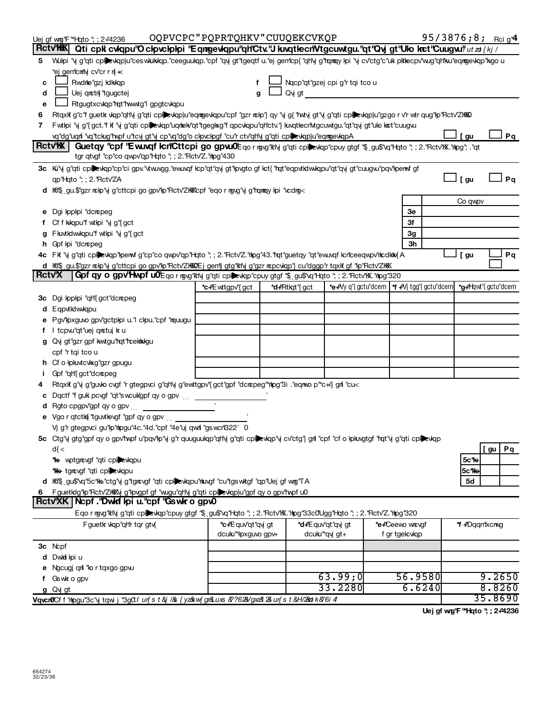|                         | Uej of wo"F "Hoto"; ; 2+4236                                                                                                                                                                                                                                      | OQPVCPC"PQPRTQHKV"CUUQEKCVKQP   |  |                      |                                                                   |  |                 |               | 95/3876;8; Rcig <sup>4</sup> |
|-------------------------|-------------------------------------------------------------------------------------------------------------------------------------------------------------------------------------------------------------------------------------------------------------------|---------------------------------|--|----------------------|-------------------------------------------------------------------|--|-----------------|---------------|------------------------------|
|                         | <b>RctvWK</b><br>Qti cpk cvkqpu"O ckpvckpkpi "Eqmgevkqpu"qHCtv."J kuvqtkecn"Vtgcuwtgu."qt"Qvj gt"Uko kret"Cuugvu" utzo {kj /                                                                                                                                      |                                 |  |                      |                                                                   |  |                 |               |                              |
| 5                       | Wulpi "vj g"qti cplexlqp)u"ceswkukkqp."ceeguulqp."cpf "qvj gt"tgeqtf u."ej gem"cp{"qHvj g"rqmqy lpi "vj cv"ctg"c"ulk plklecpv'wug"qHku"eqmgevlqp"kgo u                                                                                                            |                                 |  |                      |                                                                   |  |                 |               |                              |
|                         | *ej gem"cm"Nj cv"cr r n{ $\star$                                                                                                                                                                                                                                  |                                 |  |                      |                                                                   |  |                 |               |                              |
| c                       | Rwdne"gzj ldkkqp                                                                                                                                                                                                                                                  |                                 |  |                      | Nacp"qt"gzej cpi g"r tqi tco u                                    |  |                 |               |                              |
| d                       | Uej qrctn "tgugctej                                                                                                                                                                                                                                               |                                 |  | Qvjgt                |                                                                   |  |                 |               |                              |
| e                       | Rtgugtxcvkqp"rqt"rwwtg"igpgtcvkqpu                                                                                                                                                                                                                                |                                 |  |                      |                                                                   |  |                 |               |                              |
| 6                       | Rtqxlf g"c"f guetik viqp"qh'vj g"qti cplexkqp)u"eqmgevkqpu"cpf "gzr nckp"j qy "vj g{"hvtvj gt"vj g"qti cplexkqp)u"gzgo r v'r wtr qug"kp"Rctv'ZH&O                                                                                                                 |                                 |  |                      |                                                                   |  |                 |               |                              |
| 7                       | Fwtipi "y g"{gct."f if "y g"qti cplexiqp"uqriek/'qt"tgeglxg"f qpcvlqpu"qh'ctv."j kuqtlecr'ivtgcuwtgu."qt"qy gt"ulo lact"cuugvu                                                                                                                                    |                                 |  |                      |                                                                   |  |                 |               |                              |
|                         | vq"dg"uqri "vq"tckig"hvpf u"tcvj gt"vj cp"vq"dg"o clpvclpgf "cu"r ctv"qH'vj g"qti cplexkqp)u"eqmgevkqpA                                                                                                                                                           |                                 |  |                      |                                                                   |  |                 | [ gu          | Pq                           |
|                         | <b>RctvK</b><br>Guetqy "cpf "E wuvqf IcriCttcpi go gpw0Eqor ngvg"kivj g"qti cplexiqp"cpuy gtgf "\$ gu\$"xq"Hqto "; ; 2."Rctv'K."hpg"; ."qt                                                                                                                        |                                 |  |                      |                                                                   |  |                 |               |                              |
|                         | tgr qtvgf "cp"co qwpv"qp"Hqto "; ; 2."Rctv"Z."htpg"430                                                                                                                                                                                                            |                                 |  |                      |                                                                   |  |                 |               |                              |
|                         | 3c Kı''y g"qti cplexkqp"cp"ci gpv."vtw.vgg."ew.vqf kcp"qt"qvj gt"pvgto gf kct{ "rqt"eqpvtklwkqpu"qt"qvj gt"cuugw."pqv"kperwf gf                                                                                                                                   |                                 |  |                      |                                                                   |  |                 |               |                              |
|                         | qp"Hqto "; ; 2. "Rctv'ZA                                                                                                                                                                                                                                          |                                 |  |                      |                                                                   |  |                 | 」[gu          | Pq                           |
|                         | d KK\$ gu.\$'gzr nckp'\j g'cttcpi go gpv'kp''Rctv'ZKKKcpf "eqo r ng\g'\j g'hqmqy kpi '\cdng<                                                                                                                                                                      |                                 |  |                      |                                                                   |  |                 |               |                              |
|                         |                                                                                                                                                                                                                                                                   |                                 |  |                      |                                                                   |  |                 | Co qwpv       |                              |
|                         | e Dgi Ipplpi "dcrcpeg                                                                                                                                                                                                                                             |                                 |  |                      |                                                                   |  | Зе              |               |                              |
|                         | f Cf f kkqpu'f wtkpi 'vj g'{gct                                                                                                                                                                                                                                   |                                 |  |                      |                                                                   |  | Зf              |               |                              |
|                         | g Fluxtkdwkqpu''f wtkpi 'vj g'{gct                                                                                                                                                                                                                                |                                 |  |                      |                                                                   |  | 3g              |               |                              |
|                         | h Gpf lpi "dcncpeg                                                                                                                                                                                                                                                |                                 |  |                      |                                                                   |  | Зh              |               |                              |
|                         | 4c FK "y g"qti cplexkqp"lperwf g"cp"co qwpv"qp"Hqto "; ; 2."Rctv'Z."rlpg"43."rqt"guetqy "qt"ewuxqf kcriceeqwpv'rlcdklix{A                                                                                                                                         |                                 |  |                      |                                                                   |  |                 | 」[gu          | Pq                           |
| <b>Rctv<sup>x</sup></b> | d Ki\$ gu.\$"gzr nckp"vj g"cttcpi go gpv"kp"Rctv"ZKKOEj gen*ij gtg"ktivj g"gzr ncpcvkqp"j cu"dggp"r tqxkf gf "kp"Rctv"ZKKK<br>Gpf qy o gpv <sup>1</sup> Hwpf u0 <sup>1</sup> Eqo r rogy"ktiy g"qti cplic viqp"cpuy gtgf "\$ gu\$"vq"Hqto "; ; 2."Rctv"K."hipg"320 |                                 |  |                      |                                                                   |  |                 |               |                              |
|                         |                                                                                                                                                                                                                                                                   |                                 |  |                      |                                                                   |  |                 |               |                              |
|                         |                                                                                                                                                                                                                                                                   | *c+Ewttgpv"{gct                 |  | <b>*d+Rtkqt"{gct</b> | *e+'Vy q"{gctu"dcem   *f +'Vj tgg"{gctu"dcem  *g+'Hqwt"{gctu"dcem |  |                 |               |                              |
|                         | 3c Dgi lpplpi "qh"{ gct"dcrcpeg                                                                                                                                                                                                                                   |                                 |  |                      |                                                                   |  |                 |               |                              |
|                         | d Eqpvtkdwkqpu                                                                                                                                                                                                                                                    |                                 |  |                      |                                                                   |  |                 |               |                              |
|                         | e Pgv"pxguvo gpv"gctplpi u."i clpu."cpf "mquugu                                                                                                                                                                                                                   |                                 |  |                      |                                                                   |  |                 |               |                              |
|                         | f I tcpw"qt"uej qnctuj k u                                                                                                                                                                                                                                        |                                 |  |                      |                                                                   |  |                 |               |                              |
|                         | g Qvj gt"gzr gpf kwtgu"rqt"rcektkolgu                                                                                                                                                                                                                             |                                 |  |                      |                                                                   |  |                 |               |                              |
|                         | cpf "r tqi tco u                                                                                                                                                                                                                                                  |                                 |  |                      |                                                                   |  |                 |               |                              |
|                         | h Cf o kpkutcvkxg"gzr gpugu                                                                                                                                                                                                                                       |                                 |  |                      |                                                                   |  |                 |               |                              |
|                         | Gpf "qH'{ gct"dcrcpeg                                                                                                                                                                                                                                             |                                 |  |                      |                                                                   |  |                 |               |                              |
|                         | Rtqxkf g"y g"guvlo cvgf "r gtegpvci g"qH'y g"ewttgpv"{gct"gpf "dcncpeg"*nlpg"3i . "eqnwo p"*c++j" gnf "cu<<br>c Dqctf "f guk pcvgf "qt"swcukgpf qy o gpv  ____                                                                                                    |                                 |  |                      |                                                                   |  |                 |               |                              |
|                         |                                                                                                                                                                                                                                                                   |                                 |  |                      |                                                                   |  |                 |               |                              |
|                         | e Vgo r qtctki "tguvtlevgf "gpf qy o gpv  ______________                                                                                                                                                                                                          |                                 |  |                      |                                                                   |  |                 |               |                              |
|                         | Vj g'r gtegpvci gu"lp"rhpgu"4c."4d."cpf "4e"uj qwrfi "gswcrl322' 0                                                                                                                                                                                                |                                 |  |                      |                                                                   |  |                 |               |                              |
|                         | 5c Ctg'ij gtg'gpf qy o gpv'hwpf u'pqv'lp'ij g'r quuguulqp''qh'ij g''qti cplexlqp''ij cv'ctg'j gri ''cpf ''cf o lpkngtgf ''rqt'ij g''qti cplexlqp                                                                                                                  |                                 |  |                      |                                                                   |  |                 |               |                              |
|                         | $d\{$                                                                                                                                                                                                                                                             |                                 |  |                      |                                                                   |  |                 |               | $[$ gu<br>Pq                 |
|                         | *k+ wptgrcvgf "qti cplewqpu                                                                                                                                                                                                                                       |                                 |  |                      |                                                                   |  |                 | 5c*k+         |                              |
|                         | *k+ tgrcvgf "qti cplexkqpu                                                                                                                                                                                                                                        |                                 |  |                      |                                                                   |  |                 | 5c*ke         |                              |
|                         |                                                                                                                                                                                                                                                                   |                                 |  |                      |                                                                   |  |                 | 5d            |                              |
| 6                       | d Kf\$ gu\$"vq"5c*k+c"'ctg"vjg"tgrovgf "qti cplexkqpu"hkuvgf "cu"tgswktgf "qp"Uejgfwrg"TA<br>FguetIdg"p"Rctv'ZKKXy g"lpvgpf gf "wugu"qh'y g"qti cplexkqp)u"gpf qy o gpv'hwpf u0                                                                                   |                                 |  |                      |                                                                   |  |                 |               |                              |
|                         | Rctv'XK Ncpf. 'Dwkf kpi u.'cpf 'Gswk o gpw                                                                                                                                                                                                                        |                                 |  |                      |                                                                   |  |                 |               |                              |
|                         | Eqo r mgvg"ktly g"qti cplexkqp"cpuy gtgf "\$ gu\$"vq"Hqto "; ; 2."Rctv"kX."hpg"33c0Ugg"Hqto "; ; 2."Rctv'Z."hpg"320                                                                                                                                               |                                 |  |                      |                                                                   |  |                 |               |                              |
|                         | F guetk viqp"qh'r tqr gtv{                                                                                                                                                                                                                                        | *c+Equv'qt "qvi gt              |  |                      | *d+E quv'at "avi at                                               |  | *e4Ceewo wrougf | *f +Dqqmxcrwq |                              |
|                         |                                                                                                                                                                                                                                                                   | dculu <sup>th</sup> pxguvo gpv+ |  |                      | dcuku <sup>**</sup> qvj gt+                                       |  | f gr tgelcvkqp  |               |                              |
|                         | 3c Ncpf                                                                                                                                                                                                                                                           |                                 |  |                      |                                                                   |  |                 |               |                              |
|                         | d Dwknf kpiu                                                                                                                                                                                                                                                      |                                 |  |                      |                                                                   |  |                 |               |                              |
|                         | e Ngcugj qnf "lo r tqxgo gpw.                                                                                                                                                                                                                                     |                                 |  |                      |                                                                   |  |                 |               |                              |
|                         | f Gswkrogpv                                                                                                                                                                                                                                                       |                                 |  |                      | 63.99;0                                                           |  | 56.9580         |               | 9.2650                       |
|                         | g Qy gt                                                                                                                                                                                                                                                           |                                 |  |                      | 33.2280                                                           |  | 6.6240          |               | 8.8260                       |
|                         | Vorchorof f "hipgu"3c"y towij "3g0".1 unfst&j/& {yz&w{gr&uxs &?628/grz&2&un{st&H/28abk&6i4                                                                                                                                                                        |                                 |  |                      |                                                                   |  |                 |               | 35.8690                      |

Uej gf wg'F "Hqto "; ; 2+4236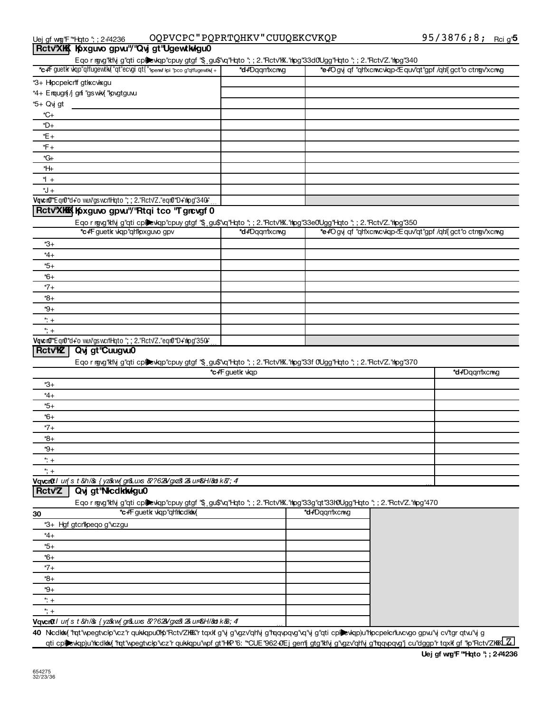| Uej qf wmq"F"*Hqto"; ; 2+"4236             | OQPVCPC"PQPRTQHKV"CUUQEKCVKQP | 95/3876;8; Rcig <sup>1</sup> 5 |  |
|--------------------------------------------|-------------------------------|--------------------------------|--|
| Rctv'XKK Koxguvo gpvu"/"Qvj gt"UgewtkwIgu0 |                               |                                |  |

| *c+F guetk vkqp"qh'ugew.tk d"qt"ecvgi qt{"*perwi kpi "pco g"qh'ugew.tk {+                                                                           | *d+Dqqm*xcrwg   | Eqo r rgvg"ktvj g"qti cplevkqp"cpuy gtgf "\$ gu\$"vq"Hqto "; ; 2."Rctv"K."hpg"33d0Ugg"Hqto "; ; 2."Rctv"Z."hpg"340<br>*e+Ogyj qf "qh'xcnwcwqp <equv'qt"gpf ctngv'xcnwg<="" qh'{gct"o="" th=""><th></th></equv'qt"gpf> |               |
|-----------------------------------------------------------------------------------------------------------------------------------------------------|-----------------|-----------------------------------------------------------------------------------------------------------------------------------------------------------------------------------------------------------------------|---------------|
| *3+ Hpcpelcrif gtkxcvkxgu                                                                                                                           |                 |                                                                                                                                                                                                                       |               |
| *4+ Erqugn[/j gni "gswkx{ "kpvgtguvu                                                                                                                |                 |                                                                                                                                                                                                                       |               |
| *5+ Qvj gt                                                                                                                                          |                 |                                                                                                                                                                                                                       |               |
| *C+                                                                                                                                                 |                 |                                                                                                                                                                                                                       |               |
| *D+                                                                                                                                                 |                 |                                                                                                                                                                                                                       |               |
| *E+                                                                                                                                                 |                 |                                                                                                                                                                                                                       |               |
| *F+                                                                                                                                                 |                 |                                                                                                                                                                                                                       |               |
| *G+                                                                                                                                                 |                 |                                                                                                                                                                                                                       |               |
| *H+                                                                                                                                                 |                 |                                                                                                                                                                                                                       |               |
| *l +                                                                                                                                                |                 |                                                                                                                                                                                                                       |               |
| *J +                                                                                                                                                |                 |                                                                                                                                                                                                                       |               |
| Vqvcr0"Eqr0"d+"o wuv"gswcril-lqto "; ; 2."Rctv"Z."eqr0"D+"rkpg"340+"                                                                                |                 |                                                                                                                                                                                                                       |               |
| Rctv'XKK Kyguvo gpw"/'Rtqi tco 'T grcvgf 0                                                                                                          |                 |                                                                                                                                                                                                                       |               |
|                                                                                                                                                     |                 |                                                                                                                                                                                                                       |               |
| Eqo r mgvg"ktly g"qti cplevkqp"cpuy gtgf "\$ gu\$"vq"Hqto "; ; 2."Rctv"kX."hpg"33e0Ugg"Hqto "; ; 2."Rctv'Z."hpg"350<br>*c+F guetk vkp"qh"pxguvo gpv | *d+Dqqm*xcrwg   | *e+'Ogyj qf "qh'xcnwcwqp<'Equv'qt"gpf /qh'{gct"o ctngv'xcnwg                                                                                                                                                          |               |
|                                                                                                                                                     |                 |                                                                                                                                                                                                                       |               |
| *3+                                                                                                                                                 |                 |                                                                                                                                                                                                                       |               |
| *4+                                                                                                                                                 |                 |                                                                                                                                                                                                                       |               |
| $*5+$                                                                                                                                               |                 |                                                                                                                                                                                                                       |               |
| *6+                                                                                                                                                 |                 |                                                                                                                                                                                                                       |               |
| $*7+$                                                                                                                                               |                 |                                                                                                                                                                                                                       |               |
| *8+                                                                                                                                                 |                 |                                                                                                                                                                                                                       |               |
| *9+                                                                                                                                                 |                 |                                                                                                                                                                                                                       |               |
| $* +$                                                                                                                                               |                 |                                                                                                                                                                                                                       |               |
| $\ddot{ }$ ; +                                                                                                                                      |                 |                                                                                                                                                                                                                       |               |
|                                                                                                                                                     |                 |                                                                                                                                                                                                                       |               |
|                                                                                                                                                     | *c+F guetk vkqp | Eqo r mgvg"ktly g"qti cplexkqp"cpuy gtgf "\$ gu\$"vq"Hqto "; ; 2."Rctv"kX."hpg"33f 0Ugg"Hqto "; ; 2."Rctv"Z."hpg"370                                                                                                  | *d+Dqqm*xcrwg |
| *3+                                                                                                                                                 |                 |                                                                                                                                                                                                                       |               |
| *4+                                                                                                                                                 |                 |                                                                                                                                                                                                                       |               |
| $*5+$                                                                                                                                               |                 |                                                                                                                                                                                                                       |               |
| *6+                                                                                                                                                 |                 |                                                                                                                                                                                                                       |               |
| $*7+$                                                                                                                                               |                 |                                                                                                                                                                                                                       |               |
| *8+                                                                                                                                                 |                 |                                                                                                                                                                                                                       |               |
| *9+                                                                                                                                                 |                 |                                                                                                                                                                                                                       |               |
| $* +$                                                                                                                                               |                 |                                                                                                                                                                                                                       |               |
| $\ddot{ }$ ; +                                                                                                                                      |                 |                                                                                                                                                                                                                       |               |
| Vqvcr0! ur{s t &h/& {yz&w{gr&uxs &?62&/gxz& 2& ur&H/&d k&, 4                                                                                        |                 |                                                                                                                                                                                                                       |               |
| Qvj gt'Nicdkivigu0<br><b>RctvZ</b>                                                                                                                  |                 |                                                                                                                                                                                                                       |               |
| Eqo r rgvg"ktvj g"qti cplewqp"cpuy gtgf "\$ gu\$"vq"Hqto "; ; 2."Rctv"KX."rlpg"33g"qt"33f0Ugg"Hqto "; ; 2."Rctv"Z."rlpg"470                         |                 |                                                                                                                                                                                                                       |               |
| *c+F guetk vkqp"qHhcdkhx{                                                                                                                           |                 | *d+Dqqmtxcrwg                                                                                                                                                                                                         |               |
|                                                                                                                                                     |                 |                                                                                                                                                                                                                       |               |
| *3+ Hgf gtcrllpeqo g'\czgu                                                                                                                          |                 |                                                                                                                                                                                                                       |               |
| $*4+$<br>$*5+$                                                                                                                                      |                 |                                                                                                                                                                                                                       |               |
|                                                                                                                                                     |                 |                                                                                                                                                                                                                       |               |
| 30<br>$+6+$                                                                                                                                         |                 |                                                                                                                                                                                                                       |               |
| $*7+$                                                                                                                                               |                 |                                                                                                                                                                                                                       |               |
| $\ast\mathbf{8}^{\ast}$                                                                                                                             |                 |                                                                                                                                                                                                                       |               |
| $+e^*$                                                                                                                                              |                 |                                                                                                                                                                                                                       |               |
| $* +$<br>$\ddot{ }$ ; +                                                                                                                             |                 |                                                                                                                                                                                                                       |               |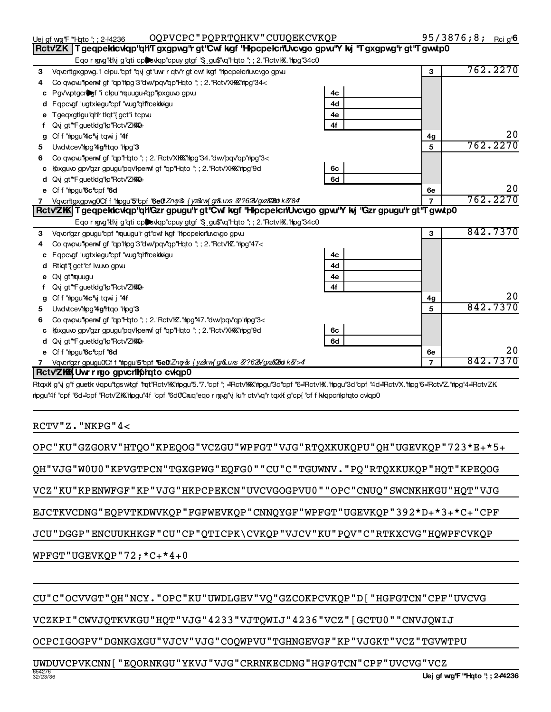**1**

**5**

**1 2**

**1**

95/3876;8; Reig<sup>6</sup>**6** 

762.2270

762.2270

762.2270

842.7370

842.7370

842.7370

0.

0.

0.

0.

6e **5**

**1**

**2e 3**

6e **5**

**2a 2b 2c 2d**

6<sub>c</sub> **4b**

**2a 2b 2c 2d**

6<sub>c</sub> 6d

## UWDUVCPVKCNN [ "EQORNKGU"YKVJ"VJG"CRRNKECDNG"HGFGTCN"CPF"UVCVG"VCZ

OCPCIGOGPV"DGNKGXGU"VJCV"VJG"COQWPVU"TGHNGEVGF"KP"VJGKT"VCZ"TGVWTPU

CU"C"OCVVGT"QH"NCY."OPC"KU"UWDLGEV"VQ"GZCOKPCVKQP"D["HGFGTCN"CPF"UVCVG

VCZKPI"CWVJQTKVKGU"HQT"VJG"4233"VJTQWIJ"4236"VCZ"[GCTU0""CNVJQWIJ

 $WPFGT"UGEVKQP"72; *C+ *4+0$ 

**4** Co qwpw"lpenwf gf "qp"hlpg"3"dwv"pqv"qp"Hqto "; ; 2."Rctv"XKKK"hlpg"34<

Vqvcrttgxgpwg." clpu."cpf "qvj gt"uwr r qtv'r gt"cwf kgf "hpcpelcrtuvcvgo gpvu

**c** Pgv'wptgcriber "i clpu" "nquugu+"qp" lpxguvo gpvu **d** Fqpcvgf "ugtxlegu"cpf "wug"qh'hcekkkigu **e** Tgeqxgtlgu"qh'r tlqt"{gct"i tcpw **f** Qvj gt"\*FguetIdg"lp"Rctv'ZI<del>KK</del>O

**d** Qvj gt"\*FguetIdg"lp"Rctv'ZIKKQ **e** Cff "mlogu"**6c**"cpf "**6d** 

5 Uwdvtcev'mlog" **4g** '' triqo " mlog" 3

**d** Qvj gt"\*FguetIdg"lp"Rctv'ZIKKQ **e** Cff "mlogu"**6c**"cpf "**6d** 

 $RCTV "Z. "NKPG "4<$ 

**Part XIIIIIIIII Information Information Information Composition International Information Composition** 

**f** Qvj gt"\*FguetIdg"lp"Rctv'ZI<del>KK</del>O **g** Cff" hpgu" **4c**" yit qwij" **4f** 

**d** Rtkqt"{gct"cf lwuvo gpw.

**e** Qvjgt"mquugu

**c** Fqpcvgf "ugtxlegu"cpf "wug"qh"hcektkilgu

**6** Co qwpw "perwf gf "qp"Hqto "; ; 2. "Rctv'XKKK" hpg"34. "dwv'pqv'qp" hpg"3<

**c** Kpxguvo gpv'gzr gpugu''pqv'kpenvf gf "qp"Hqto "; ; 2.''Rctv'XKKK''hlpg'9d

Vqvcrigzr gpugu"cpf "rquugu"r gt"cwf kgf "hipcpelcriuvcvgo gpvu Co qwpw "perwf gf "qp" hpg"3 "dw" pqv" qp" Hqto "; ; 2. "Rctv"  $Z$ . "hpg"  $47<$ 

**6** Co qwpw "lpenwf gf "qp"Hqto "; ; 2. "Rctv" **E**. "hipg" 47. "dw "pqv" qp" hipg" 3<

**c** Kpxguvo gpv'gzr gpugu''pqv'kpenvf gf "qp"Hqto "; ; 2.''Rctv'XKKK''hlpg'9d

7 Vqvcrilgzr gpugu0Cf f "htpgu"5"cpf "6e0".Zng/& { yz&w{ gr&uxs &?628/gxz&28at k&>4

lipgu"4f "cpf "6d="cpf "Rctv'ZKK"hipgu"4f "cpf "6d0"Cnuq"eqorngvg"y ku"rctv"vq"rtqxlfg"cp{"cffkkqpcr"liphqtocvkqp0

Vqvcrittgxgpwg0/Cff "hipgu"5"cpf "6e0".Zng/& { yz&w{ gr&Luxs *&?62*&/gxz&28at k*&*784

Eqo r rgvg"klvj g"qti cplevkqp"cpuy gtgf "\$ gu\$"vq"Hqto "; ; 2. "Rctv"KX. "hpg"34c0

Eqo r rgvg"kivi g"qti cplexkqp"cpuy gtgf "\$ gu\$"vq"Hqto "; ; 2."Rctv"K."hipg"34c0

EJCTKVCDNG"EQPVTKDWVKQP"FGFWEVKQP"CNNQYGF"WPFGT"UGEVKQP"392\*D+\*3+\*C+"CPF

JCU"DGGP"ENCUUKHKGF"CU"CP"QTICPK\CVKQP"VJCV"KU"PQV"C"RTKXCVG"HQWPFCVKQP

**3 2e 1 3** Subtract line from line ~~~~~~~~~~~~~~~~~~~~~~~~~~~~~~~~~~~~~~~~~~

**e 2a 2d 2e** Add lines through ~~~~~~~~~~~~~~~~~~~~~~~~~~~~~~~~~~~~~~~~~~~

Retv'ZKK| Tgeqpekkcvkqp"qH'Gzr gpugu"r gt"Cwf kgf "Hilpcpekcn"Uvcvgo gpw!"Y kij "Gzr gpugu"r gt"Tgwwtp0

Rctv'ZK | Tgeqpekkcvkqp''qh'Tgxgpwg'r gt''Cwf kgf 'Hkpcpekcn'Uvcvgo gpw'Y kj ''Tgxgpwg'r gt''Tgwwtp0 |

Uej gf w@'F "\*Hqto '; ; 2+4236 OQPVCPC " PQPRTQHKV " CUUQEKCVKQP 95 / 3876 **;** 8 **;** rci g'

VCZ "KU "KPENWFGF"KP "VJG "HKPCPEKCN "UVCVGOGPVU0 " "OPC "CNUQ "SWCNKHKGU "HQT "VJG

OPC"KU"GZGORV"HTQO"KPEQOG"VCZGU"WPFGT"VJG"RTQXKUKQPU"QH"UGEVKQP"723\*E+\*5+

QH"VJG"W0U0"KPVGTPCN"TGXGPWG"EQFG0""CU"C"TGUWNV."PQ"RTQXKUKQP"HQT"KPEQOG

Rtqxlfg"y g"fguetk vlapu"tgswitgf "hat"Rctv"KK"hlpgu"5."7."cpf"; ="Rctv"KKK"hlpgu"3c"cpf "6="Rctv"K."hlpgu"3d"cpf "4d="Rctv"X."hlpg"6="Rctv"Z."hlpg"4="Rctv"ZK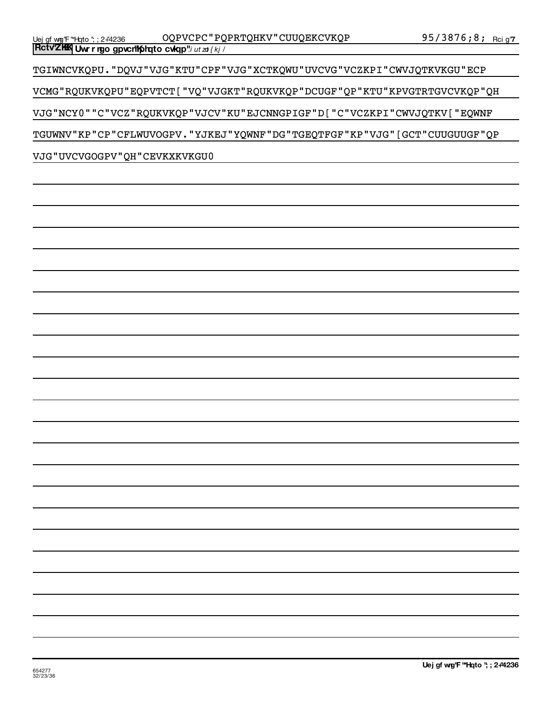VCMG "RQUKVKQPU" EQPVTCT [ "VQ "VJGKT "RQUKVKQP "DCUGF "QP "KTU "KPVGTRTGVCVKQP "QH VJG"NCY0""C"VCZ"RQUKVKQP"VJCV"KU"EJCNNGPIGF"D["C"VCZKPI"CWVJQTKV["EQWNF

TGIWNCVKQPU. "DQVJ "VJG "KTU "CPF "VJG "XCTKQWU "UVCVG "VCZKPI "CWVJQTKVKGU "ECP

TGUWNV"KP"CP"CFLWUVOGPV. "YJKEJ"YQWNF"DG"TGEQTFGF"KP"VJG" [GCT"CUUGUUGF"QP

**Rctv<sup>o</sup>ZKK</sup> Uwr r ngo gpvcn<sup>u</sup>k) hato cvkqp"***i ut zo { kj /* 

VJG "UVCVGOGPV" QH "CEVKXKVKGU0

Uej gf w@'F "\*Hqto ''; ; 2+'4236 OQPVCPC " PQPRTQHKV " CUUQEKCVKQP 95 / 3876 **;** 8 **;** Rci g'

95/3876;8; Rci g'7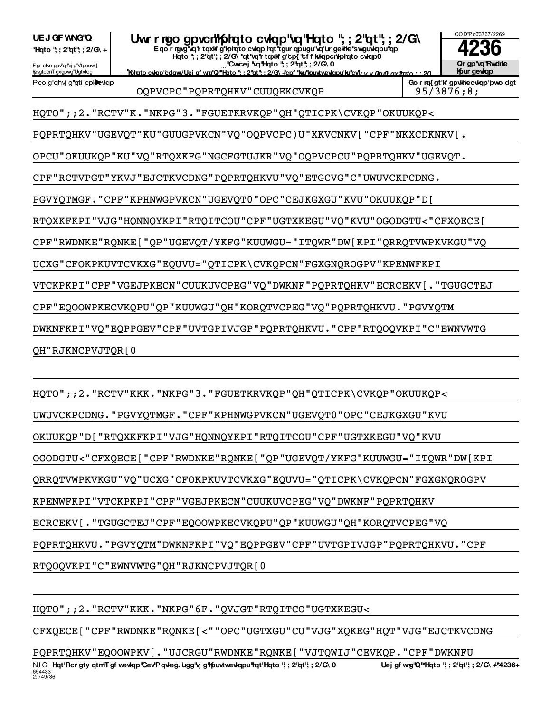654433<br>2: /49/36 Ru C Hqt'Rcr gty qtm'T gf wevkqp''Cev'P qwleg.'ugg'\yj g''Kpuvtwevkqpu'hqt'Hqto ''; ; 2''qt''; ; 2/G\ 0 Uej gf wg''Q''\*Hqto ''; ; 2''qt''; ; 2/'G\ +'\*4236-PQPRTQHKV"EQOOWPKV[."UJCRGU"RWDNKE"RQNKE["VJTQWIJ"CEVKQP."CPF"DWKNFU

CFXQECE [ "CPF"RWDNKE"RQNKE [ < " "OPC "UGTXGU"CU "VJG "XQKEG "HQT "VJG "EJCTKVCDNG

HQTO";; 2. "RCTV"KKK. "NKPG"6F. "QVJGT"RTQITCO"UGTXKEGU<

RTQOQVKPI"C"EWNVWTG"QH"RJKNCPVJTQR[0

PQPRTQHKVU. "PGVYQTM"DWKNFKPI"VQ"EQPPGEV"CPF"UVTGPIVJGP"PQPRTQHKVU. "CPF

ECRCEKV [ . "TGUGCTEJ"CPF "EQOOWPKECVKQPU"QP "KUUWGU"QH "KORQTVCPEG "VQ

KPENWFKPI"VTCKPKPI"CPF"VGEJPKECN"CUUKUVCPEG"VQ"DWKNF"PQPRTQHKV

QRRQTVWPKVKGU"VQ"UCXG"CFOKPKUVTCVKXG"EQUVU="QTICPK\CVKQPCN"FGXGNQROGPV

OGODGTU<"CFXQECE["CPF"RWDNKE"RQNKE["QP"UGEVQT/YKFG"KUUWGU="ITQWR"DW[KPI

OKUUKQP"D["RTQXKFKPI"VJG"HQNNQYKPI"RTQITCOU"CPF"UGTXKEGU"VQ"KVU

UWUVCKPCDNG. "PGVYQTMGF. "CPF "KPHNWGPVKCN "UGEVQT0 "OPC "CEJKGXGU "KVU

HOTO";; 2. "RCTV"KKK. "NKPG"3. "FGUETKRVKQP"QH"QTICPK\CVKQP"OKUUKQP<

QH"RJKNCPVJTQR[0

CPF"EQOOWPKECVKQPU"QP"KUUWGU"QH"KORQTVCPEG"VQ"PQPRTQHKVU."PGVYQTM

DWKNFKPI"VQ"EQPPGEV"CPF"UVTGPIVJGP"PQPRTQHKVU."CPF"RTQOQVKPI"C"EWNVWTG

PQPRTQHKV"UGEVQT"KU"GUUGPVKCN"VQ"OQPVCPC)U"XKVCNKV["CPF"NKXCDKNKV[.

OPCU"OKUUKQP"KU"VQ"RTQXKFG"NGCFGTUJKR"VQ"OQPVCPCU"PQPRTQHKV"UGEVQT.

PGVYQTMGF. "CPF"KPHNWGPVKCN"UGEVQT0"OPC"CEJKGXGU"KVU"OKUUKQP"D[

RTQXKFKPI"VJG"HQNNQYKPI"RTQITCOU"CPF"UGTXKEGU"VQ"KVU"OGODGTU<"CFXQECE[

CPF"RWDNKE"RQNKE["QP"UGEVQT/YKFG"KUUWGU="ITQWR"DW[KPI"QRRQTVWPKVKGU"VQ

VTCKPKPI"CPF"VGEJPKECN"CUUKUVCPEG"VQ"DWKNF"PQPRTQHKV"ECRCEKV[."TGUGCTEJ

CPF "RCTVPGT "YKVJ "EJCTKVCDNG "PQPRTQHKVU "VQ "ETGCVG "C "UWUVCKPCDNG.

UCXG"CFOKPKUVTCVKXG"EQUVU="QTICPK\CVKQPCN"FGXGNQROGPV"KPENWFKPI

HQTO";;2. "RCTV"K. "NKPG"3. "FGUETKRVKQP"QH"QTICPK\CVKQP"OKUUKQP<

F gr ctvo gpv'qHvj g'Vtgcuwt{ IpvgtpcnT gxgpwg"Ugtxleg <u>Information about Schedule O (Information) (Information is a significant with Schedule About Schedule August 20,</u> Hato "; ; 2"at"; ; 2/G\ "at"va<sup>"</sup>r taxk g"cp{"cf f kkapcrilphato cvlap0 'Cwcej 'vq'Hqto '; ; 2'qt'; ; 2/G\ 0

Eqo r rgvg<sup>r</sup>vq'r tqxkf g'lohqto cwqp'hqt'tgur qpugu'vq'ur gelile swguwqpu'qp

OQPVCPC"PQPRTQHKV"CUUQEKCVKQP | 95/3876;8;

**\*Hgto** "; ; 2"qt"; ; 2/G\ + UEJ GF WNG'Q UW r ngo gpvcntphato cvlap'va thato ", ; 2 dt", ; 2/G\<br>
Thato "; : 2"at"; : 2/G\ **4236** 

Pco g"qh'y g"qti cplexiqp

## OOD'P 003767/2269 **Qr** gp'\g'Rwdne **If it is gevided**

Go r rq{ gt'lf gpvkhecvkqp'pwo dgt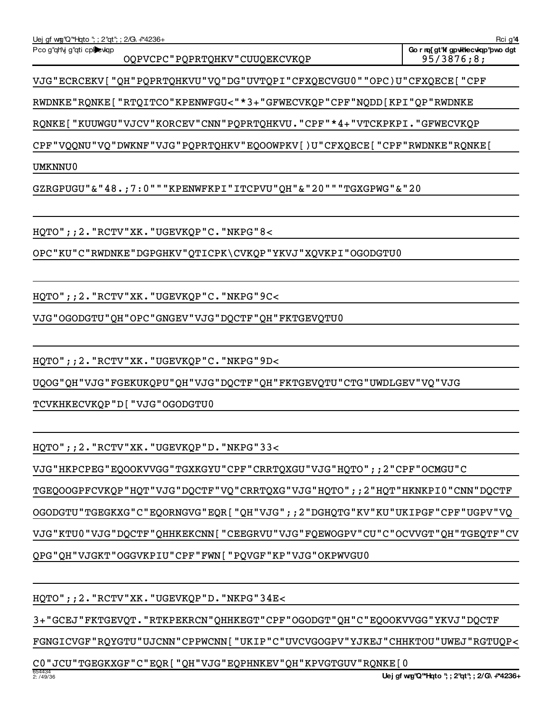FGNGICVGF"RQYGTU"UJCNN"CPPWCNN["UKIP"C"UVCVGOGPV"YJKEJ"CHHKTOU"UWEJ"RGTUQP<

C0"JCU"TGEGKXGF"C"EQR["QH"VJG"EQPHNKEV"QH"KPVGTGUV"RQNKE[0

3+"GCEJ"FKTGEVQT. "RTKPEKRCN"QHHKEGT"CPF"OGODGT"QH"C"EQOOKVVGG"YKVJ"DQCTF

 $HQTO"$ ; ; 2. "RCTV"XK. "UGEVKQP"D. "NKPG"34E<

QPG"QH"VJGKT"OGGVKPIU"CPF"FWN["PQVGF"KP"VJG"OKPWVGU0

VJG"KTU0"VJG"DQCTF"QHHKEKCNN["CEEGRVU"VJG"FQEWOGPV"CU"C"OCVVGT"QH"TGEQTF"CV

OGODGTU"TGEGKXG"C"EQORNGVG"EQR["QH"VJG";;2"DGHQTG"KV"KU"UKIPGF"CPF"UGPV"VQ

TGEQOOGPFCVKQP"HQT"VJG"DQCTF"VQ"CRRTQXG"VJG"HQTO";;2"HQT"HKNKPI0"CNN"DQCTF

VJG "HKPCPEG" EQOOKVVGG "TGXKGYU "CPF "CRRTQXGU "VJG "HQTO";; 2 "CPF "OCMGU "C

 $HQTO"$ ; ; 2. "RCTV"XK. "UGEVKQP"D. "NKPG"33<

TCVKHKECVKQP"D["VJG"OGODGTU0

UQOG"QH"VJG"FGEKUKQPU"QH"VJG"DQCTF"QH"FKTGEVQTU"CTG"UWDLGEV"VQ"VJG

 $HQTO''$ ;; 2. "RCTV"XK. "UGEVKQP"C. "NKPG"9D<

VJG "OGODGTU" QH "OPC "GNGEV "VJG "DQCTF " QH "FKTGEVQTU0

HQTO";; 2. "RCTV"XK. "UGEVKQP"C. "NKPG"9C<

OPC"KU"C"RWDNKE"DGPGHKV"QTICPK\CVKQP"YKVJ"XQVKPI"OGODGTU0

 $HQTO"$ ; ; 2. "RCTV"XK. "UGEVKQP"C. "NKPG"8<

 $GZRGPUGU" & "48.;7:0" " "KPENWFKPI" ITCPVU" QH" & "20" " "TGXGPWG" & "20"$ 

UMKNNU0

CPF"VQQNU"VQ"DWKNF"VJG"PQPRTQHKV"EQOOWPKV[)U"CFXQECE["CPF"RWDNKE"RQNKE[

RONKE [ "KUUWGU"VJCV"KORCEV"CNN"POPRTOHKVU. "CPF"\*4+"VTCKPKPI. "GFWECVKOP

RWDNKE"RQNKE["RTQITCO"KPENWFGU<"\*3+"GFWECVKQP"CPF"NQDD[KPI"QP"RWDNKE

VJG"ECRCEKV["QH"PQPRTQHKVU"VQ"DG"UVTQPI"CFXQECVGU0""OPC)U"CFXQECE["CPF

Pco g"qh'y g"qti cplewqp OQPVCPC"PQPRTQHKV"CUUQEKCVKQP | 95/3876;8;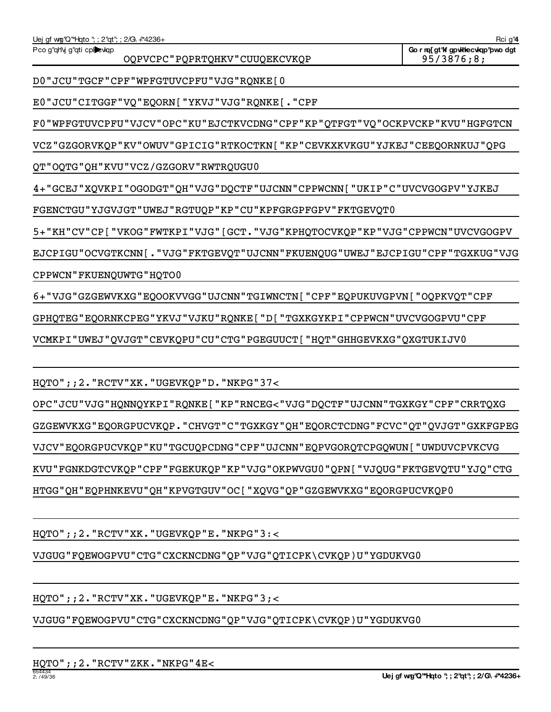VJGUG"FQEWOGPVU"CTG"CXCKNCDNG"QP"VJG"QTICPK\CVKQP)U"YGDUKVG0

 $HQTO''$ ; ; 2. "RCTV"XK. "UGEVKQP"E. "NKPG"3; <

VJGUG"FQEWOGPVU"CTG"CXCKNCDNG"QP"VJG"QTICPK\CVKQP)U"YGDUKVG0

 $HQTO''$ ;; 2. "RCTV"XK. "UGEVKQP"E. "NKPG"3:<

 $HQTO''$ ;; 2. "RCTV"XK. "UGEVKQP"D. "NKPG"37< OPC"JCU"VJG"HQNNQYKPI"RQNKE["KP"RNCEG<"VJG"DQCTF"UJCNN"TGXKGY"CPF"CRRTQXG GZGEWVKXG"EQORGPUCVKQP."CHVGT"C"TGXKGY"QH"EQORCTCDNG"FCVC"QT"QVJGT"GXKFGPEG VJCV"EQORGPUCVKQP"KU"TGCUQPCDNG"CPF"UJCNN"EQPVGORQTCPGQWUN["UWDUVCPVKCVG KVU"FGNKDGTCVKQP"CPF"FGEKUKQP"KP"VJG"OKPWVGU0"QPN["VJQUG"FKTGEVQTU"YJQ"CTG HTGG"QH"EQPHNKEVU"QH"KPVGTGUV"OC ["XQVG"QP"GZGEWVKXG"EQORGPUCVKQP0

VCMKPI"UWEJ"QVJGT"CEVKQPU"CU"CTG"PGEGUUCT ["HQT"GHHGEVKXG"QXGTUKIJV0

GPHQTEG"EQORNKCPEG"YKVJ"VJKU"RQNKE["D["TGXKGYKPI"CPPWCN"UVCVGOGPVU"CPF

6+ "VJG"GZGEWVKXG" EQOOKVVGG "UJCNN "TGIWNCTN [ "CPF" EQPUKUVGPVN [ "OQPKVQT "CPF

CPPWCN"FKUENQUWTG"HQTO0

EJCPIGU"OCVGTKCNN[."VJG"FKTGEVQT"UJCNN"FKUENQUG"UWEJ"EJCPIGU"CPF"TGXKUG"VJG

5+"KH"CV"CP["VKOG"FWTKPI"VJG"[GCT."VJG"KPHQTOCVKQP"KP"VJG"CPPWCN"UVCVGOGPV

FGENCTGU"YJGVJGT"UWEJ"RGTUQP"KP"CU"KPFGRGPFGPV"FKTGEVQT0

4+ "GCEJ "XQVKPI "OGODGT "QH "VJG "DQCTF "UJCNN "CPPWCNN [ "UKIP "C "UVCVGOGPV "YJKEJ

QT"OQTG"QH"KVU"VCZ/GZGORV"RWTRQUGU0

VCZ "GZGORVKQP "KV "OWUV "GPICIG "RTKOCTKN [ "KP "CEVKXKVKGU "YJKEJ "CEEQORNKUJ "QPG

F0"WPFGTUVCPFU"VJCV"OPC"KU"EJCTKVCDNG"CPF"KP"QTFGT"VQ"OCKPVCKP"KVU"HGFGTCN

E0"JCU"CITGGF"VQ"EQORN["YKVJ"VJG"RQNKE[."CPF

D0"JCU"TGCF"CPF"WPFGTUVCPFU"VJG"RQNKE[0

OQPVCPC"PQPRTQHKV"CUUQEKCVKQP | 95/3876;8;